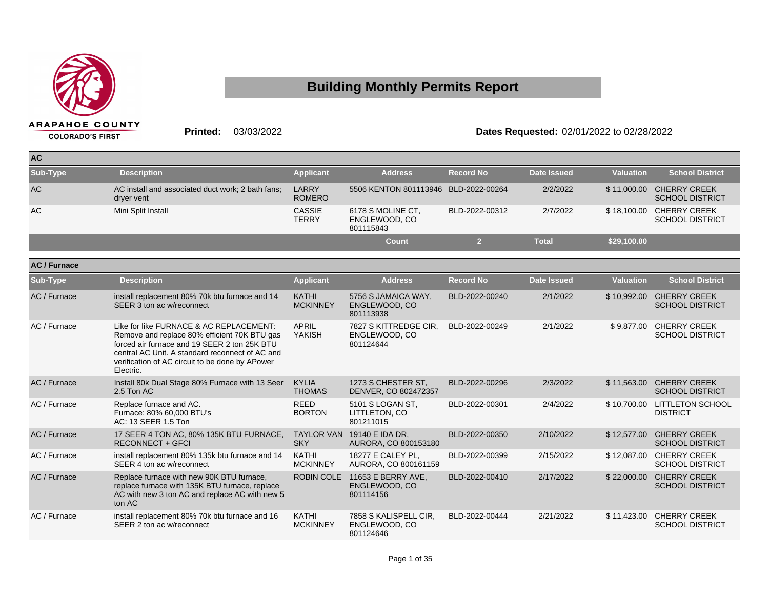

## **Building Monthly Permits Report**

## **Printed:** 03/03/2022 **Dates Requested:** 02/01/2022 to 02/28/2022

| <b>AC</b> |                                                                 |                               |                                                 |                  |              |                  |                                                    |
|-----------|-----------------------------------------------------------------|-------------------------------|-------------------------------------------------|------------------|--------------|------------------|----------------------------------------------------|
| Sub-Type  | <b>Description</b>                                              | <b>Applicant</b>              | <b>Address</b>                                  | <b>Record No</b> | Date Issued  | <b>Valuation</b> | <b>School District</b>                             |
| <b>AC</b> | AC install and associated duct work; 2 bath fans;<br>dryer vent | LARRY<br><b>ROMERO</b>        | 5506 KENTON 801113946 BLD-2022-00264            |                  | 2/2/2022     |                  | \$11,000.00 CHERRY CREEK<br><b>SCHOOL DISTRICT</b> |
| AC.       | Mini Split Install                                              | <b>CASSIE</b><br><b>TERRY</b> | 6178 S MOLINE CT.<br>ENGLEWOOD, CO<br>801115843 | BLD-2022-00312   | 2/7/2022     |                  | \$18,100.00 CHERRY CREEK<br><b>SCHOOL DISTRICT</b> |
|           |                                                                 |                               | Count                                           |                  | <b>Total</b> | \$29,100.00      |                                                    |

| <b>AC/Furnace</b> |                                                                                                                                                                                                                                                            |                                 |                                                     |                  |                    |                  |                                                    |
|-------------------|------------------------------------------------------------------------------------------------------------------------------------------------------------------------------------------------------------------------------------------------------------|---------------------------------|-----------------------------------------------------|------------------|--------------------|------------------|----------------------------------------------------|
| Sub-Type          | <b>Description</b>                                                                                                                                                                                                                                         | <b>Applicant</b>                | <b>Address</b>                                      | <b>Record No</b> | <b>Date Issued</b> | <b>Valuation</b> | <b>School District</b>                             |
| AC / Furnace      | install replacement 80% 70k btu furnace and 14<br>SEER 3 ton ac w/reconnect                                                                                                                                                                                | <b>KATHI</b><br><b>MCKINNEY</b> | 5756 S JAMAICA WAY,<br>ENGLEWOOD, CO<br>801113938   | BLD-2022-00240   | 2/1/2022           |                  | \$10,992.00 CHERRY CREEK<br><b>SCHOOL DISTRICT</b> |
| AC / Furnace      | Like for like FURNACE & AC REPLACEMENT:<br>Remove and replace 80% efficient 70K BTU gas<br>forced air furnace and 19 SEER 2 ton 25K BTU<br>central AC Unit. A standard reconnect of AC and<br>verification of AC circuit to be done by APower<br>Electric. | <b>APRIL</b><br><b>YAKISH</b>   | 7827 S KITTREDGE CIR,<br>ENGLEWOOD, CO<br>801124644 | BLD-2022-00249   | 2/1/2022           | \$9,877.00       | <b>CHERRY CREEK</b><br><b>SCHOOL DISTRICT</b>      |
| AC / Furnace      | Install 80k Dual Stage 80% Furnace with 13 Seer<br>2.5 Ton AC                                                                                                                                                                                              | <b>KYLIA</b><br><b>THOMAS</b>   | 1273 S CHESTER ST.<br>DENVER, CO 802472357          | BLD-2022-00296   | 2/3/2022           | \$11,563.00      | <b>CHERRY CREEK</b><br><b>SCHOOL DISTRICT</b>      |
| AC / Furnace      | Replace furnace and AC.<br>Furnace: 80% 60,000 BTU's<br>AC: 13 SEER 1.5 Ton                                                                                                                                                                                | <b>REED</b><br><b>BORTON</b>    | 5101 S LOGAN ST,<br>LITTLETON, CO<br>801211015      | BLD-2022-00301   | 2/4/2022           | \$10,700.00      | <b>LITTLETON SCHOOL</b><br><b>DISTRICT</b>         |
| AC / Furnace      | 17 SEER 4 TON AC, 80% 135K BTU FURNACE,<br><b>RECONNECT + GFCI</b>                                                                                                                                                                                         | <b>TAYLOR VAN</b><br><b>SKY</b> | 19140 E IDA DR.<br>AURORA, CO 800153180             | BLD-2022-00350   | 2/10/2022          | \$12,577.00      | <b>CHERRY CREEK</b><br><b>SCHOOL DISTRICT</b>      |
| AC / Furnace      | install replacement 80% 135k btu furnace and 14<br>SEER 4 ton ac w/reconnect                                                                                                                                                                               | <b>KATHI</b><br><b>MCKINNEY</b> | 18277 E CALEY PL.<br>AURORA, CO 800161159           | BLD-2022-00399   | 2/15/2022          | \$12,087.00      | <b>CHERRY CREEK</b><br><b>SCHOOL DISTRICT</b>      |
| AC / Furnace      | Replace furnace with new 90K BTU furnace,<br>replace furnace with 135K BTU furnace, replace<br>AC with new 3 ton AC and replace AC with new 5<br>ton AC                                                                                                    | <b>ROBIN COLE</b>               | 11653 E BERRY AVE.<br>ENGLEWOOD, CO<br>801114156    | BLD-2022-00410   | 2/17/2022          | \$22,000.00      | <b>CHERRY CREEK</b><br><b>SCHOOL DISTRICT</b>      |
| AC / Furnace      | install replacement 80% 70k btu furnace and 16<br>SEER 2 ton ac w/reconnect                                                                                                                                                                                | <b>KATHI</b><br><b>MCKINNEY</b> | 7858 S KALISPELL CIR.<br>ENGLEWOOD, CO<br>801124646 | BLD-2022-00444   | 2/21/2022          | \$11,423.00      | <b>CHERRY CREEK</b><br><b>SCHOOL DISTRICT</b>      |
|                   |                                                                                                                                                                                                                                                            |                                 |                                                     |                  |                    |                  |                                                    |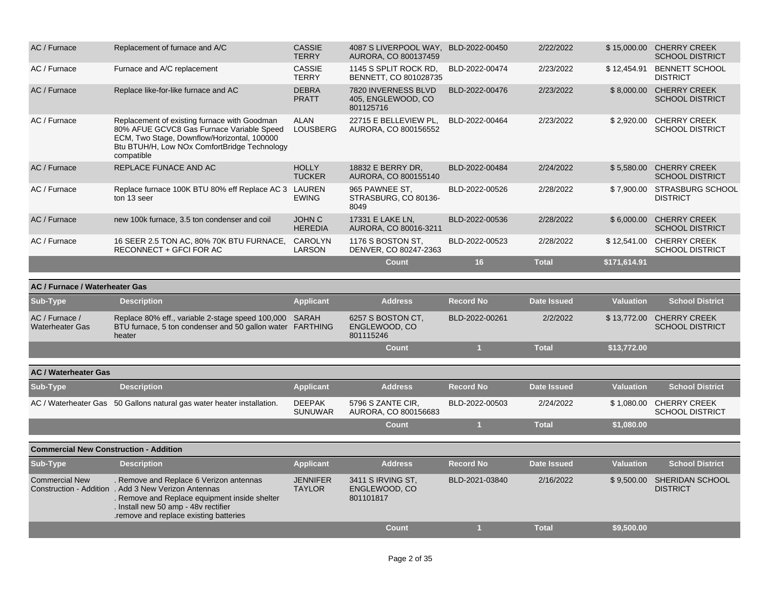| AC / Furnace                                  | Replacement of furnace and A/C                                                                                                                                                                                                     | <b>CASSIE</b><br><b>TERRY</b>    | 4087 S LIVERPOOL WAY,<br>AURORA, CO 800137459          | BLD-2022-00450   | 2/22/2022          |                  | \$15,000.00 CHERRY CREEK<br><b>SCHOOL DISTRICT</b> |
|-----------------------------------------------|------------------------------------------------------------------------------------------------------------------------------------------------------------------------------------------------------------------------------------|----------------------------------|--------------------------------------------------------|------------------|--------------------|------------------|----------------------------------------------------|
| AC / Furnace                                  | Furnace and A/C replacement                                                                                                                                                                                                        | <b>CASSIE</b><br><b>TERRY</b>    | 1145 S SPLIT ROCK RD,<br>BENNETT, CO 801028735         | BLD-2022-00474   | 2/23/2022          | \$12,454.91      | <b>BENNETT SCHOOL</b><br><b>DISTRICT</b>           |
| AC / Furnace                                  | Replace like-for-like furnace and AC                                                                                                                                                                                               | <b>DEBRA</b><br><b>PRATT</b>     | 7820 INVERNESS BLVD<br>405, ENGLEWOOD, CO<br>801125716 | BLD-2022-00476   | 2/23/2022          | \$8,000.00       | <b>CHERRY CREEK</b><br><b>SCHOOL DISTRICT</b>      |
| AC / Furnace                                  | Replacement of existing furnace with Goodman<br>80% AFUE GCVC8 Gas Furnace Variable Speed<br>ECM, Two Stage, Downflow/Horizontal, 100000<br>Btu BTUH/H, Low NOx ComfortBridge Technology<br>compatible                             | <b>ALAN</b><br><b>LOUSBERG</b>   | 22715 E BELLEVIEW PL,<br>AURORA, CO 800156552          | BLD-2022-00464   | 2/23/2022          | \$2,920.00       | <b>CHERRY CREEK</b><br><b>SCHOOL DISTRICT</b>      |
| AC / Furnace                                  | REPLACE FUNACE AND AC                                                                                                                                                                                                              | <b>HOLLY</b><br><b>TUCKER</b>    | 18832 E BERRY DR.<br>AURORA, CO 800155140              | BLD-2022-00484   | 2/24/2022          | \$5,580.00       | <b>CHERRY CREEK</b><br><b>SCHOOL DISTRICT</b>      |
| AC / Furnace                                  | Replace furnace 100K BTU 80% eff Replace AC 3 LAUREN<br>ton 13 seer                                                                                                                                                                | <b>EWING</b>                     | 965 PAWNEE ST.<br>STRASBURG, CO 80136-<br>8049         | BLD-2022-00526   | 2/28/2022          | \$7,900.00       | <b>STRASBURG SCHOOL</b><br><b>DISTRICT</b>         |
| AC / Furnace                                  | new 100k furnace, 3.5 ton condenser and coil                                                                                                                                                                                       | <b>JOHN C</b><br><b>HEREDIA</b>  | 17331 E LAKE LN,<br>AURORA, CO 80016-3211              | BLD-2022-00536   | 2/28/2022          | \$6,000.00       | <b>CHERRY CREEK</b><br><b>SCHOOL DISTRICT</b>      |
| AC / Furnace                                  | 16 SEER 2.5 TON AC, 80% 70K BTU FURNACE,<br>RECONNECT + GFCI FOR AC                                                                                                                                                                | CAROLYN<br><b>LARSON</b>         | 1176 S BOSTON ST,<br>DENVER, CO 80247-2363             | BLD-2022-00523   | 2/28/2022          |                  | \$12,541.00 CHERRY CREEK<br><b>SCHOOL DISTRICT</b> |
|                                               |                                                                                                                                                                                                                                    |                                  | <b>Count</b>                                           | 16               | <b>Total</b>       | \$171,614.91     |                                                    |
| AC / Furnace / Waterheater Gas                |                                                                                                                                                                                                                                    |                                  |                                                        |                  |                    |                  |                                                    |
| Sub-Type                                      | <b>Description</b>                                                                                                                                                                                                                 | <b>Applicant</b>                 | <b>Address</b>                                         | <b>Record No</b> | <b>Date Issued</b> | <b>Valuation</b> | <b>School District</b>                             |
| AC / Furnace /<br><b>Waterheater Gas</b>      | Replace 80% eff., variable 2-stage speed 100,000 SARAH<br>BTU furnace, 5 ton condenser and 50 gallon water FARTHING<br>heater                                                                                                      |                                  | 6257 S BOSTON CT,<br>ENGLEWOOD, CO<br>801115246        | BLD-2022-00261   | 2/2/2022           | \$13,772.00      | <b>CHERRY CREEK</b><br><b>SCHOOL DISTRICT</b>      |
|                                               |                                                                                                                                                                                                                                    |                                  | Count                                                  | $\overline{1}$   | <b>Total</b>       | \$13,772.00      |                                                    |
| <b>AC / Waterheater Gas</b>                   |                                                                                                                                                                                                                                    |                                  |                                                        |                  |                    |                  |                                                    |
| Sub-Type                                      | <b>Description</b>                                                                                                                                                                                                                 | <b>Applicant</b>                 | <b>Address</b>                                         | <b>Record No</b> | <b>Date Issued</b> | <b>Valuation</b> | <b>School District</b>                             |
|                                               | AC / Waterheater Gas 50 Gallons natural gas water heater installation.                                                                                                                                                             | <b>DEEPAK</b><br><b>SUNUWAR</b>  | 5796 S ZANTE CIR,<br>AURORA, CO 800156683              | BLD-2022-00503   | 2/24/2022          | \$1,080.00       | <b>CHERRY CREEK</b><br><b>SCHOOL DISTRICT</b>      |
|                                               |                                                                                                                                                                                                                                    |                                  | <b>Count</b>                                           | $\overline{1}$   | <b>Total</b>       | \$1,080.00       |                                                    |
| <b>Commercial New Construction - Addition</b> |                                                                                                                                                                                                                                    |                                  |                                                        |                  |                    |                  |                                                    |
| Sub-Type                                      | <b>Description</b>                                                                                                                                                                                                                 | <b>Applicant</b>                 | <b>Address</b>                                         | <b>Record No</b> | <b>Date Issued</b> | <b>Valuation</b> | <b>School District</b>                             |
| <b>Commercial New</b>                         | . Remove and Replace 6 Verizon antennas<br>Construction - Addition . Add 3 New Verizon Antennas<br>. Remove and Replace equipment inside shelter<br>. Install new 50 amp - 48v rectifier<br>.remove and replace existing batteries | <b>JENNIFER</b><br><b>TAYLOR</b> | 3411 S IRVING ST,<br>ENGLEWOOD, CO<br>801101817        | BLD-2021-03840   | 2/16/2022          |                  | \$9,500.00 SHERIDAN SCHOOL<br><b>DISTRICT</b>      |
|                                               |                                                                                                                                                                                                                                    |                                  | <b>Count</b>                                           | $\overline{1}$   | <b>Total</b>       | \$9,500.00       |                                                    |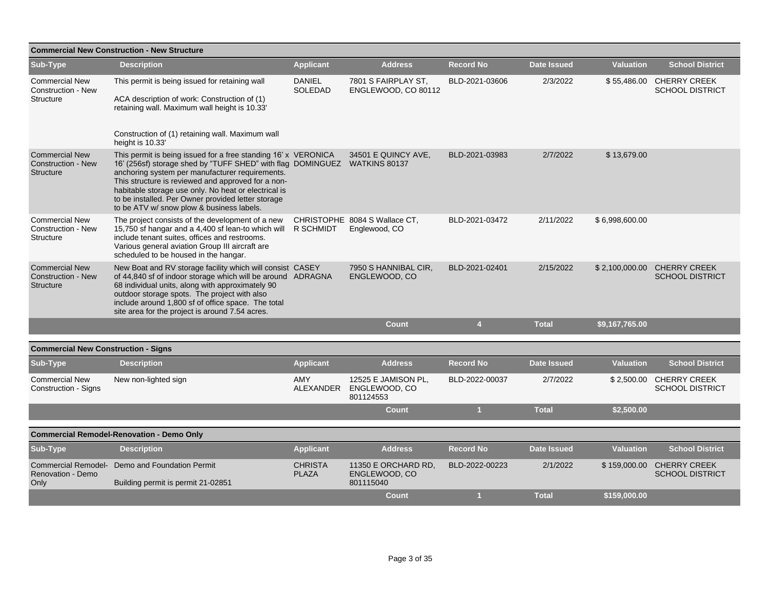| <b>Commercial New Construction - New Structure</b>                     |                                                                                                                                                                                                                                                                                                                                                                                                                 |                                 |                                                   |                  |                    |                  |                                                     |  |  |
|------------------------------------------------------------------------|-----------------------------------------------------------------------------------------------------------------------------------------------------------------------------------------------------------------------------------------------------------------------------------------------------------------------------------------------------------------------------------------------------------------|---------------------------------|---------------------------------------------------|------------------|--------------------|------------------|-----------------------------------------------------|--|--|
| Sub-Type                                                               | <b>Description</b>                                                                                                                                                                                                                                                                                                                                                                                              | <b>Applicant</b>                | <b>Address</b>                                    | <b>Record No</b> | <b>Date Issued</b> | <b>Valuation</b> | <b>School District</b>                              |  |  |
| <b>Commercial New</b><br><b>Construction - New</b><br>Structure        | This permit is being issued for retaining wall<br>ACA description of work: Construction of (1)<br>retaining wall. Maximum wall height is 10.33'                                                                                                                                                                                                                                                                 | <b>DANIEL</b><br><b>SOLEDAD</b> | 7801 S FAIRPLAY ST,<br>ENGLEWOOD, CO 80112        | BLD-2021-03606   | 2/3/2022           |                  | \$55,486.00 CHERRY CREEK<br><b>SCHOOL DISTRICT</b>  |  |  |
|                                                                        | Construction of (1) retaining wall. Maximum wall<br>height is 10.33'                                                                                                                                                                                                                                                                                                                                            |                                 |                                                   |                  |                    |                  |                                                     |  |  |
| <b>Commercial New</b><br><b>Construction - New</b><br><b>Structure</b> | This permit is being issued for a free standing 16' x VERONICA<br>16' (256sf) storage shed by "TUFF SHED" with flag DOMINGUEZ WATKINS 80137<br>anchoring system per manufacturer requirements.<br>This structure is reviewed and approved for a non-<br>habitable storage use only. No heat or electrical is<br>to be installed. Per Owner provided letter storage<br>to be ATV w/ snow plow & business labels. |                                 | 34501 E QUINCY AVE,                               | BLD-2021-03983   | 2/7/2022           | \$13,679.00      |                                                     |  |  |
| <b>Commercial New</b><br>Construction - New<br>Structure               | The project consists of the development of a new<br>15,750 sf hangar and a 4,400 sf lean-to which will<br>include tenant suites, offices and restrooms.<br>Various general aviation Group III aircraft are<br>scheduled to be housed in the hangar.                                                                                                                                                             | R SCHMIDT                       | CHRISTOPHE 8084 S Wallace CT,<br>Englewood, CO    | BLD-2021-03472   | 2/11/2022          | \$6,998,600.00   |                                                     |  |  |
| <b>Commercial New</b><br><b>Construction - New</b><br><b>Structure</b> | New Boat and RV storage facility which will consist CASEY<br>of 44,840 sf of indoor storage which will be around ADRAGNA<br>68 individual units, along with approximately 90<br>outdoor storage spots. The project with also<br>include around 1,800 sf of office space. The total<br>site area for the project is around 7.54 acres.                                                                           |                                 | 7950 S HANNIBAL CIR,<br>ENGLEWOOD, CO             | BLD-2021-02401   | 2/15/2022          | \$2,100,000.00   | <b>CHERRY CREEK</b><br><b>SCHOOL DISTRICT</b>       |  |  |
|                                                                        |                                                                                                                                                                                                                                                                                                                                                                                                                 |                                 | <b>Count</b>                                      | $\overline{4}$   | <b>Total</b>       | \$9,167,765.00   |                                                     |  |  |
|                                                                        |                                                                                                                                                                                                                                                                                                                                                                                                                 |                                 |                                                   |                  |                    |                  |                                                     |  |  |
| <b>Commercial New Construction - Signs</b><br>Sub-Type                 | <b>Description</b>                                                                                                                                                                                                                                                                                                                                                                                              | <b>Applicant</b>                | <b>Address</b>                                    | <b>Record No</b> | <b>Date Issued</b> | <b>Valuation</b> | <b>School District</b>                              |  |  |
| <b>Commercial New</b><br>Construction - Signs                          | New non-lighted sign                                                                                                                                                                                                                                                                                                                                                                                            | AMY<br>ALEXANDER                | 12525 E JAMISON PL,<br>ENGLEWOOD, CO<br>801124553 | BLD-2022-00037   | 2/7/2022           |                  | \$2,500.00 CHERRY CREEK<br><b>SCHOOL DISTRICT</b>   |  |  |
|                                                                        |                                                                                                                                                                                                                                                                                                                                                                                                                 |                                 | <b>Count</b>                                      | $\blacksquare$   | <b>Total</b>       | \$2,500.00       |                                                     |  |  |
|                                                                        | <b>Commercial Remodel-Renovation - Demo Only</b>                                                                                                                                                                                                                                                                                                                                                                |                                 |                                                   |                  |                    |                  |                                                     |  |  |
| Sub-Type                                                               | <b>Description</b>                                                                                                                                                                                                                                                                                                                                                                                              | <b>Applicant</b>                | <b>Address</b>                                    | <b>Record No</b> | <b>Date Issued</b> | <b>Valuation</b> | <b>School District</b>                              |  |  |
| <b>Commercial Remodel-</b><br>Renovation - Demo<br>Only                | Demo and Foundation Permit<br>Building permit is permit 21-02851                                                                                                                                                                                                                                                                                                                                                | <b>CHRISTA</b><br><b>PLAZA</b>  | 11350 E ORCHARD RD,<br>ENGLEWOOD, CO<br>801115040 | BLD-2022-00223   | 2/1/2022           |                  | \$159,000.00 CHERRY CREEK<br><b>SCHOOL DISTRICT</b> |  |  |
|                                                                        |                                                                                                                                                                                                                                                                                                                                                                                                                 |                                 | <b>Count</b>                                      | 1                | <b>Total</b>       | \$159,000.00     |                                                     |  |  |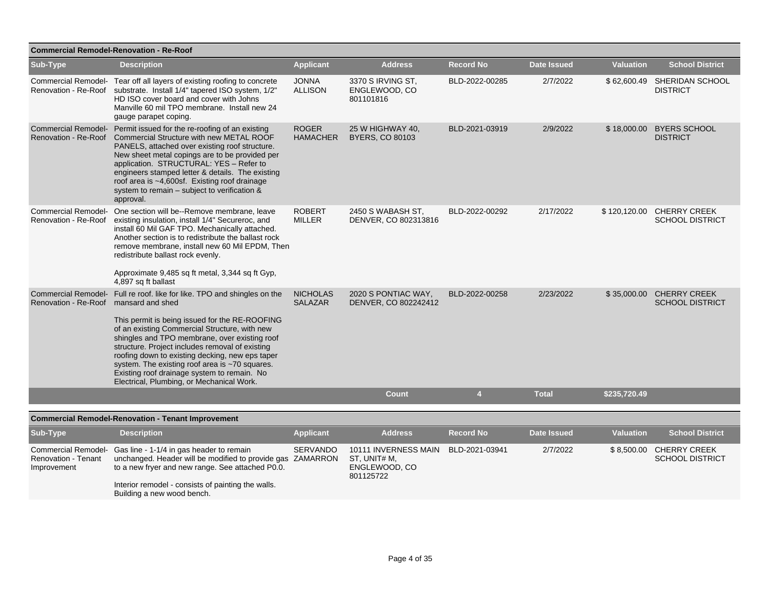| <b>Commercial Remodel-Renovation - Re-Roof</b> |                                                                                                                                                                                                                                                                                                                                                                                                                                                                                  |                                   |                                                                    |                  |                    |                  |                                                    |  |  |  |
|------------------------------------------------|----------------------------------------------------------------------------------------------------------------------------------------------------------------------------------------------------------------------------------------------------------------------------------------------------------------------------------------------------------------------------------------------------------------------------------------------------------------------------------|-----------------------------------|--------------------------------------------------------------------|------------------|--------------------|------------------|----------------------------------------------------|--|--|--|
| Sub-Type                                       | <b>Description</b>                                                                                                                                                                                                                                                                                                                                                                                                                                                               | <b>Applicant</b>                  | <b>Address</b>                                                     | <b>Record No</b> | <b>Date Issued</b> | <b>Valuation</b> | <b>School District</b>                             |  |  |  |
|                                                | Commercial Remodel- Tear off all layers of existing roofing to concrete<br>Renovation - Re-Roof substrate. Install 1/4" tapered ISO system, 1/2"<br>HD ISO cover board and cover with Johns<br>Manville 60 mil TPO membrane. Install new 24<br>gauge parapet coping.                                                                                                                                                                                                             | <b>JONNA</b><br><b>ALLISON</b>    | 3370 S IRVING ST.<br>ENGLEWOOD, CO<br>801101816                    | BLD-2022-00285   | 2/7/2022           |                  | \$62,600.49 SHERIDAN SCHOOL<br><b>DISTRICT</b>     |  |  |  |
|                                                | Commercial Remodel- Permit issued for the re-roofing of an existing<br>Renovation - Re-Roof Commercial Structure with new METAL ROOF<br>PANELS, attached over existing roof structure.<br>New sheet metal copings are to be provided per<br>application. STRUCTURAL: YES - Refer to<br>engineers stamped letter & details. The existing<br>roof area is ~4,600sf. Existing roof drainage<br>system to remain - subject to verification &<br>approval.                            | <b>ROGER</b><br><b>HAMACHER</b>   | 25 W HIGHWAY 40,<br><b>BYERS, CO 80103</b>                         | BLD-2021-03919   | 2/9/2022           | \$18,000.00      | <b>BYERS SCHOOL</b><br><b>DISTRICT</b>             |  |  |  |
| Renovation - Re-Roof                           | Commercial Remodel- One section will be--Remove membrane, leave<br>existing insulation, install 1/4" Secureroc, and<br>install 60 Mil GAF TPO. Mechanically attached.<br>Another section is to redistribute the ballast rock<br>remove membrane, install new 60 Mil EPDM, Then<br>redistribute ballast rock evenly.<br>Approximate 9,485 sq ft metal, 3,344 sq ft Gyp,<br>4,897 sq ft ballast                                                                                    | <b>ROBERT</b><br><b>MILLER</b>    | 2450 S WABASH ST,<br>DENVER, CO 802313816                          | BLD-2022-00292   | 2/17/2022          | \$120,120.00     | <b>CHERRY CREEK</b><br><b>SCHOOL DISTRICT</b>      |  |  |  |
| Renovation - Re-Roof mansard and shed          | Commercial Remodel- Full re roof. like for like. TPO and shingles on the<br>This permit is being issued for the RE-ROOFING<br>of an existing Commercial Structure, with new<br>shingles and TPO membrane, over existing roof<br>structure. Project includes removal of existing<br>roofing down to existing decking, new eps taper<br>system. The existing roof area is ~70 squares.<br>Existing roof drainage system to remain. No<br>Electrical, Plumbing, or Mechanical Work. | <b>NICHOLAS</b><br><b>SALAZAR</b> | 2020 S PONTIAC WAY,<br>DENVER, CO 802242412                        | BLD-2022-00258   | 2/23/2022          |                  | \$35,000.00 CHERRY CREEK<br><b>SCHOOL DISTRICT</b> |  |  |  |
|                                                |                                                                                                                                                                                                                                                                                                                                                                                                                                                                                  |                                   | Count                                                              | $\overline{4}$   | <b>Total</b>       | \$235,720.49     |                                                    |  |  |  |
|                                                | <b>Commercial Remodel-Renovation - Tenant Improvement</b>                                                                                                                                                                                                                                                                                                                                                                                                                        |                                   |                                                                    |                  |                    |                  |                                                    |  |  |  |
| Sub-Type                                       | <b>Description</b>                                                                                                                                                                                                                                                                                                                                                                                                                                                               | <b>Applicant</b>                  | <b>Address</b>                                                     | <b>Record No</b> | <b>Date Issued</b> | <b>Valuation</b> | <b>School District</b>                             |  |  |  |
| <b>Renovation - Tenant</b><br>Improvement      | Commercial Remodel- Gas line - 1-1/4 in gas header to remain<br>unchanged. Header will be modified to provide gas ZAMARRON<br>to a new fryer and new range. See attached P0.0.<br>Interior remodel - consists of painting the walls.<br>Building a new wood bench.                                                                                                                                                                                                               | <b>SERVANDO</b>                   | 10111 INVERNESS MAIN<br>ST, UNIT# M,<br>ENGLEWOOD, CO<br>801125722 | BLD-2021-03941   | 2/7/2022           | \$8,500.00       | <b>CHERRY CREEK</b><br><b>SCHOOL DISTRICT</b>      |  |  |  |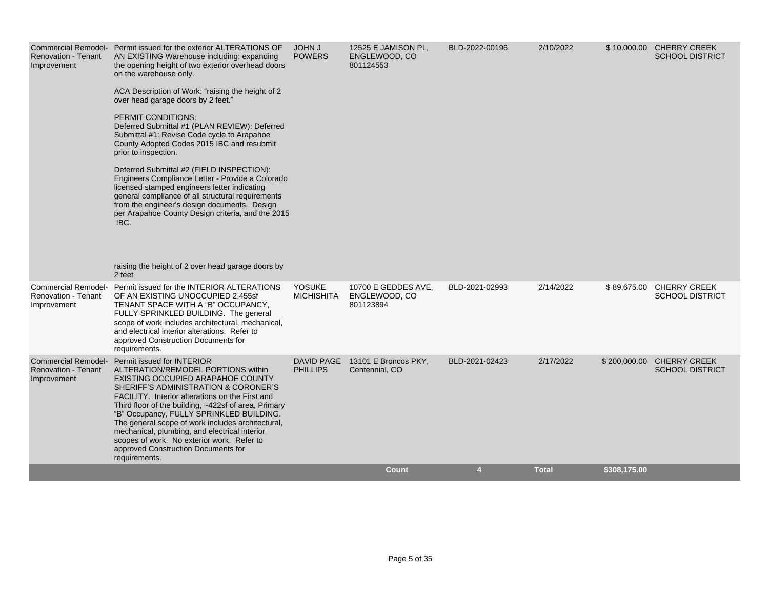| <b>Renovation - Tenant</b><br>Improvement | Commercial Remodel- Permit issued for the exterior ALTERATIONS OF<br>AN EXISTING Warehouse including: expanding<br>the opening height of two exterior overhead doors<br>on the warehouse only.<br>ACA Description of Work: "raising the height of 2<br>over head garage doors by 2 feet."<br>PERMIT CONDITIONS:<br>Deferred Submittal #1 (PLAN REVIEW): Deferred<br>Submittal #1: Revise Code cycle to Arapahoe<br>County Adopted Codes 2015 IBC and resubmit<br>prior to inspection.<br>Deferred Submittal #2 (FIELD INSPECTION):<br>Engineers Compliance Letter - Provide a Colorado<br>licensed stamped engineers letter indicating<br>general compliance of all structural requirements<br>from the engineer's design documents. Design<br>per Arapahoe County Design criteria, and the 2015<br>IBC.<br>raising the height of 2 over head garage doors by<br>2 feet | <b>JOHN J</b><br><b>POWERS</b>     | 12525 E JAMISON PL,<br>ENGLEWOOD, CO<br>801124553 | BLD-2022-00196 | 2/10/2022    |              | \$10,000.00 CHERRY CREEK<br><b>SCHOOL DISTRICT</b> |
|-------------------------------------------|-------------------------------------------------------------------------------------------------------------------------------------------------------------------------------------------------------------------------------------------------------------------------------------------------------------------------------------------------------------------------------------------------------------------------------------------------------------------------------------------------------------------------------------------------------------------------------------------------------------------------------------------------------------------------------------------------------------------------------------------------------------------------------------------------------------------------------------------------------------------------|------------------------------------|---------------------------------------------------|----------------|--------------|--------------|----------------------------------------------------|
| <b>Renovation - Tenant</b><br>Improvement | Commercial Remodel- Permit issued for the INTERIOR ALTERATIONS<br>OF AN EXISTING UNOCCUPIED 2,455sf<br>TENANT SPACE WITH A "B" OCCUPANCY,<br>FULLY SPRINKLED BUILDING. The general<br>scope of work includes architectural, mechanical,<br>and electrical interior alterations. Refer to<br>approved Construction Documents for<br>requirements.                                                                                                                                                                                                                                                                                                                                                                                                                                                                                                                        | <b>YOSUKE</b><br><b>MICHISHITA</b> | 10700 E GEDDES AVE,<br>ENGLEWOOD, CO<br>801123894 | BLD-2021-02993 | 2/14/2022    |              | \$89,675.00 CHERRY CREEK<br><b>SCHOOL DISTRICT</b> |
| <b>Renovation - Tenant</b><br>Improvement | Commercial Remodel- Permit issued for INTERIOR<br>ALTERATION/REMODEL PORTIONS within<br>EXISTING OCCUPIED ARAPAHOE COUNTY<br>SHERIFF'S ADMINISTRATION & CORONER'S<br>FACILITY. Interior alterations on the First and<br>Third floor of the building, ~422sf of area, Primary<br>"B" Occupancy, FULLY SPRINKLED BUILDING.<br>The general scope of work includes architectural,<br>mechanical, plumbing, and electrical interior<br>scopes of work. No exterior work. Refer to<br>approved Construction Documents for<br>requirements.                                                                                                                                                                                                                                                                                                                                    | DAVID PAGE<br><b>PHILLIPS</b>      | 13101 E Broncos PKY,<br>Centennial, CO            | BLD-2021-02423 | 2/17/2022    | \$200,000.00 | <b>CHERRY CREEK</b><br><b>SCHOOL DISTRICT</b>      |
|                                           |                                                                                                                                                                                                                                                                                                                                                                                                                                                                                                                                                                                                                                                                                                                                                                                                                                                                         |                                    | <b>Count</b>                                      | 4              | <b>Total</b> | \$308,175.00 |                                                    |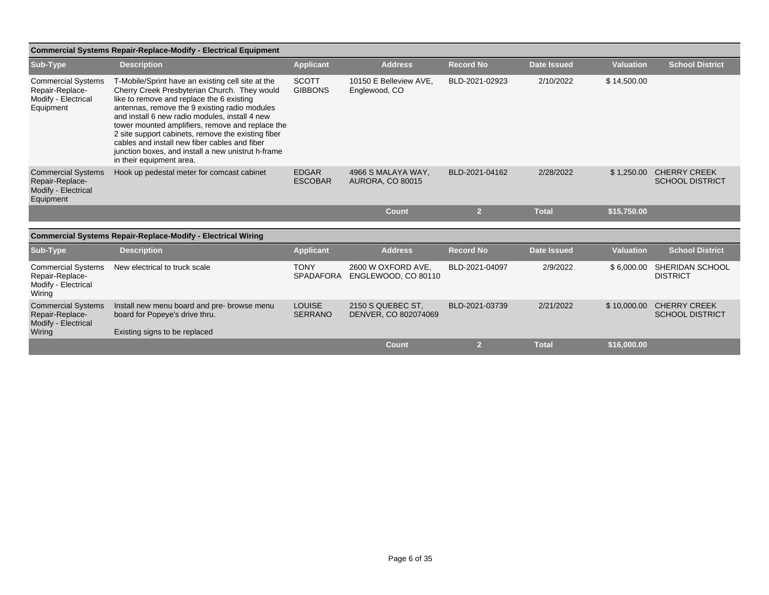|                                                                                  | <b>Commercial Systems Repair-Replace-Modify - Electrical Equipment</b>                                                                                                                                                                                                                                                                                                                                                                                                                         |                                 |                                               |                  |                    |                  |                                               |
|----------------------------------------------------------------------------------|------------------------------------------------------------------------------------------------------------------------------------------------------------------------------------------------------------------------------------------------------------------------------------------------------------------------------------------------------------------------------------------------------------------------------------------------------------------------------------------------|---------------------------------|-----------------------------------------------|------------------|--------------------|------------------|-----------------------------------------------|
| Sub-Type                                                                         | <b>Description</b>                                                                                                                                                                                                                                                                                                                                                                                                                                                                             | <b>Applicant</b>                | <b>Address</b>                                | <b>Record No</b> | <b>Date Issued</b> | <b>Valuation</b> | <b>School District</b>                        |
| <b>Commercial Systems</b><br>Repair-Replace-<br>Modify - Electrical<br>Equipment | T-Mobile/Sprint have an existing cell site at the<br>Cherry Creek Presbyterian Church. They would<br>like to remove and replace the 6 existing<br>antennas, remove the 9 existing radio modules<br>and install 6 new radio modules, install 4 new<br>tower mounted amplifiers, remove and replace the<br>2 site support cabinets, remove the existing fiber<br>cables and install new fiber cables and fiber<br>junction boxes, and install a new unistrut h-frame<br>in their equipment area. | <b>SCOTT</b><br><b>GIBBONS</b>  | 10150 E Belleview AVE,<br>Englewood, CO       | BLD-2021-02923   | 2/10/2022          | \$14,500.00      |                                               |
| <b>Commercial Systems</b><br>Repair-Replace-<br>Modify - Electrical<br>Equipment | Hook up pedestal meter for comcast cabinet                                                                                                                                                                                                                                                                                                                                                                                                                                                     | <b>EDGAR</b><br><b>ESCOBAR</b>  | 4966 S MALAYA WAY.<br><b>AURORA, CO 80015</b> | BLD-2021-04162   | 2/28/2022          | \$1,250.00       | <b>CHERRY CREEK</b><br><b>SCHOOL DISTRICT</b> |
|                                                                                  |                                                                                                                                                                                                                                                                                                                                                                                                                                                                                                |                                 | Count                                         | $\overline{2}$   | <b>Total</b>       | \$15,750.00      |                                               |
|                                                                                  | <b>Commercial Systems Repair-Replace-Modify - Electrical Wiring</b>                                                                                                                                                                                                                                                                                                                                                                                                                            |                                 |                                               |                  |                    |                  |                                               |
| Sub-Type                                                                         | <b>Description</b>                                                                                                                                                                                                                                                                                                                                                                                                                                                                             | <b>Applicant</b>                | <b>Address</b>                                | <b>Record No</b> | <b>Date Issued</b> | <b>Valuation</b> | <b>School District</b>                        |
| <b>Commercial Systems</b><br>Repair-Replace-<br>Modify - Electrical<br>Wiring    | New electrical to truck scale                                                                                                                                                                                                                                                                                                                                                                                                                                                                  | <b>TONY</b><br><b>SPADAFORA</b> | 2600 W OXFORD AVE,<br>ENGLEWOOD, CO 80110     | BLD-2021-04097   | 2/9/2022           | \$6,000.00       | SHERIDAN SCHOOL<br><b>DISTRICT</b>            |
| <b>Commercial Systems</b><br>Repair-Replace-<br>Modify - Electrical<br>Wiring    | Install new menu board and pre- browse menu<br>board for Popeye's drive thru.<br>Existing signs to be replaced                                                                                                                                                                                                                                                                                                                                                                                 | <b>LOUISE</b><br><b>SERRANO</b> | 2150 S QUEBEC ST.<br>DENVER, CO 802074069     | BLD-2021-03739   | 2/21/2022          | \$10,000.00      | <b>CHERRY CREEK</b><br><b>SCHOOL DISTRICT</b> |
|                                                                                  |                                                                                                                                                                                                                                                                                                                                                                                                                                                                                                |                                 | <b>Count</b>                                  | $\overline{2}$   | <b>Total</b>       | \$16,000.00      |                                               |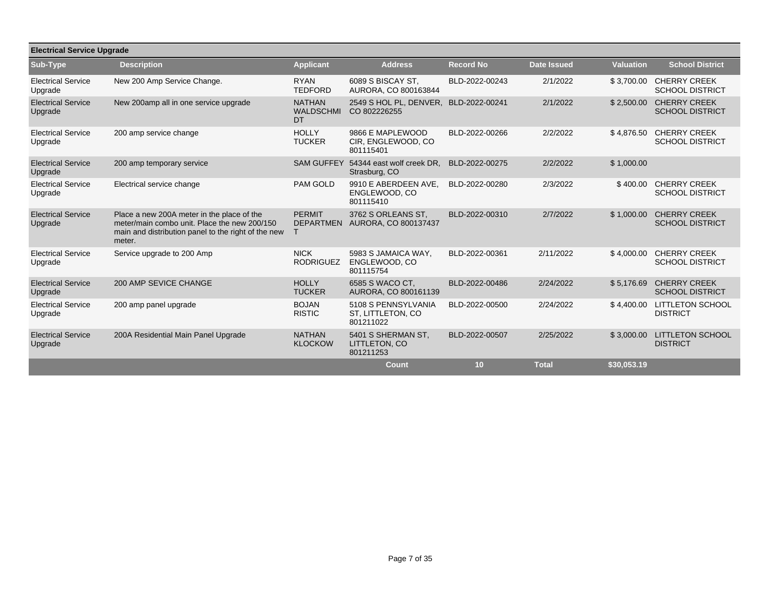| <b>Electrical Service Upgrade</b>    |                                                                                                                                                             |                                                |                                                       |                  |                    |                  |                                               |  |  |  |
|--------------------------------------|-------------------------------------------------------------------------------------------------------------------------------------------------------------|------------------------------------------------|-------------------------------------------------------|------------------|--------------------|------------------|-----------------------------------------------|--|--|--|
| Sub-Type                             | <b>Description</b>                                                                                                                                          | <b>Applicant</b>                               | <b>Address</b>                                        | <b>Record No</b> | <b>Date Issued</b> | <b>Valuation</b> | <b>School District</b>                        |  |  |  |
| <b>Electrical Service</b><br>Upgrade | New 200 Amp Service Change.                                                                                                                                 | <b>RYAN</b><br><b>TEDFORD</b>                  | 6089 S BISCAY ST.<br>AURORA, CO 800163844             | BLD-2022-00243   | 2/1/2022           | \$3,700.00       | <b>CHERRY CREEK</b><br><b>SCHOOL DISTRICT</b> |  |  |  |
| <b>Electrical Service</b><br>Upgrade | New 200amp all in one service upgrade                                                                                                                       | <b>NATHAN</b><br><b>WALDSCHMI</b><br><b>DT</b> | 2549 S HOL PL, DENVER,<br>CO 802226255                | BLD-2022-00241   | 2/1/2022           | \$2,500.00       | <b>CHERRY CREEK</b><br><b>SCHOOL DISTRICT</b> |  |  |  |
| <b>Electrical Service</b><br>Upgrade | 200 amp service change                                                                                                                                      | <b>HOLLY</b><br><b>TUCKER</b>                  | 9866 E MAPLEWOOD<br>CIR, ENGLEWOOD, CO<br>801115401   | BLD-2022-00266   | 2/2/2022           | \$4,876.50       | <b>CHERRY CREEK</b><br><b>SCHOOL DISTRICT</b> |  |  |  |
| <b>Electrical Service</b><br>Upgrade | 200 amp temporary service                                                                                                                                   | <b>SAM GUFFEY</b>                              | 54344 east wolf creek DR.<br>Strasburg, CO            | BLD-2022-00275   | 2/2/2022           | \$1,000.00       |                                               |  |  |  |
| <b>Electrical Service</b><br>Upgrade | Electrical service change                                                                                                                                   | <b>PAM GOLD</b>                                | 9910 E ABERDEEN AVE.<br>ENGLEWOOD, CO<br>801115410    | BLD-2022-00280   | 2/3/2022           | \$400.00         | <b>CHERRY CREEK</b><br><b>SCHOOL DISTRICT</b> |  |  |  |
| <b>Electrical Service</b><br>Upgrade | Place a new 200A meter in the place of the<br>meter/main combo unit. Place the new 200/150<br>main and distribution panel to the right of the new<br>meter. | <b>PERMIT</b><br><b>DEPARTMEN</b><br>T         | 3762 S ORLEANS ST.<br>AURORA, CO 800137437            | BLD-2022-00310   | 2/7/2022           | \$1,000.00       | <b>CHERRY CREEK</b><br><b>SCHOOL DISTRICT</b> |  |  |  |
| <b>Electrical Service</b><br>Upgrade | Service upgrade to 200 Amp                                                                                                                                  | <b>NICK</b><br><b>RODRIGUEZ</b>                | 5983 S JAMAICA WAY.<br>ENGLEWOOD, CO<br>801115754     | BLD-2022-00361   | 2/11/2022          | \$4,000.00       | <b>CHERRY CREEK</b><br><b>SCHOOL DISTRICT</b> |  |  |  |
| <b>Electrical Service</b><br>Upgrade | 200 AMP SEVICE CHANGE                                                                                                                                       | <b>HOLLY</b><br><b>TUCKER</b>                  | 6585 S WACO CT.<br>AURORA, CO 800161139               | BLD-2022-00486   | 2/24/2022          | \$5.176.69       | <b>CHERRY CREEK</b><br><b>SCHOOL DISTRICT</b> |  |  |  |
| <b>Electrical Service</b><br>Upgrade | 200 amp panel upgrade                                                                                                                                       | <b>BOJAN</b><br><b>RISTIC</b>                  | 5108 S PENNSYLVANIA<br>ST, LITTLETON, CO<br>801211022 | BLD-2022-00500   | 2/24/2022          | \$4,400.00       | <b>LITTLETON SCHOOL</b><br><b>DISTRICT</b>    |  |  |  |
| <b>Electrical Service</b><br>Upgrade | 200A Residential Main Panel Upgrade                                                                                                                         | <b>NATHAN</b><br><b>KLOCKOW</b>                | 5401 S SHERMAN ST.<br>LITTLETON, CO<br>801211253      | BLD-2022-00507   | 2/25/2022          | \$3,000.00       | <b>LITTLETON SCHOOL</b><br><b>DISTRICT</b>    |  |  |  |
|                                      |                                                                                                                                                             |                                                | Count                                                 | 10               | <b>Total</b>       | \$30,053.19      |                                               |  |  |  |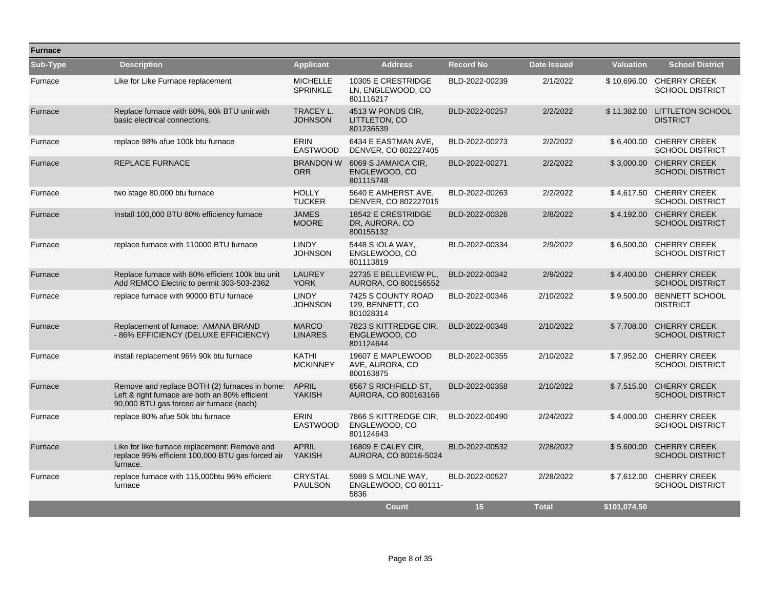| <b>Furnace</b> |                                                                                                                                             |                                    |                                                      |                  |                    |                  |                                                    |
|----------------|---------------------------------------------------------------------------------------------------------------------------------------------|------------------------------------|------------------------------------------------------|------------------|--------------------|------------------|----------------------------------------------------|
| Sub-Type       | <b>Description</b>                                                                                                                          | <b>Applicant</b>                   | <b>Address</b>                                       | <b>Record No</b> | <b>Date Issued</b> | <b>Valuation</b> | <b>School District</b>                             |
| Furnace        | Like for Like Furnace replacement                                                                                                           | <b>MICHELLE</b><br><b>SPRINKLE</b> | 10305 E CRESTRIDGE<br>LN, ENGLEWOOD, CO<br>801116217 | BLD-2022-00239   | 2/1/2022           |                  | \$10,696.00 CHERRY CREEK<br><b>SCHOOL DISTRICT</b> |
| Furnace        | Replace furnace with 80%, 80k BTU unit with<br>basic electrical connections.                                                                | TRACEY L.<br><b>JOHNSON</b>        | 4513 W PONDS CIR.<br>LITTLETON, CO<br>801236539      | BLD-2022-00257   | 2/2/2022           | \$11,382.00      | <b>LITTLETON SCHOOL</b><br><b>DISTRICT</b>         |
| Furnace        | replace 98% afue 100k btu furnace                                                                                                           | <b>ERIN</b><br><b>EASTWOOD</b>     | 6434 E EASTMAN AVE.<br>DENVER, CO 802227405          | BLD-2022-00273   | 2/2/2022           |                  | \$6.400.00 CHERRY CREEK<br><b>SCHOOL DISTRICT</b>  |
| Furnace        | <b>REPLACE FURNACE</b>                                                                                                                      | <b>BRANDON W</b><br><b>ORR</b>     | 6069 S JAMAICA CIR.<br>ENGLEWOOD, CO<br>801115748    | BLD-2022-00271   | 2/2/2022           | \$3,000.00       | <b>CHERRY CREEK</b><br><b>SCHOOL DISTRICT</b>      |
| Furnace        | two stage 80,000 btu furnace                                                                                                                | <b>HOLLY</b><br><b>TUCKER</b>      | 5640 E AMHERST AVE,<br>DENVER, CO 802227015          | BLD-2022-00263   | 2/2/2022           | \$4,617.50       | <b>CHERRY CREEK</b><br><b>SCHOOL DISTRICT</b>      |
| Furnace        | Install 100,000 BTU 80% efficiency furnace                                                                                                  | <b>JAMES</b><br><b>MOORE</b>       | 18542 E CRESTRIDGE<br>DR, AURORA, CO<br>800155132    | BLD-2022-00326   | 2/8/2022           |                  | \$4.192.00 CHERRY CREEK<br><b>SCHOOL DISTRICT</b>  |
| Furnace        | replace furnace with 110000 BTU furnace                                                                                                     | <b>LINDY</b><br><b>JOHNSON</b>     | 5448 S IOLA WAY,<br>ENGLEWOOD, CO<br>801113819       | BLD-2022-00334   | 2/9/2022           | \$6,500.00       | <b>CHERRY CREEK</b><br><b>SCHOOL DISTRICT</b>      |
| Furnace        | Replace furnace with 80% efficient 100k btu unit<br>Add REMCO Electric to permit 303-503-2362                                               | <b>LAUREY</b><br><b>YORK</b>       | 22735 E BELLEVIEW PL,<br>AURORA, CO 800156552        | BLD-2022-00342   | 2/9/2022           | \$4,400.00       | <b>CHERRY CREEK</b><br><b>SCHOOL DISTRICT</b>      |
| Furnace        | replace furnace with 90000 BTU furnace                                                                                                      | <b>LINDY</b><br><b>JOHNSON</b>     | 7425 S COUNTY ROAD<br>129, BENNETT, CO<br>801028314  | BLD-2022-00346   | 2/10/2022          | \$9,500.00       | <b>BENNETT SCHOOL</b><br><b>DISTRICT</b>           |
| Furnace        | Replacement of furnace: AMANA BRAND<br>- 86% EFFICIENCY (DELUXE EFFICIENCY)                                                                 | <b>MARCO</b><br><b>LINARES</b>     | 7823 S KITTREDGE CIR.<br>ENGLEWOOD, CO<br>801124644  | BLD-2022-00348   | 2/10/2022          | \$7.708.00       | <b>CHERRY CREEK</b><br><b>SCHOOL DISTRICT</b>      |
| Furnace        | install replacement 96% 90k btu furnace                                                                                                     | <b>KATHI</b><br><b>MCKINNEY</b>    | 19607 E MAPLEWOOD<br>AVE, AURORA, CO<br>800163875    | BLD-2022-00355   | 2/10/2022          | \$7.952.00       | <b>CHERRY CREEK</b><br><b>SCHOOL DISTRICT</b>      |
| Furnace        | Remove and replace BOTH (2) furnaces in home:<br>Left & right furnace are both an 80% efficient<br>90,000 BTU gas forced air furnace (each) | <b>APRIL</b><br><b>YAKISH</b>      | 6567 S RICHFIELD ST,<br>AURORA, CO 800163166         | BLD-2022-00358   | 2/10/2022          | \$7,515.00       | <b>CHERRY CREEK</b><br><b>SCHOOL DISTRICT</b>      |
| Furnace        | replace 80% afue 50k btu furnace                                                                                                            | <b>ERIN</b><br><b>EASTWOOD</b>     | 7866 S KITTREDGE CIR,<br>ENGLEWOOD, CO<br>801124643  | BLD-2022-00490   | 2/24/2022          | \$4,000.00       | <b>CHERRY CREEK</b><br><b>SCHOOL DISTRICT</b>      |
| Furnace        | Like for like furnace replacement: Remove and<br>replace 95% efficient 100,000 BTU gas forced air<br>furnace.                               | <b>APRIL</b><br>YAKISH             | 16809 E CALEY CIR,<br>AURORA, CO 80016-5024          | BLD-2022-00532   | 2/28/2022          | \$5,600.00       | <b>CHERRY CREEK</b><br><b>SCHOOL DISTRICT</b>      |
| Furnace        | replace furnace with 115,000btu 96% efficient<br>furnace                                                                                    | <b>CRYSTAL</b><br><b>PAULSON</b>   | 5989 S MOLINE WAY,<br>ENGLEWOOD, CO 80111-<br>5836   | BLD-2022-00527   | 2/28/2022          | \$7,612.00       | <b>CHERRY CREEK</b><br><b>SCHOOL DISTRICT</b>      |
|                |                                                                                                                                             |                                    | <b>Count</b>                                         | 15               | <b>Total</b>       | \$101.074.50     |                                                    |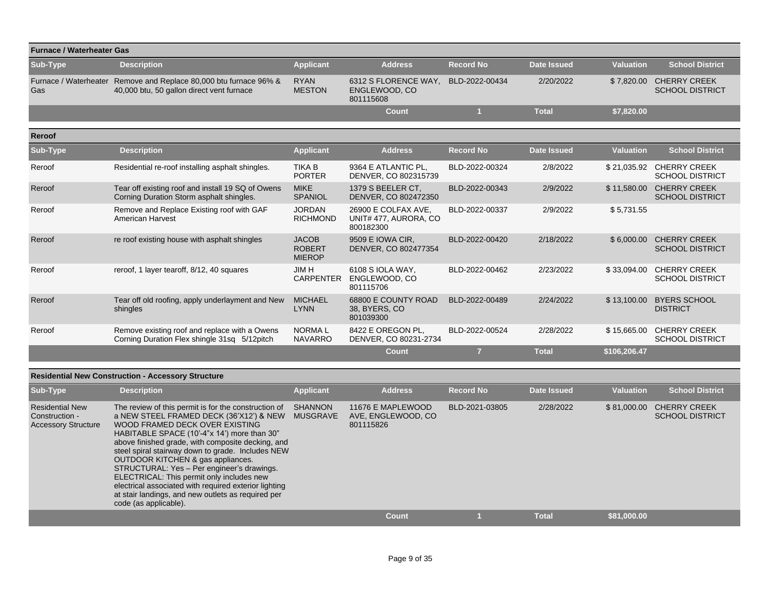|                              | <b>Furnace / Waterheater Gas</b>                                                              |                                                |                                                           |                  |                    |                  |                                               |  |  |  |  |  |
|------------------------------|-----------------------------------------------------------------------------------------------|------------------------------------------------|-----------------------------------------------------------|------------------|--------------------|------------------|-----------------------------------------------|--|--|--|--|--|
| Sub-Type                     | <b>Description</b>                                                                            | <b>Applicant</b>                               | <b>Address</b>                                            | <b>Record No</b> | <b>Date Issued</b> | <b>Valuation</b> | <b>School District</b>                        |  |  |  |  |  |
| Furnace / Waterheater<br>Gas | Remove and Replace 80,000 btu furnace 96% &<br>40,000 btu, 50 gallon direct vent furnace      | <b>RYAN</b><br><b>MESTON</b>                   | 6312 S FLORENCE WAY.<br>ENGLEWOOD, CO<br>801115608        | BLD-2022-00434   | 2/20/2022          | \$7,820.00       | <b>CHERRY CREEK</b><br><b>SCHOOL DISTRICT</b> |  |  |  |  |  |
|                              |                                                                                               |                                                | Count                                                     |                  | <b>Total</b>       | \$7,820.00       |                                               |  |  |  |  |  |
| <b>Reroof</b>                |                                                                                               |                                                |                                                           |                  |                    |                  |                                               |  |  |  |  |  |
| Sub-Type                     | <b>Description</b>                                                                            | <b>Applicant</b>                               | <b>Address</b>                                            | <b>Record No</b> | <b>Date Issued</b> | <b>Valuation</b> | <b>School District</b>                        |  |  |  |  |  |
| Reroof                       | Residential re-roof installing asphalt shingles.                                              | <b>TIKA B</b><br><b>PORTER</b>                 | 9364 E ATLANTIC PL.<br>DENVER, CO 802315739               | BLD-2022-00324   | 2/8/2022           | \$21,035.92      | <b>CHERRY CREEK</b><br><b>SCHOOL DISTRICT</b> |  |  |  |  |  |
| Reroof                       | Tear off existing roof and install 19 SQ of Owens<br>Corning Duration Storm asphalt shingles. | <b>MIKE</b><br><b>SPANIOL</b>                  | 1379 S BEELER CT.<br>DENVER, CO 802472350                 | BLD-2022-00343   | 2/9/2022           | \$11,580.00      | <b>CHERRY CREEK</b><br><b>SCHOOL DISTRICT</b> |  |  |  |  |  |
| Reroof                       | Remove and Replace Existing roof with GAF<br><b>American Harvest</b>                          | <b>JORDAN</b><br><b>RICHMOND</b>               | 26900 E COLFAX AVE.<br>UNIT# 477, AURORA, CO<br>800182300 | BLD-2022-00337   | 2/9/2022           | \$5,731.55       |                                               |  |  |  |  |  |
| Reroof                       | re roof existing house with asphalt shingles                                                  | <b>JACOB</b><br><b>ROBERT</b><br><b>MIEROP</b> | 9509 E IOWA CIR.<br>DENVER, CO 802477354                  | BLD-2022-00420   | 2/18/2022          | \$6,000.00       | <b>CHERRY CREEK</b><br><b>SCHOOL DISTRICT</b> |  |  |  |  |  |
| Reroof                       | reroof, 1 layer tearoff, 8/12, 40 squares                                                     | <b>JIMH</b><br><b>CARPENTER</b>                | 6108 S IOLA WAY.<br>ENGLEWOOD, CO<br>801115706            | BLD-2022-00462   | 2/23/2022          | \$33,094.00      | <b>CHERRY CREEK</b><br><b>SCHOOL DISTRICT</b> |  |  |  |  |  |
| Reroof                       | Tear off old roofing, apply underlayment and New<br>shingles                                  | <b>MICHAEL</b><br><b>LYNN</b>                  | 68800 E COUNTY ROAD<br>38, BYERS, CO<br>801039300         | BLD-2022-00489   | 2/24/2022          | \$13,100.00      | <b>BYERS SCHOOL</b><br><b>DISTRICT</b>        |  |  |  |  |  |
| Reroof                       | Remove existing roof and replace with a Owens<br>Corning Duration Flex shingle 31sq 5/12pitch | <b>NORMAL</b><br><b>NAVARRO</b>                | 8422 E OREGON PL.<br>DENVER, CO 80231-2734                | BLD-2022-00524   | 2/28/2022          | \$15,665.00      | <b>CHERRY CREEK</b><br><b>SCHOOL DISTRICT</b> |  |  |  |  |  |
|                              |                                                                                               |                                                | <b>Count</b>                                              | $\overline{7}$   | <b>Total</b>       | \$106,206.47     |                                               |  |  |  |  |  |

## **Residential New Construction - Accessory Structure**

| Sub-Type                                                               | <b>Description</b>                                                                                                                                                                                                                                                                                                                                                                                                                                                                                                                                                 | <b>Applicant</b>                  | <b>Address</b>                                       | <b>Record No</b> | Date Issued  | Valuation   | <b>School District</b>                        |
|------------------------------------------------------------------------|--------------------------------------------------------------------------------------------------------------------------------------------------------------------------------------------------------------------------------------------------------------------------------------------------------------------------------------------------------------------------------------------------------------------------------------------------------------------------------------------------------------------------------------------------------------------|-----------------------------------|------------------------------------------------------|------------------|--------------|-------------|-----------------------------------------------|
| <b>Residential New</b><br>Construction -<br><b>Accessory Structure</b> | The review of this permit is for the construction of<br>a NEW STEEL FRAMED DECK (36'X12') & NEW<br>WOOD FRAMED DECK OVER EXISTING<br>HABITABLE SPACE (10'-4"x 14') more than 30"<br>above finished grade, with composite decking, and<br>steel spiral stairway down to grade. Includes NEW<br>OUTDOOR KITCHEN & gas appliances.<br>STRUCTURAL: Yes - Per engineer's drawings.<br>ELECTRICAL: This permit only includes new<br>electrical associated with required exterior lighting<br>at stair landings, and new outlets as required per<br>code (as applicable). | <b>SHANNON</b><br><b>MUSGRAVE</b> | 11676 E MAPLEWOOD<br>AVE, ENGLEWOOD, CO<br>801115826 | BLD-2021-03805   | 2/28/2022    | \$81,000.00 | <b>CHERRY CREEK</b><br><b>SCHOOL DISTRICT</b> |
|                                                                        |                                                                                                                                                                                                                                                                                                                                                                                                                                                                                                                                                                    |                                   | Count                                                |                  | <b>Total</b> | \$81.000.00 |                                               |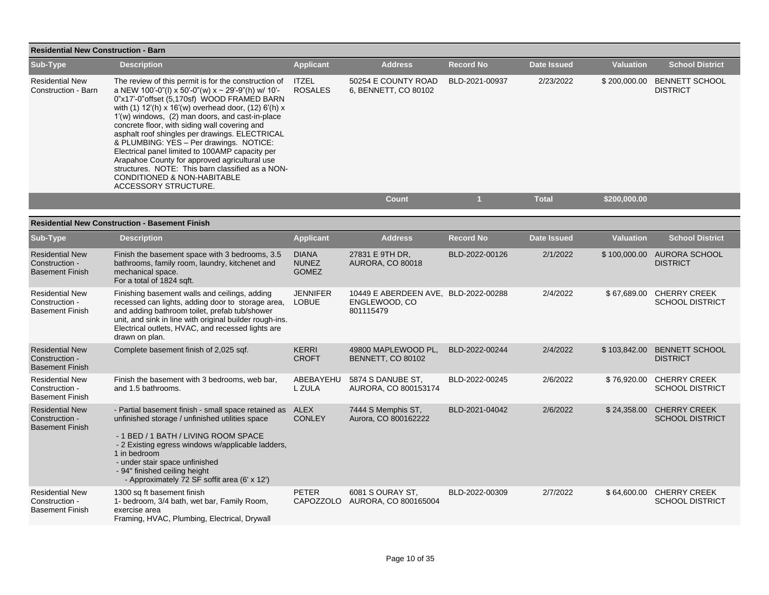| <b>Residential New Construction - Barn</b>                         |                                                                                                                                                                                                                                                                                                                                                                                                                                                                                                                                                                                                                                                     |                                              |                                                                    |                  |                    |                  |                                                    |  |  |  |  |
|--------------------------------------------------------------------|-----------------------------------------------------------------------------------------------------------------------------------------------------------------------------------------------------------------------------------------------------------------------------------------------------------------------------------------------------------------------------------------------------------------------------------------------------------------------------------------------------------------------------------------------------------------------------------------------------------------------------------------------------|----------------------------------------------|--------------------------------------------------------------------|------------------|--------------------|------------------|----------------------------------------------------|--|--|--|--|
| Sub-Type                                                           | <b>Description</b>                                                                                                                                                                                                                                                                                                                                                                                                                                                                                                                                                                                                                                  | <b>Applicant</b>                             | <b>Address</b>                                                     | <b>Record No</b> | <b>Date Issued</b> | <b>Valuation</b> | <b>School District</b>                             |  |  |  |  |
| <b>Residential New</b><br>Construction - Barn                      | The review of this permit is for the construction of<br>a NEW 100'-0"(l) x 50'-0"(w) x ~ 29'-9"(h) w/ 10'-<br>0"x17'-0" offset (5,170sf) WOOD FRAMED BARN<br>with (1) 12'(h) x 16'(w) overhead door, (12) 6'(h) x<br>1'(w) windows, (2) man doors, and cast-in-place<br>concrete floor, with siding wall covering and<br>asphalt roof shingles per drawings. ELECTRICAL<br>& PLUMBING: YES - Per drawings. NOTICE:<br>Electrical panel limited to 100AMP capacity per<br>Arapahoe County for approved agricultural use<br>structures. NOTE: This barn classified as a NON-<br><b>CONDITIONED &amp; NON-HABITABLE</b><br><b>ACCESSORY STRUCTURE.</b> | <b>ITZEL</b><br><b>ROSALES</b>               | 50254 E COUNTY ROAD<br>6, BENNETT, CO 80102                        | BLD-2021-00937   | 2/23/2022          |                  | \$200,000.00 BENNETT SCHOOL<br><b>DISTRICT</b>     |  |  |  |  |
|                                                                    |                                                                                                                                                                                                                                                                                                                                                                                                                                                                                                                                                                                                                                                     |                                              | <b>Count</b>                                                       | $\overline{1}$   | <b>Total</b>       | \$200,000.00     |                                                    |  |  |  |  |
|                                                                    | <b>Residential New Construction - Basement Finish</b>                                                                                                                                                                                                                                                                                                                                                                                                                                                                                                                                                                                               |                                              |                                                                    |                  |                    |                  |                                                    |  |  |  |  |
| Sub-Type                                                           | <b>Description</b>                                                                                                                                                                                                                                                                                                                                                                                                                                                                                                                                                                                                                                  | <b>Applicant</b>                             | <b>Address</b>                                                     | <b>Record No</b> | <b>Date Issued</b> | <b>Valuation</b> | <b>School District</b>                             |  |  |  |  |
| <b>Residential New</b><br>Construction -<br><b>Basement Finish</b> | Finish the basement space with 3 bedrooms, 3.5<br>bathrooms, family room, laundry, kitchenet and<br>mechanical space.<br>For a total of 1824 sqft.                                                                                                                                                                                                                                                                                                                                                                                                                                                                                                  | <b>DIANA</b><br><b>NUNEZ</b><br><b>GOMEZ</b> | 27831 E 9TH DR,<br><b>AURORA, CO 80018</b>                         | BLD-2022-00126   | 2/1/2022           |                  | \$100,000.00 AURORA SCHOOL<br><b>DISTRICT</b>      |  |  |  |  |
| <b>Residential New</b><br>Construction -<br><b>Basement Finish</b> | Finishing basement walls and ceilings, adding<br>recessed can lights, adding door to storage area,<br>and adding bathroom toilet, prefab tub/shower<br>unit, and sink in line with original builder rough-ins.<br>Electrical outlets, HVAC, and recessed lights are<br>drawn on plan.                                                                                                                                                                                                                                                                                                                                                               | <b>JENNIFER</b><br><b>LOBUE</b>              | 10449 E ABERDEEN AVE, BLD-2022-00288<br>ENGLEWOOD, CO<br>801115479 |                  | 2/4/2022           | \$67,689.00      | <b>CHERRY CREEK</b><br><b>SCHOOL DISTRICT</b>      |  |  |  |  |
| <b>Residential New</b><br>Construction -<br><b>Basement Finish</b> | Complete basement finish of 2,025 sqf.                                                                                                                                                                                                                                                                                                                                                                                                                                                                                                                                                                                                              | <b>KERRI</b><br><b>CROFT</b>                 | 49800 MAPLEWOOD PL,<br>BENNETT, CO 80102                           | BLD-2022-00244   | 2/4/2022           | \$103,842.00     | <b>BENNETT SCHOOL</b><br><b>DISTRICT</b>           |  |  |  |  |
| <b>Residential New</b><br>Construction -<br><b>Basement Finish</b> | Finish the basement with 3 bedrooms, web bar,<br>and 1.5 bathrooms.                                                                                                                                                                                                                                                                                                                                                                                                                                                                                                                                                                                 | ABEBAYEHU<br>L ZULA                          | 5874 S DANUBE ST.<br>AURORA, CO 800153174                          | BLD-2022-00245   | 2/6/2022           | \$76,920.00      | <b>CHERRY CREEK</b><br><b>SCHOOL DISTRICT</b>      |  |  |  |  |
| <b>Residential New</b><br>Construction -<br><b>Basement Finish</b> | - Partial basement finish - small space retained as ALEX<br>unfinished storage / unfinished utilities space<br>- 1 BED / 1 BATH / LIVING ROOM SPACE<br>- 2 Existing egress windows w/applicable ladders,<br>1 in bedroom<br>- under stair space unfinished<br>- 94" finished ceiling height<br>- Approximately 72 SF soffit area (6' x 12')                                                                                                                                                                                                                                                                                                         | <b>CONLEY</b>                                | 7444 S Memphis ST,<br>Aurora, CO 800162222                         | BLD-2021-04042   | 2/6/2022           | \$24,358.00      | <b>CHERRY CREEK</b><br><b>SCHOOL DISTRICT</b>      |  |  |  |  |
| <b>Residential New</b><br>Construction<br><b>Basement Finish</b>   | 1300 sq ft basement finish<br>1- bedroom, 3/4 bath, wet bar, Family Room,<br>exercise area<br>Framing, HVAC, Plumbing, Electrical, Drywall                                                                                                                                                                                                                                                                                                                                                                                                                                                                                                          | <b>PETER</b>                                 | 6081 S OURAY ST.<br>CAPOZZOLO AURORA, CO 800165004                 | BLD-2022-00309   | 2/7/2022           |                  | \$64,600.00 CHERRY CREEK<br><b>SCHOOL DISTRICT</b> |  |  |  |  |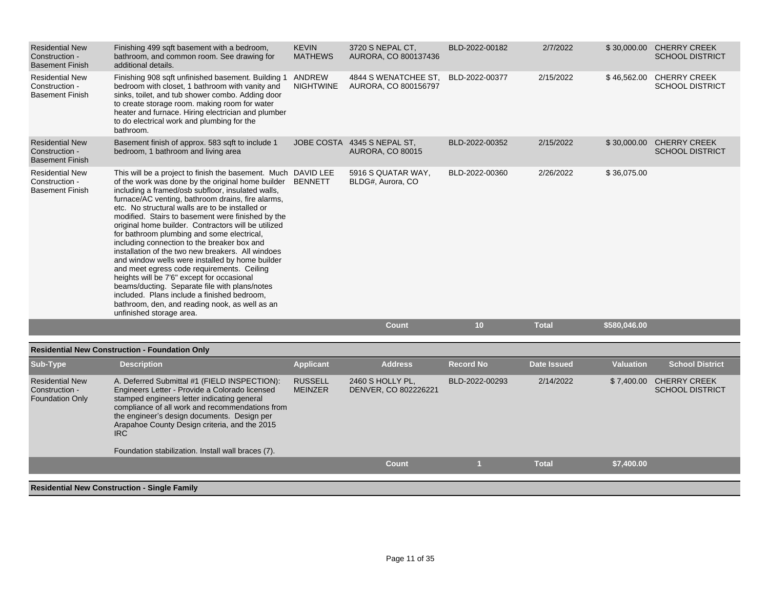| <b>Residential New</b><br>Construction -<br><b>Basement Finish</b> | Finishing 499 sqft basement with a bedroom,<br>bathroom, and common room. See drawing for<br>additional details.                                                                                                                                                                                                                                                                                                                                                                                                                                                                                                                                                                                                                                                                                                                                                           | <b>KEVIN</b><br><b>MATHEWS</b>   | 3720 S NEPAL CT.<br>AURORA, CO 800137436               | BLD-2022-00182   | 2/7/2022           |                  | \$30,000.00 CHERRY CREEK<br><b>SCHOOL DISTRICT</b> |
|--------------------------------------------------------------------|----------------------------------------------------------------------------------------------------------------------------------------------------------------------------------------------------------------------------------------------------------------------------------------------------------------------------------------------------------------------------------------------------------------------------------------------------------------------------------------------------------------------------------------------------------------------------------------------------------------------------------------------------------------------------------------------------------------------------------------------------------------------------------------------------------------------------------------------------------------------------|----------------------------------|--------------------------------------------------------|------------------|--------------------|------------------|----------------------------------------------------|
| <b>Residential New</b><br>Construction -<br><b>Basement Finish</b> | Finishing 908 sqft unfinished basement. Building 1<br>bedroom with closet, 1 bathroom with vanity and<br>sinks, toilet, and tub shower combo. Adding door<br>to create storage room. making room for water<br>heater and furnace. Hiring electrician and plumber<br>to do electrical work and plumbing for the<br>bathroom.                                                                                                                                                                                                                                                                                                                                                                                                                                                                                                                                                | ANDREW<br><b>NIGHTWINE</b>       | 4844 S WENATCHEE ST,<br>AURORA, CO 800156797           | BLD-2022-00377   | 2/15/2022          |                  | \$46,562.00 CHERRY CREEK<br><b>SCHOOL DISTRICT</b> |
| <b>Residential New</b><br>Construction -<br><b>Basement Finish</b> | Basement finish of approx. 583 sqft to include 1<br>bedroom, 1 bathroom and living area                                                                                                                                                                                                                                                                                                                                                                                                                                                                                                                                                                                                                                                                                                                                                                                    |                                  | JOBE COSTA 4345 S NEPAL ST.<br><b>AURORA, CO 80015</b> | BLD-2022-00352   | 2/15/2022          |                  | \$30,000.00 CHERRY CREEK<br><b>SCHOOL DISTRICT</b> |
| <b>Residential New</b><br>Construction -<br><b>Basement Finish</b> | This will be a project to finish the basement. Much DAVID LEE<br>of the work was done by the original home builder<br>including a framed/osb subfloor, insulated walls,<br>furnace/AC venting, bathroom drains, fire alarms,<br>etc. No structural walls are to be installed or<br>modified. Stairs to basement were finished by the<br>original home builder. Contractors will be utilized<br>for bathroom plumbing and some electrical,<br>including connection to the breaker box and<br>installation of the two new breakers. All windoes<br>and window wells were installed by home builder<br>and meet egress code requirements. Ceiling<br>heights will be 7'6" except for occasional<br>beams/ducting. Separate file with plans/notes<br>included. Plans include a finished bedroom,<br>bathroom, den, and reading nook, as well as an<br>unfinished storage area. | <b>BENNETT</b>                   | 5916 S QUATAR WAY,<br>BLDG#, Aurora, CO                | BLD-2022-00360   | 2/26/2022          | \$36,075.00      |                                                    |
|                                                                    |                                                                                                                                                                                                                                                                                                                                                                                                                                                                                                                                                                                                                                                                                                                                                                                                                                                                            |                                  | <b>Count</b>                                           | 10               | <b>Total</b>       | \$580,046.00     |                                                    |
|                                                                    | <b>Residential New Construction - Foundation Only</b>                                                                                                                                                                                                                                                                                                                                                                                                                                                                                                                                                                                                                                                                                                                                                                                                                      |                                  |                                                        |                  |                    |                  |                                                    |
| Sub-Type                                                           | <b>Description</b>                                                                                                                                                                                                                                                                                                                                                                                                                                                                                                                                                                                                                                                                                                                                                                                                                                                         | <b>Applicant</b>                 | <b>Address</b>                                         | <b>Record No</b> | <b>Date Issued</b> | <b>Valuation</b> | <b>School District</b>                             |
| <b>Residential New</b><br>Construction -<br><b>Foundation Only</b> | A. Deferred Submittal #1 (FIELD INSPECTION):<br>Engineers Letter - Provide a Colorado licensed<br>stamped engineers letter indicating general<br>compliance of all work and recommendations from<br>the engineer's design documents. Design per<br>Arapahoe County Design criteria, and the 2015                                                                                                                                                                                                                                                                                                                                                                                                                                                                                                                                                                           | <b>RUSSELL</b><br><b>MEINZER</b> | 2460 S HOLLY PL,<br>DENVER, CO 802226221               | BLD-2022-00293   | 2/14/2022          |                  | \$7,400.00 CHERRY CREEK<br><b>SCHOOL DISTRICT</b>  |

Foundation stabilization. Install wall braces (7).

**Residential New Construction - Single Family**

IRC

**Count 1 Total \$7,400.00**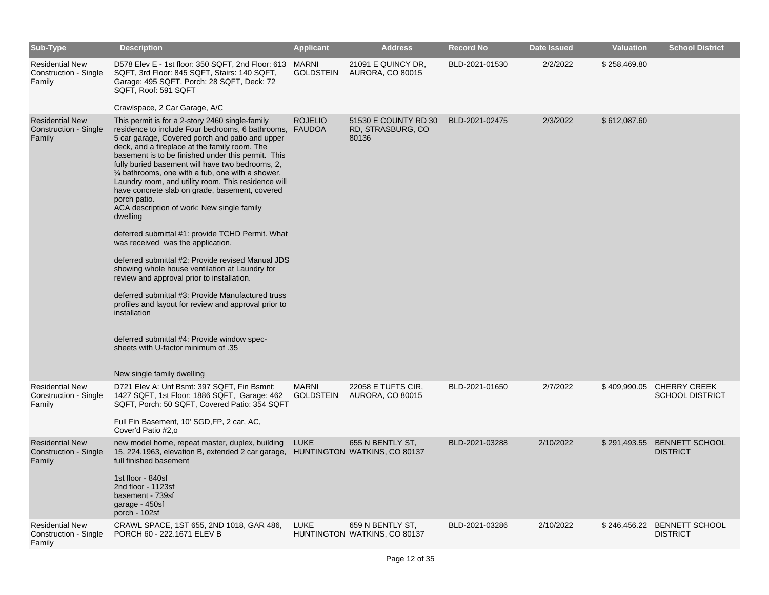| Sub-Type                                                         | <b>Description</b>                                                                                                                                                                                                                                                                                                                                                                                                                                                                                                                                                                                                             | <b>Applicant</b>          | <b>Address</b>                                     | <b>Record No</b> | <b>Date Issued</b> | <b>Valuation</b> | <b>School District</b>                              |
|------------------------------------------------------------------|--------------------------------------------------------------------------------------------------------------------------------------------------------------------------------------------------------------------------------------------------------------------------------------------------------------------------------------------------------------------------------------------------------------------------------------------------------------------------------------------------------------------------------------------------------------------------------------------------------------------------------|---------------------------|----------------------------------------------------|------------------|--------------------|------------------|-----------------------------------------------------|
| <b>Residential New</b><br>Construction - Single<br>Family        | D578 Elev E - 1st floor: 350 SQFT, 2nd Floor: 613<br>SQFT, 3rd Floor: 845 SQFT, Stairs: 140 SQFT,<br>Garage: 495 SQFT, Porch: 28 SQFT, Deck: 72<br>SQFT, Roof: 591 SQFT                                                                                                                                                                                                                                                                                                                                                                                                                                                        | MARNI<br><b>GOLDSTEIN</b> | 21091 E QUINCY DR,<br><b>AURORA, CO 80015</b>      | BLD-2021-01530   | 2/2/2022           | \$258,469.80     |                                                     |
|                                                                  | Crawlspace, 2 Car Garage, A/C                                                                                                                                                                                                                                                                                                                                                                                                                                                                                                                                                                                                  |                           |                                                    |                  |                    |                  |                                                     |
| <b>Residential New</b><br><b>Construction - Single</b><br>Family | This permit is for a 2-story 2460 single-family<br>residence to include Four bedrooms, 6 bathrooms, FAUDOA<br>5 car garage, Covered porch and patio and upper<br>deck, and a fireplace at the family room. The<br>basement is to be finished under this permit. This<br>fully buried basement will have two bedrooms, 2,<br>$\frac{3}{4}$ bathrooms, one with a tub, one with a shower,<br>Laundry room, and utility room. This residence will<br>have concrete slab on grade, basement, covered<br>porch patio.<br>ACA description of work: New single family<br>dwelling<br>deferred submittal #1: provide TCHD Permit. What | <b>ROJELIO</b>            | 51530 E COUNTY RD 30<br>RD, STRASBURG, CO<br>80136 | BLD-2021-02475   | 2/3/2022           | \$612,087.60     |                                                     |
|                                                                  | was received was the application.                                                                                                                                                                                                                                                                                                                                                                                                                                                                                                                                                                                              |                           |                                                    |                  |                    |                  |                                                     |
|                                                                  | deferred submittal #2: Provide revised Manual JDS<br>showing whole house ventilation at Laundry for<br>review and approval prior to installation.                                                                                                                                                                                                                                                                                                                                                                                                                                                                              |                           |                                                    |                  |                    |                  |                                                     |
|                                                                  | deferred submittal #3: Provide Manufactured truss<br>profiles and layout for review and approval prior to<br>installation                                                                                                                                                                                                                                                                                                                                                                                                                                                                                                      |                           |                                                    |                  |                    |                  |                                                     |
|                                                                  | deferred submittal #4: Provide window spec-<br>sheets with U-factor minimum of .35                                                                                                                                                                                                                                                                                                                                                                                                                                                                                                                                             |                           |                                                    |                  |                    |                  |                                                     |
|                                                                  | New single family dwelling                                                                                                                                                                                                                                                                                                                                                                                                                                                                                                                                                                                                     |                           |                                                    |                  |                    |                  |                                                     |
| <b>Residential New</b><br>Construction - Single<br>Family        | D721 Elev A: Unf Bsmt: 397 SQFT, Fin Bsmnt:<br>1427 SQFT, 1st Floor: 1886 SQFT, Garage: 462<br>SQFT, Porch: 50 SQFT, Covered Patio: 354 SQFT<br>Full Fin Basement, 10' SGD, FP, 2 car, AC,<br>Cover'd Patio #2,0                                                                                                                                                                                                                                                                                                                                                                                                               | <b>MARNI</b><br>GOLDSTEIN | 22058 E TUFTS CIR,<br><b>AURORA, CO 80015</b>      | BLD-2021-01650   | 2/7/2022           |                  | \$409,990.05 CHERRY CREEK<br><b>SCHOOL DISTRICT</b> |
| <b>Residential New</b><br>Construction - Single<br>Family        | new model home, repeat master, duplex, building<br>15, 224.1963, elevation B, extended 2 car garage, HUNTINGTON WATKINS, CO 80137<br>full finished basement<br>1st floor - 840sf<br>2nd floor - 1123sf<br>basement - 739sf<br>garage - 450sf                                                                                                                                                                                                                                                                                                                                                                                   | <b>LUKE</b>               | 655 N BENTLY ST.                                   | BLD-2021-03288   | 2/10/2022          |                  | \$291,493.55 BENNETT SCHOOL<br><b>DISTRICT</b>      |
|                                                                  | porch - 102sf                                                                                                                                                                                                                                                                                                                                                                                                                                                                                                                                                                                                                  |                           |                                                    |                  |                    |                  |                                                     |
| <b>Residential New</b><br>Construction - Single<br>Family        | CRAWL SPACE, 1ST 655, 2ND 1018, GAR 486,<br>PORCH 60 - 222.1671 ELEV B                                                                                                                                                                                                                                                                                                                                                                                                                                                                                                                                                         | LUKE                      | 659 N BENTLY ST,<br>HUNTINGTON WATKINS, CO 80137   | BLD-2021-03286   | 2/10/2022          |                  | \$246,456.22 BENNETT SCHOOL<br><b>DISTRICT</b>      |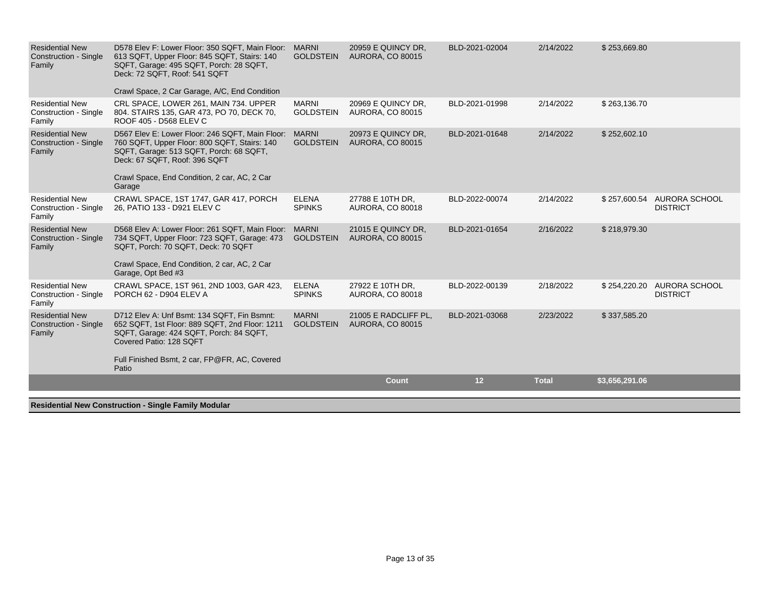| <b>Residential New</b><br><b>Construction - Single</b><br>Family | D578 Elev F: Lower Floor: 350 SQFT, Main Floor:<br>613 SQFT, Upper Floor: 845 SQFT, Stairs: 140<br>SQFT, Garage: 495 SQFT, Porch: 28 SQFT,<br>Deck: 72 SQFT, Roof: 541 SQFT                                                                 | <b>MARNI</b><br><b>GOLDSTEIN</b> | 20959 E QUINCY DR.<br><b>AURORA, CO 80015</b>   | BLD-2021-02004 | 2/14/2022    | \$253,669.80   |                                               |
|------------------------------------------------------------------|---------------------------------------------------------------------------------------------------------------------------------------------------------------------------------------------------------------------------------------------|----------------------------------|-------------------------------------------------|----------------|--------------|----------------|-----------------------------------------------|
|                                                                  | Crawl Space, 2 Car Garage, A/C, End Condition                                                                                                                                                                                               |                                  |                                                 |                |              |                |                                               |
| <b>Residential New</b><br><b>Construction - Single</b><br>Family | CRL SPACE, LOWER 261, MAIN 734. UPPER<br>804. STAIRS 135, GAR 473, PO 70, DECK 70,<br>ROOF 405 - D568 ELEV C                                                                                                                                | <b>MARNI</b><br><b>GOLDSTEIN</b> | 20969 E QUINCY DR.<br><b>AURORA, CO 80015</b>   | BLD-2021-01998 | 2/14/2022    | \$263,136.70   |                                               |
| <b>Residential New</b><br><b>Construction - Single</b><br>Family | D567 Elev E: Lower Floor: 246 SQFT, Main Floor: MARNI<br>760 SQFT, Upper Floor: 800 SQFT, Stairs: 140<br>SQFT, Garage: 513 SQFT, Porch: 68 SQFT,<br>Deck: 67 SQFT, Roof: 396 SQFT<br>Crawl Space, End Condition, 2 car, AC, 2 Car<br>Garage | <b>GOLDSTEIN</b>                 | 20973 E QUINCY DR.<br><b>AURORA, CO 80015</b>   | BLD-2021-01648 | 2/14/2022    | \$252,602.10   |                                               |
| <b>Residential New</b><br>Construction - Single<br>Family        | CRAWL SPACE, 1ST 1747, GAR 417, PORCH<br>26, PATIO 133 - D921 ELEV C                                                                                                                                                                        | <b>ELENA</b><br><b>SPINKS</b>    | 27788 E 10TH DR,<br><b>AURORA, CO 80018</b>     | BLD-2022-00074 | 2/14/2022    | \$257,600.54   | AURORA SCHOOL<br><b>DISTRICT</b>              |
| <b>Residential New</b><br><b>Construction - Single</b><br>Family | D568 Elev A: Lower Floor: 261 SQFT, Main Floor: MARNI<br>734 SQFT, Upper Floor: 723 SQFT, Garage: 473<br>SQFT, Porch: 70 SQFT, Deck: 70 SQFT<br>Crawl Space, End Condition, 2 car, AC, 2 Car<br>Garage, Opt Bed #3                          | <b>GOLDSTEIN</b>                 | 21015 E QUINCY DR.<br><b>AURORA, CO 80015</b>   | BLD-2021-01654 | 2/16/2022    | \$218,979.30   |                                               |
| <b>Residential New</b><br>Construction - Single<br>Family        | CRAWL SPACE, 1ST 961, 2ND 1003, GAR 423,<br>PORCH 62 - D904 ELEV A                                                                                                                                                                          | <b>ELENA</b><br><b>SPINKS</b>    | 27922 E 10TH DR,<br><b>AURORA, CO 80018</b>     | BLD-2022-00139 | 2/18/2022    |                | \$254,220.20 AURORA SCHOOL<br><b>DISTRICT</b> |
| <b>Residential New</b><br><b>Construction - Single</b><br>Family | D712 Elev A: Unf Bsmt: 134 SQFT, Fin Bsmnt:<br>652 SQFT, 1st Floor: 889 SQFT, 2nd Floor: 1211<br>SQFT, Garage: 424 SQFT, Porch: 84 SQFT,<br>Covered Patio: 128 SQFT                                                                         | <b>MARNI</b><br><b>GOLDSTEIN</b> | 21005 E RADCLIFF PL,<br><b>AURORA, CO 80015</b> | BLD-2021-03068 | 2/23/2022    | \$337,585.20   |                                               |
|                                                                  | Full Finished Bsmt, 2 car, FP@FR, AC, Covered<br>Patio                                                                                                                                                                                      |                                  |                                                 |                |              |                |                                               |
|                                                                  |                                                                                                                                                                                                                                             |                                  | <b>Count</b>                                    | 12             | <b>Total</b> | \$3,656,291.06 |                                               |
| بمسمى بيبوا الملهسمانية                                          | touration. Observe Fourth Module                                                                                                                                                                                                            |                                  |                                                 |                |              |                |                                               |

**Residential New Construction - Single Family Modular**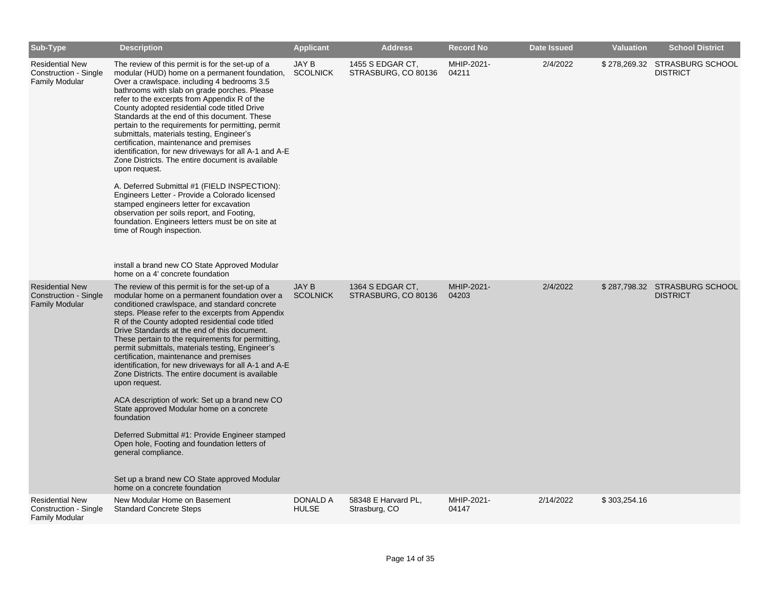| <b>Sub-Type</b>                                                          | <b>Description</b>                                                                                                                                                                                                                                                                                                                                                                                                                                                                                                                                                                                                                                                                                                                                                                                                                                                                                                                                                                            | <b>Applicant</b>                | <b>Address</b>                          | <b>Record No</b>    | <b>Date Issued</b> | <b>Valuation</b> | <b>School District</b>                           |
|--------------------------------------------------------------------------|-----------------------------------------------------------------------------------------------------------------------------------------------------------------------------------------------------------------------------------------------------------------------------------------------------------------------------------------------------------------------------------------------------------------------------------------------------------------------------------------------------------------------------------------------------------------------------------------------------------------------------------------------------------------------------------------------------------------------------------------------------------------------------------------------------------------------------------------------------------------------------------------------------------------------------------------------------------------------------------------------|---------------------------------|-----------------------------------------|---------------------|--------------------|------------------|--------------------------------------------------|
| <b>Residential New</b><br>Construction - Single<br><b>Family Modular</b> | The review of this permit is for the set-up of a<br>modular (HUD) home on a permanent foundation,<br>Over a crawlspace. including 4 bedrooms 3.5<br>bathrooms with slab on grade porches. Please<br>refer to the excerpts from Appendix R of the<br>County adopted residential code titled Drive<br>Standards at the end of this document. These<br>pertain to the requirements for permitting, permit<br>submittals, materials testing, Engineer's<br>certification, maintenance and premises<br>identification, for new driveways for all A-1 and A-E<br>Zone Districts. The entire document is available<br>upon request.<br>A. Deferred Submittal #1 (FIELD INSPECTION):<br>Engineers Letter - Provide a Colorado licensed<br>stamped engineers letter for excavation<br>observation per soils report, and Footing,<br>foundation. Engineers letters must be on site at<br>time of Rough inspection.<br>install a brand new CO State Approved Modular<br>home on a 4' concrete foundation | JAY B<br><b>SCOLNICK</b>        | 1455 S EDGAR CT,<br>STRASBURG, CO 80136 | MHIP-2021-<br>04211 | 2/4/2022           |                  | \$278,269.32 STRASBURG SCHOOL<br><b>DISTRICT</b> |
| <b>Residential New</b><br>Construction - Single<br><b>Family Modular</b> | The review of this permit is for the set-up of a<br>modular home on a permanent foundation over a<br>conditioned crawlspace, and standard concrete<br>steps. Please refer to the excerpts from Appendix<br>R of the County adopted residential code titled<br>Drive Standards at the end of this document.<br>These pertain to the requirements for permitting,<br>permit submittals, materials testing, Engineer's<br>certification, maintenance and premises<br>identification, for new driveways for all A-1 and A-E<br>Zone Districts. The entire document is available<br>upon request.<br>ACA description of work: Set up a brand new CO<br>State approved Modular home on a concrete<br>foundation<br>Deferred Submittal #1: Provide Engineer stamped<br>Open hole, Footing and foundation letters of<br>general compliance.<br>Set up a brand new CO State approved Modular<br>home on a concrete foundation                                                                          | JAY B<br><b>SCOLNICK</b>        | 1364 S EDGAR CT,<br>STRASBURG, CO 80136 | MHIP-2021-<br>04203 | 2/4/2022           |                  | \$287,798.32 STRASBURG SCHOOL<br><b>DISTRICT</b> |
| <b>Residential New</b><br>Construction - Single<br><b>Family Modular</b> | New Modular Home on Basement<br><b>Standard Concrete Steps</b>                                                                                                                                                                                                                                                                                                                                                                                                                                                                                                                                                                                                                                                                                                                                                                                                                                                                                                                                | <b>DONALD A</b><br><b>HULSE</b> | 58348 E Harvard PL,<br>Strasburg, CO    | MHIP-2021-<br>04147 | 2/14/2022          | \$303,254.16     |                                                  |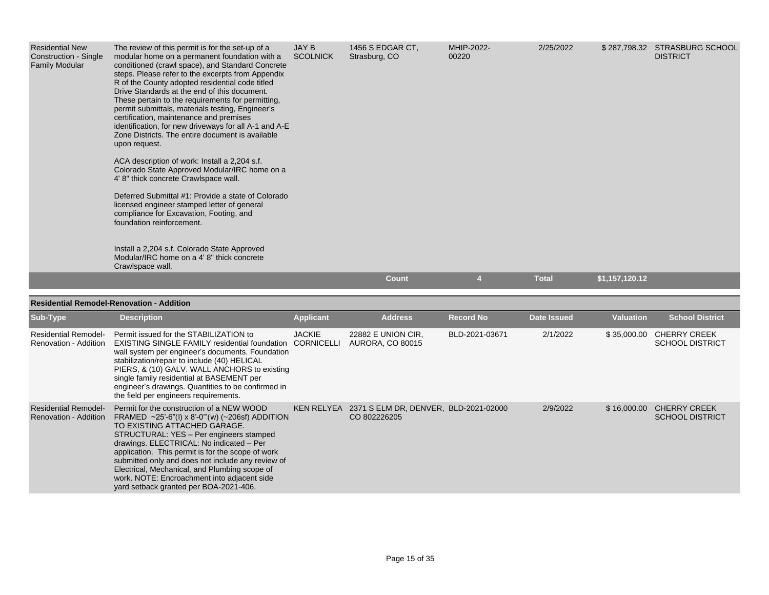| <b>Residential New</b><br>Construction - Single<br><b>Family Modular</b> | The review of this permit is for the set-up of a<br>modular home on a permanent foundation with a<br>conditioned (crawl space), and Standard Concrete<br>steps. Please refer to the excerpts from Appendix<br>R of the County adopted residential code titled<br>Drive Standards at the end of this document.<br>These pertain to the requirements for permitting,<br>permit submittals, materials testing, Engineer's<br>certification, maintenance and premises<br>identification, for new driveways for all A-1 and A-E<br>Zone Districts. The entire document is available<br>upon request.<br>ACA description of work: Install a 2,204 s.f.<br>Colorado State Approved Modular/IRC home on a<br>4' 8" thick concrete Crawlspace wall.<br>Deferred Submittal #1: Provide a state of Colorado<br>licensed engineer stamped letter of general<br>compliance for Excavation, Footing, and<br>foundation reinforcement.<br>Install a 2,204 s.f. Colorado State Approved<br>Modular/IRC home on a 4' 8" thick concrete<br>Crawlspace wall. | JAY B<br><b>SCOLNICK</b> | 1456 S EDGAR CT,<br>Strasburg, CO | MHIP-2022-<br>00220 | 2/25/2022    | \$287,798.32   | <b>STRASBURG SCHOOL</b><br><b>DISTRICT</b> |
|--------------------------------------------------------------------------|-------------------------------------------------------------------------------------------------------------------------------------------------------------------------------------------------------------------------------------------------------------------------------------------------------------------------------------------------------------------------------------------------------------------------------------------------------------------------------------------------------------------------------------------------------------------------------------------------------------------------------------------------------------------------------------------------------------------------------------------------------------------------------------------------------------------------------------------------------------------------------------------------------------------------------------------------------------------------------------------------------------------------------------------|--------------------------|-----------------------------------|---------------------|--------------|----------------|--------------------------------------------|
|                                                                          |                                                                                                                                                                                                                                                                                                                                                                                                                                                                                                                                                                                                                                                                                                                                                                                                                                                                                                                                                                                                                                           |                          | <b>Count</b>                      | 4                   | <b>Total</b> | \$1,157,120.12 |                                            |

| Sub-Type                                             | <b>Description</b>                                                                                                                                                                                                                                                                                                                                                                                                                                                            | <b>Applicant</b> | <b>Address</b>                                        | <b>Record No</b> | Date Issued | <b>Valuation</b> | <b>School District</b>                        |
|------------------------------------------------------|-------------------------------------------------------------------------------------------------------------------------------------------------------------------------------------------------------------------------------------------------------------------------------------------------------------------------------------------------------------------------------------------------------------------------------------------------------------------------------|------------------|-------------------------------------------------------|------------------|-------------|------------------|-----------------------------------------------|
| <b>Residential Remodel-</b><br>Renovation - Addition | Permit issued for the STABILIZATION to<br><b>EXISTING SINGLE FAMILY residential foundation CORNICELLI</b><br>wall system per engineer's documents. Foundation<br>stabilization/repair to include (40) HELICAL<br>PIERS, & (10) GALV. WALL ANCHORS to existing<br>single family residential at BASEMENT per<br>engineer's drawings. Quantities to be confirmed in<br>the field per engineers requirements.                                                                     | <b>JACKIE</b>    | 22882 E UNION CIR,<br><b>AURORA, CO 80015</b>         | BLD-2021-03671   | 2/1/2022    | \$35,000.00      | <b>CHERRY CREEK</b><br><b>SCHOOL DISTRICT</b> |
| <b>Residential Remodel-</b><br>Renovation - Addition | Permit for the construction of a NEW WOOD<br>FRAMED $\sim$ 25'-6"(I) x 8'-0"'(w) (~206sf) ADDITION<br>TO EXISTING ATTACHED GARAGE.<br>STRUCTURAL: YES - Per engineers stamped<br>drawings. ELECTRICAL: No indicated - Per<br>application. This permit is for the scope of work<br>submitted only and does not include any review of<br>Electrical, Mechanical, and Plumbing scope of<br>work. NOTE: Encroachment into adjacent side<br>yard setback granted per BOA-2021-406. | KEN RELYEA       | 2371 S ELM DR, DENVER, BLD-2021-02000<br>CO 802226205 |                  | 2/9/2022    | \$16,000.00      | <b>CHERRY CREEK</b><br><b>SCHOOL DISTRICT</b> |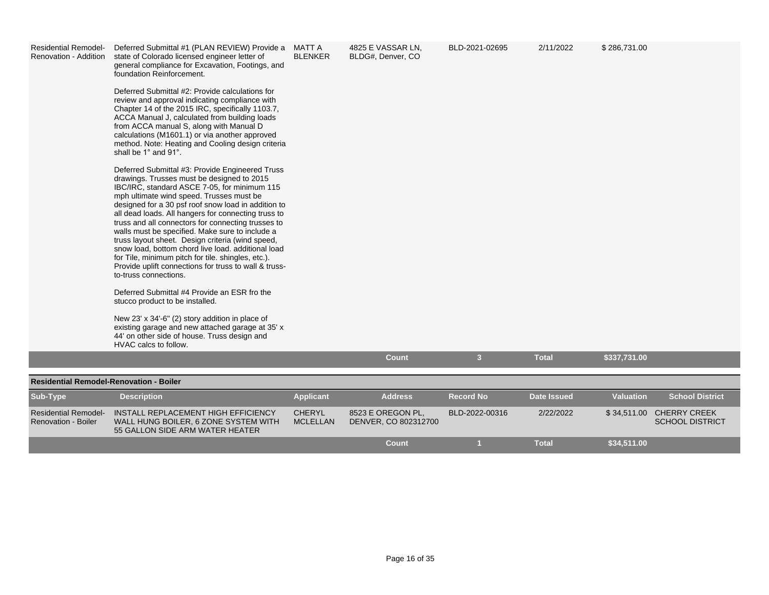| <b>Residential Remodel-</b><br>Renovation - Addition | Deferred Submittal #1 (PLAN REVIEW) Provide a<br>state of Colorado licensed engineer letter of<br>general compliance for Excavation, Footings, and<br>foundation Reinforcement.<br>Deferred Submittal #2: Provide calculations for<br>review and approval indicating compliance with<br>Chapter 14 of the 2015 IRC, specifically 1103.7,<br>ACCA Manual J, calculated from building loads<br>from ACCA manual S, along with Manual D<br>calculations (M1601.1) or via another approved<br>method. Note: Heating and Cooling design criteria<br>shall be 1° and 91°.                                                                                                | MATT A<br><b>BLENKER</b> | 4825 E VASSAR LN.<br>BLDG#, Denver, CO | BLD-2021-02695          | 2/11/2022          | \$286,731.00     |                          |
|------------------------------------------------------|--------------------------------------------------------------------------------------------------------------------------------------------------------------------------------------------------------------------------------------------------------------------------------------------------------------------------------------------------------------------------------------------------------------------------------------------------------------------------------------------------------------------------------------------------------------------------------------------------------------------------------------------------------------------|--------------------------|----------------------------------------|-------------------------|--------------------|------------------|--------------------------|
|                                                      | Deferred Submittal #3: Provide Engineered Truss<br>drawings. Trusses must be designed to 2015<br>IBC/IRC, standard ASCE 7-05, for minimum 115<br>mph ultimate wind speed. Trusses must be<br>designed for a 30 psf roof snow load in addition to<br>all dead loads. All hangers for connecting truss to<br>truss and all connectors for connecting trusses to<br>walls must be specified. Make sure to include a<br>truss layout sheet. Design criteria (wind speed,<br>snow load, bottom chord live load. additional load<br>for Tile, minimum pitch for tile. shingles, etc.).<br>Provide uplift connections for truss to wall & truss-<br>to-truss connections. |                          |                                        |                         |                    |                  |                          |
|                                                      | Deferred Submittal #4 Provide an ESR fro the<br>stucco product to be installed.                                                                                                                                                                                                                                                                                                                                                                                                                                                                                                                                                                                    |                          |                                        |                         |                    |                  |                          |
|                                                      | New 23' x 34'-6" (2) story addition in place of<br>existing garage and new attached garage at 35' x<br>44' on other side of house. Truss design and<br>HVAC calcs to follow.                                                                                                                                                                                                                                                                                                                                                                                                                                                                                       |                          |                                        |                         |                    |                  |                          |
|                                                      |                                                                                                                                                                                                                                                                                                                                                                                                                                                                                                                                                                                                                                                                    |                          | Count                                  | $\overline{\mathbf{3}}$ | <b>Total</b>       | \$337,731.00     |                          |
| <b>Residential Remodel-Renovation - Boiler</b>       |                                                                                                                                                                                                                                                                                                                                                                                                                                                                                                                                                                                                                                                                    |                          |                                        |                         |                    |                  |                          |
| Sub-Type                                             | <b>Description</b>                                                                                                                                                                                                                                                                                                                                                                                                                                                                                                                                                                                                                                                 | <b>Applicant</b>         | <b>Address</b>                         | <b>Record No</b>        | <b>Date Issued</b> | <b>Valuation</b> | <b>School District</b>   |
| <b>Residential Remodel-</b>                          | INSTALL REPLACEMENT HIGH EFFICIENCY                                                                                                                                                                                                                                                                                                                                                                                                                                                                                                                                                                                                                                | <b>CHERYL</b>            | 8523 E OREGON PL.                      | BLD-2022-00316          | 2/22/2022          |                  | \$34,511.00 CHERRY CREEK |
| <b>Renovation - Boiler</b>                           | WALL HUNG BOILER, 6 ZONE SYSTEM WITH<br>55 GALLON SIDE ARM WATER HEATER                                                                                                                                                                                                                                                                                                                                                                                                                                                                                                                                                                                            | <b>MCLELLAN</b>          | DENVER, CO 802312700                   |                         |                    |                  | <b>SCHOOL DISTRICT</b>   |
|                                                      |                                                                                                                                                                                                                                                                                                                                                                                                                                                                                                                                                                                                                                                                    |                          | <b>Count</b>                           |                         | <b>Total</b>       | \$34,511.00      |                          |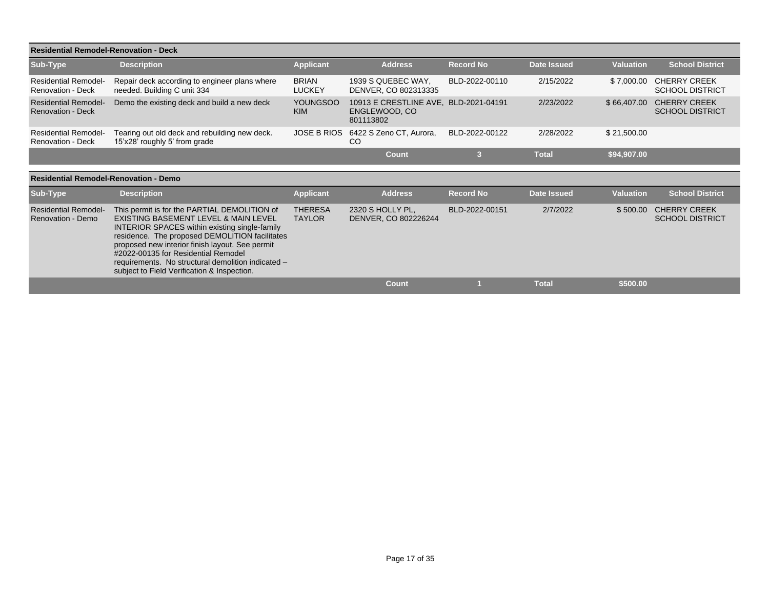|                                                         | <b>Residential Remodel-Renovation - Deck</b>                                   |                               |                                                      |                  |                    |                  |                                               |  |  |  |  |
|---------------------------------------------------------|--------------------------------------------------------------------------------|-------------------------------|------------------------------------------------------|------------------|--------------------|------------------|-----------------------------------------------|--|--|--|--|
| Sub-Type                                                | <b>Description</b>                                                             | <b>Applicant</b>              | <b>Address</b>                                       | <b>Record No</b> | Date Issued        | <b>Valuation</b> | <b>School District</b>                        |  |  |  |  |
| <b>Residential Remodel-</b><br>Renovation - Deck        | Repair deck according to engineer plans where<br>needed. Building C unit 334   | <b>BRIAN</b><br><b>LUCKEY</b> | 1939 S QUEBEC WAY,<br>DENVER, CO 802313335           | BLD-2022-00110   | 2/15/2022          | \$7,000.00       | <b>CHERRY CREEK</b><br><b>SCHOOL DISTRICT</b> |  |  |  |  |
| <b>Residential Remodel-</b><br><b>Renovation - Deck</b> | Demo the existing deck and build a new deck                                    | <b>YOUNGSOO</b><br><b>KIM</b> | 10913 E CRESTLINE AVE.<br>ENGLEWOOD, CO<br>801113802 | BLD-2021-04191   | 2/23/2022          | \$66,407.00      | <b>CHERRY CREEK</b><br><b>SCHOOL DISTRICT</b> |  |  |  |  |
| <b>Residential Remodel-</b><br><b>Renovation - Deck</b> | Tearing out old deck and rebuilding new deck.<br>15'x28' roughly 5' from grade | <b>JOSE B RIOS</b>            | 6422 S Zeno CT, Aurora,<br>CO                        | BLD-2022-00122   | 2/28/2022          | \$21,500.00      |                                               |  |  |  |  |
|                                                         |                                                                                |                               | <b>Count</b>                                         | 3                | <b>Total</b>       | \$94,907.00      |                                               |  |  |  |  |
| <b>Residential Remodel-Renovation - Demo</b>            |                                                                                |                               |                                                      |                  |                    |                  |                                               |  |  |  |  |
| Sub-Type                                                | <b>Description</b>                                                             | <b>Applicant</b>              | <b>Address</b>                                       | <b>Record No</b> | <b>Date Issued</b> | <b>Valuation</b> | <b>School District</b>                        |  |  |  |  |
| Residential Remodel                                     | This permit is for the PARTIAL DEMOLITION of                                   | <b>THERESA</b>                | 2320 S HOLI VPI                                      | RI D-2022-00151  | 2/7/2022           | \$ 500.00.       | CHERRY CREEK                                  |  |  |  |  |

| <b>Residential Remodel-</b><br>Renovation - Demo | This permit is for the PARTIAL DEMOLITION of<br>EXISTING BASEMENT LEVEL & MAIN LEVEL<br><b>INTERIOR SPACES within existing single-family</b><br>residence. The proposed DEMOLITION facilitates<br>proposed new interior finish layout. See permit<br>#2022-00135 for Residential Remodel<br>requirements. No structural demolition indicated -<br>subject to Field Verification & Inspection. | <b>THERESA</b><br><b>TAYLOR</b> | 2320 S HOLLY PL,<br>DENVER, CO 802226244 | BLD-2022-00151 | 2/7/2022     |          | \$500.00 CHERRY CREEK<br><b>SCHOOL DISTRICT</b> |
|--------------------------------------------------|-----------------------------------------------------------------------------------------------------------------------------------------------------------------------------------------------------------------------------------------------------------------------------------------------------------------------------------------------------------------------------------------------|---------------------------------|------------------------------------------|----------------|--------------|----------|-------------------------------------------------|
|                                                  |                                                                                                                                                                                                                                                                                                                                                                                               |                                 | Count                                    |                | <b>Total</b> | \$500.00 |                                                 |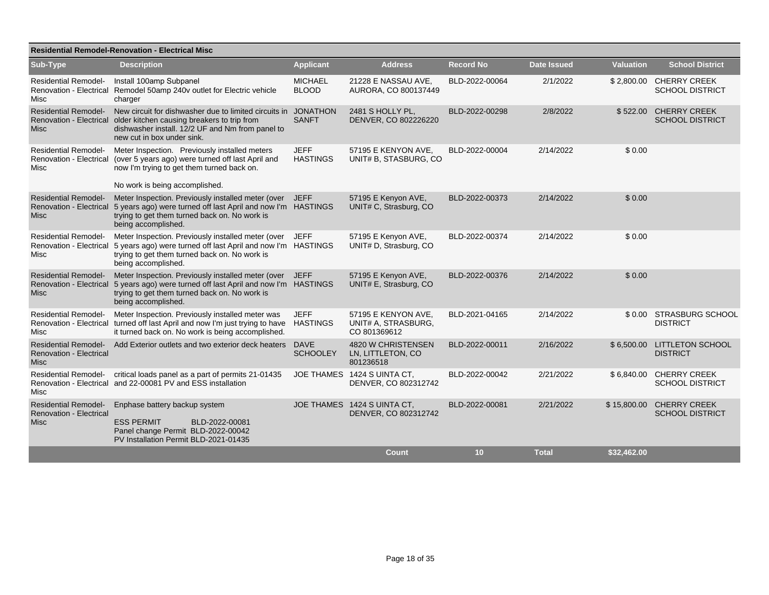| <b>Residential Remodel-Renovation - Electrical Misc</b>                      |                                                                                                                                                                                                                         |                                 |                                                            |                  |              |                  |                                                   |  |  |  |
|------------------------------------------------------------------------------|-------------------------------------------------------------------------------------------------------------------------------------------------------------------------------------------------------------------------|---------------------------------|------------------------------------------------------------|------------------|--------------|------------------|---------------------------------------------------|--|--|--|
| Sub-Type                                                                     | <b>Description</b>                                                                                                                                                                                                      | <b>Applicant</b>                | <b>Address</b>                                             | <b>Record No</b> | Date Issued  | <b>Valuation</b> | <b>School District</b>                            |  |  |  |
| <b>Residential Remodel-</b><br>Misc                                          | Install 100amp Subpanel<br>Renovation - Electrical Remodel 50amp 240v outlet for Electric vehicle<br>charger                                                                                                            | <b>MICHAEL</b><br><b>BLOOD</b>  | 21228 E NASSAU AVE,<br>AURORA, CO 800137449                | BLD-2022-00064   | 2/1/2022     |                  | \$2,800.00 CHERRY CREEK<br><b>SCHOOL DISTRICT</b> |  |  |  |
| <b>Residential Remodel-</b><br><b>Misc</b>                                   | New circuit for dishwasher due to limited circuits in<br>Renovation - Electrical older kitchen causing breakers to trip from<br>dishwasher install. 12/2 UF and Nm from panel to<br>new cut in box under sink.          | <b>JONATHON</b><br><b>SANFT</b> | 2481 S HOLLY PL,<br>DENVER, CO 802226220                   | BLD-2022-00298   | 2/8/2022     | \$522.00         | <b>CHERRY CREEK</b><br><b>SCHOOL DISTRICT</b>     |  |  |  |
| <b>Residential Remodel-</b><br>Misc                                          | Meter Inspection. Previously installed meters<br>Renovation - Electrical (over 5 years ago) were turned off last April and<br>now I'm trying to get them turned back on.<br>No work is being accomplished.              | <b>JEFF</b><br><b>HASTINGS</b>  | 57195 E KENYON AVE.<br>UNIT# B, STASBURG, CO               | BLD-2022-00004   | 2/14/2022    | \$0.00           |                                                   |  |  |  |
| <b>Residential Remodel-</b><br><b>Misc</b>                                   | Meter Inspection. Previously installed meter (over JEFF<br>Renovation - Electrical 5 years ago) were turned off last April and now I'm HASTINGS<br>trying to get them turned back on. No work is<br>being accomplished. |                                 | 57195 E Kenyon AVE,<br>UNIT# C, Strasburg, CO              | BLD-2022-00373   | 2/14/2022    | \$0.00           |                                                   |  |  |  |
| <b>Residential Remodel-</b><br>Misc                                          | Meter Inspection. Previously installed meter (over<br>Renovation - Electrical 5 years ago) were turned off last April and now I'm HASTINGS<br>trying to get them turned back on. No work is<br>being accomplished.      | <b>JEFF</b>                     | 57195 E Kenyon AVE,<br>UNIT# D. Strasburg, CO              | BLD-2022-00374   | 2/14/2022    | \$0.00           |                                                   |  |  |  |
| <b>Residential Remodel-</b><br>Renovation - Electrical<br>Misc               | Meter Inspection. Previously installed meter (over JEFF<br>5 years ago) were turned off last April and now I'm HASTINGS<br>trying to get them turned back on. No work is<br>being accomplished.                         |                                 | 57195 E Kenyon AVE,<br>UNIT# E, Strasburg, CO              | BLD-2022-00376   | 2/14/2022    | \$0.00           |                                                   |  |  |  |
| <b>Residential Remodel-</b><br>Misc                                          | Meter Inspection. Previously installed meter was<br>Renovation - Electrical turned off last April and now I'm just trying to have<br>it turned back on. No work is being accomplished.                                  | <b>JEFF</b><br><b>HASTINGS</b>  | 57195 E KENYON AVE,<br>UNIT# A, STRASBURG,<br>CO 801369612 | BLD-2021-04165   | 2/14/2022    |                  | \$0.00 STRASBURG SCHOOL<br><b>DISTRICT</b>        |  |  |  |
| <b>Residential Remodel-</b><br><b>Renovation - Electrical</b><br><b>Misc</b> | Add Exterior outlets and two exterior deck heaters                                                                                                                                                                      | <b>DAVE</b><br><b>SCHOOLEY</b>  | 4820 W CHRISTENSEN<br>LN, LITTLETON, CO<br>801236518       | BLD-2022-00011   | 2/16/2022    | \$6,500.00       | <b>LITTLETON SCHOOL</b><br><b>DISTRICT</b>        |  |  |  |
| <b>Residential Remodel-</b><br>Misc                                          | critical loads panel as a part of permits 21-01435<br>Renovation - Electrical and 22-00081 PV and ESS installation                                                                                                      |                                 | JOE THAMES 1424 S UINTA CT,<br>DENVER, CO 802312742        | BLD-2022-00042   | 2/21/2022    | \$6,840.00       | <b>CHERRY CREEK</b><br><b>SCHOOL DISTRICT</b>     |  |  |  |
| <b>Residential Remodel-</b><br><b>Renovation - Electrical</b><br><b>Misc</b> | Enphase battery backup system<br><b>ESS PERMIT</b><br>BLD-2022-00081<br>Panel change Permit BLD-2022-00042<br>PV Installation Permit BLD-2021-01435                                                                     |                                 | JOE THAMES 1424 S UINTA CT.<br>DENVER, CO 802312742        | BLD-2022-00081   | 2/21/2022    | \$15,800.00      | <b>CHERRY CREEK</b><br><b>SCHOOL DISTRICT</b>     |  |  |  |
|                                                                              |                                                                                                                                                                                                                         |                                 | <b>Count</b>                                               | 10               | <b>Total</b> | \$32.462.00      |                                                   |  |  |  |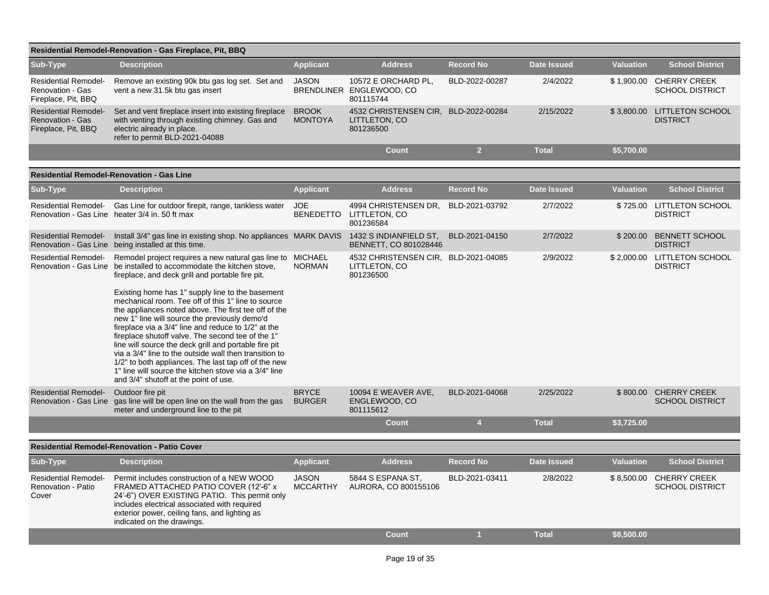| Residential Remodel-Renovation - Gas Fireplace, Pit, BBQ                      |                                                                                                                                                                                                                                                                                                                                                                                                                                                                                                                                                                                                          |                                 |                                                                    |                  |                    |                  |                                                |  |  |  |
|-------------------------------------------------------------------------------|----------------------------------------------------------------------------------------------------------------------------------------------------------------------------------------------------------------------------------------------------------------------------------------------------------------------------------------------------------------------------------------------------------------------------------------------------------------------------------------------------------------------------------------------------------------------------------------------------------|---------------------------------|--------------------------------------------------------------------|------------------|--------------------|------------------|------------------------------------------------|--|--|--|
| Sub-Type                                                                      | <b>Description</b>                                                                                                                                                                                                                                                                                                                                                                                                                                                                                                                                                                                       | <b>Applicant</b>                | <b>Address</b>                                                     | <b>Record No</b> | <b>Date Issued</b> | <b>Valuation</b> | <b>School District</b>                         |  |  |  |
| <b>Residential Remodel-</b><br>Renovation - Gas<br>Fireplace, Pit, BBQ        | Remove an existing 90k btu gas log set. Set and<br>vent a new 31.5k btu gas insert                                                                                                                                                                                                                                                                                                                                                                                                                                                                                                                       | <b>JASON</b>                    | 10572 E ORCHARD PL,<br>BRENDLINER ENGLEWOOD, CO<br>801115744       | BLD-2022-00287   | 2/4/2022           | \$1,900.00       | <b>CHERRY CREEK</b><br><b>SCHOOL DISTRICT</b>  |  |  |  |
| <b>Residential Remodel-</b><br><b>Renovation - Gas</b><br>Fireplace, Pit, BBQ | Set and vent fireplace insert into existing fireplace<br>with venting through existing chimney. Gas and<br>electric already in place.<br>refer to permit BLD-2021-04088                                                                                                                                                                                                                                                                                                                                                                                                                                  | <b>BROOK</b><br><b>MONTOYA</b>  | 4532 CHRISTENSEN CIR, BLD-2022-00284<br>LITTLETON, CO<br>801236500 |                  | 2/15/2022          | \$3,800.00       | <b>LITTLETON SCHOOL</b><br><b>DISTRICT</b>     |  |  |  |
|                                                                               |                                                                                                                                                                                                                                                                                                                                                                                                                                                                                                                                                                                                          |                                 | <b>Count</b>                                                       | 2 <sup>1</sup>   | <b>Total</b>       | \$5,700.00       |                                                |  |  |  |
| <b>Residential Remodel-Renovation - Gas Line</b>                              |                                                                                                                                                                                                                                                                                                                                                                                                                                                                                                                                                                                                          |                                 |                                                                    |                  |                    |                  |                                                |  |  |  |
| Sub-Type                                                                      | <b>Description</b>                                                                                                                                                                                                                                                                                                                                                                                                                                                                                                                                                                                       | <b>Applicant</b>                | <b>Address</b>                                                     | <b>Record No</b> | <b>Date Issued</b> | <b>Valuation</b> | <b>School District</b>                         |  |  |  |
| <b>Residential Remodel-</b>                                                   | Gas Line for outdoor firepit, range, tankless water<br>Renovation - Gas Line heater 3/4 in. 50 ft max                                                                                                                                                                                                                                                                                                                                                                                                                                                                                                    | <b>JOE</b><br><b>BENEDETTO</b>  | 4994 CHRISTENSEN DR,<br>LITTLETON, CO<br>801236584                 | BLD-2021-03792   | 2/7/2022           | \$725.00         | <b>LITTLETON SCHOOL</b><br><b>DISTRICT</b>     |  |  |  |
| <b>Residential Remodel-</b>                                                   | Install 3/4" gas line in existing shop. No appliances MARK DAVIS 1432 S INDIANFIELD ST,<br>Renovation - Gas Line being installed at this time.                                                                                                                                                                                                                                                                                                                                                                                                                                                           |                                 | BENNETT, CO 801028446                                              | BLD-2021-04150   | 2/7/2022           | \$200.00         | <b>BENNETT SCHOOL</b><br><b>DISTRICT</b>       |  |  |  |
| <b>Residential Remodel-</b>                                                   | Remodel project requires a new natural gas line to MICHAEL<br>Renovation - Gas Line be installed to accommodate the kitchen stove,<br>fireplace, and deck grill and portable fire pit.                                                                                                                                                                                                                                                                                                                                                                                                                   | <b>NORMAN</b>                   | 4532 CHRISTENSEN CIR, BLD-2021-04085<br>LITTLETON, CO<br>801236500 |                  | 2/9/2022           |                  | \$2,000.00 LITTLETON SCHOOL<br><b>DISTRICT</b> |  |  |  |
|                                                                               | Existing home has 1" supply line to the basement<br>mechanical room. Tee off of this 1" line to source<br>the appliances noted above. The first tee off of the<br>new 1" line will source the previously demo'd<br>fireplace via a 3/4" line and reduce to 1/2" at the<br>fireplace shutoff valve. The second tee of the 1"<br>line will source the deck grill and portable fire pit<br>via a 3/4" line to the outside wall then transition to<br>1/2" to both appliances. The last tap off of the new<br>1" line will source the kitchen stove via a 3/4" line<br>and 3/4" shutoff at the point of use. |                                 |                                                                    |                  |                    |                  |                                                |  |  |  |
| <b>Residential Remodel-</b><br>Renovation - Gas Line                          | Outdoor fire pit<br>gas line will be open line on the wall from the gas<br>meter and underground line to the pit                                                                                                                                                                                                                                                                                                                                                                                                                                                                                         | <b>BRYCE</b><br><b>BURGER</b>   | 10094 E WEAVER AVE.<br>ENGLEWOOD, CO<br>801115612                  | BLD-2021-04068   | 2/25/2022          | \$800.00         | <b>CHERRY CREEK</b><br><b>SCHOOL DISTRICT</b>  |  |  |  |
|                                                                               |                                                                                                                                                                                                                                                                                                                                                                                                                                                                                                                                                                                                          |                                 | <b>Count</b>                                                       | $\overline{4}$   | <b>Total</b>       | \$3,725.00       |                                                |  |  |  |
|                                                                               | <b>Residential Remodel-Renovation - Patio Cover</b>                                                                                                                                                                                                                                                                                                                                                                                                                                                                                                                                                      |                                 |                                                                    |                  |                    |                  |                                                |  |  |  |
| Sub-Type                                                                      | <b>Description</b>                                                                                                                                                                                                                                                                                                                                                                                                                                                                                                                                                                                       | <b>Applicant</b>                | <b>Address</b>                                                     | <b>Record No</b> | <b>Date Issued</b> | <b>Valuation</b> | <b>School District</b>                         |  |  |  |
| <b>Residential Remodel-</b><br>Renovation - Patio<br>Cover                    | Permit includes construction of a NEW WOOD<br>FRAMED ATTACHED PATIO COVER (12'-6" x<br>24'-6") OVER EXISTING PATIO. This permit only<br>includes electrical associated with required<br>exterior power, ceiling fans, and lighting as<br>indicated on the drawings.                                                                                                                                                                                                                                                                                                                                      | <b>JASON</b><br><b>MCCARTHY</b> | 5844 S ESPANA ST.<br>AURORA, CO 800155106                          | BLD-2021-03411   | 2/8/2022           | \$8,500.00       | <b>CHERRY CREEK</b><br><b>SCHOOL DISTRICT</b>  |  |  |  |
|                                                                               |                                                                                                                                                                                                                                                                                                                                                                                                                                                                                                                                                                                                          |                                 | <b>Count</b>                                                       | п                | <b>Total</b>       | \$8,500.00       |                                                |  |  |  |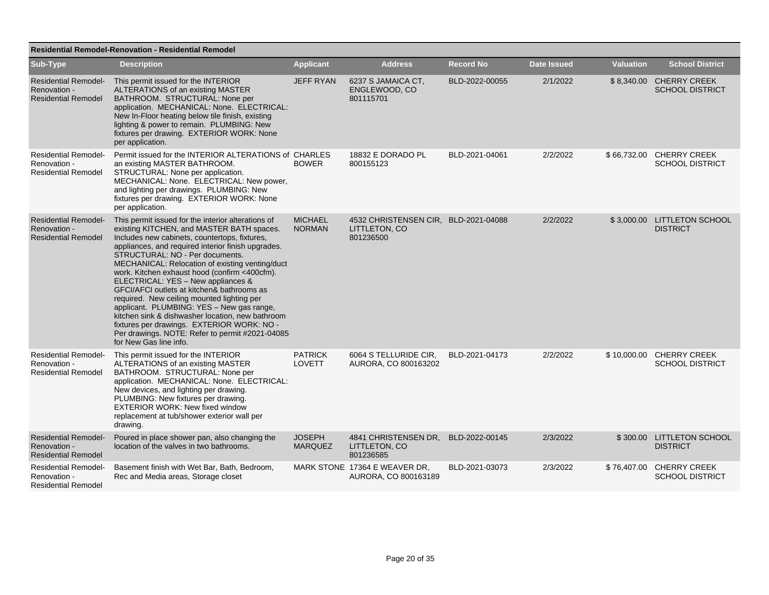|                                                                           | <b>Residential Remodel-Renovation - Residential Remodel</b>                                                                                                                                                                                                                                                                                                                                                                                                                                                                                                                                                                                                                                                 |                                 |                                                                    |                  |                    |                  |                                                    |  |  |  |
|---------------------------------------------------------------------------|-------------------------------------------------------------------------------------------------------------------------------------------------------------------------------------------------------------------------------------------------------------------------------------------------------------------------------------------------------------------------------------------------------------------------------------------------------------------------------------------------------------------------------------------------------------------------------------------------------------------------------------------------------------------------------------------------------------|---------------------------------|--------------------------------------------------------------------|------------------|--------------------|------------------|----------------------------------------------------|--|--|--|
| Sub-Type                                                                  | <b>Description</b>                                                                                                                                                                                                                                                                                                                                                                                                                                                                                                                                                                                                                                                                                          | <b>Applicant</b>                | <b>Address</b>                                                     | <b>Record No</b> | <b>Date Issued</b> | <b>Valuation</b> | <b>School District</b>                             |  |  |  |
| <b>Residential Remodel-</b><br>Renovation -<br><b>Residential Remodel</b> | This permit issued for the INTERIOR<br>ALTERATIONS of an existing MASTER<br>BATHROOM. STRUCTURAL: None per<br>application. MECHANICAL: None. ELECTRICAL:<br>New In-Floor heating below tile finish, existing<br>lighting & power to remain. PLUMBING: New<br>fixtures per drawing. EXTERIOR WORK: None<br>per application.                                                                                                                                                                                                                                                                                                                                                                                  | <b>JEFF RYAN</b>                | 6237 S JAMAICA CT.<br>ENGLEWOOD, CO<br>801115701                   | BLD-2022-00055   | 2/1/2022           |                  | \$8,340.00 CHERRY CREEK<br><b>SCHOOL DISTRICT</b>  |  |  |  |
| <b>Residential Remodel-</b><br>Renovation -<br><b>Residential Remodel</b> | Permit issued for the INTERIOR ALTERATIONS of CHARLES<br>an existing MASTER BATHROOM.<br>STRUCTURAL: None per application.<br>MECHANICAL: None. ELECTRICAL: New power,<br>and lighting per drawings. PLUMBING: New<br>fixtures per drawing. EXTERIOR WORK: None<br>per application.                                                                                                                                                                                                                                                                                                                                                                                                                         | <b>BOWER</b>                    | 18832 E DORADO PL<br>800155123                                     | BLD-2021-04061   | 2/2/2022           | \$66,732.00      | <b>CHERRY CREEK</b><br><b>SCHOOL DISTRICT</b>      |  |  |  |
| <b>Residential Remodel-</b><br>Renovation -<br><b>Residential Remodel</b> | This permit issued for the interior alterations of<br>existing KITCHEN, and MASTER BATH spaces.<br>Includes new cabinets, countertops, fixtures,<br>appliances, and required interior finish upgrades.<br>STRUCTURAL: NO - Per documents.<br>MECHANICAL: Relocation of existing venting/duct<br>work. Kitchen exhaust hood (confirm <400cfm).<br>ELECTRICAL: YES - New appliances &<br>GFCI/AFCI outlets at kitchen& bathrooms as<br>required. New ceiling mounted lighting per<br>applicant. PLUMBING: YES - New gas range,<br>kitchen sink & dishwasher location, new bathroom<br>fixtures per drawings. EXTERIOR WORK: NO -<br>Per drawings. NOTE: Refer to permit #2021-04085<br>for New Gas line info. | <b>MICHAEL</b><br><b>NORMAN</b> | 4532 CHRISTENSEN CIR, BLD-2021-04088<br>LITTLETON, CO<br>801236500 |                  | 2/2/2022           |                  | \$3,000.00 LITTLETON SCHOOL<br><b>DISTRICT</b>     |  |  |  |
| <b>Residential Remodel-</b><br>Renovation -<br><b>Residential Remodel</b> | This permit issued for the INTERIOR<br>ALTERATIONS of an existing MASTER<br>BATHROOM. STRUCTURAL: None per<br>application. MECHANICAL: None. ELECTRICAL:<br>New devices, and lighting per drawing.<br>PLUMBING: New fixtures per drawing.<br><b>EXTERIOR WORK: New fixed window</b><br>replacement at tub/shower exterior wall per<br>drawing.                                                                                                                                                                                                                                                                                                                                                              | <b>PATRICK</b><br><b>LOVETT</b> | 6064 S TELLURIDE CIR.<br>AURORA, CO 800163202                      | BLD-2021-04173   | 2/2/2022           | \$10,000.00      | <b>CHERRY CREEK</b><br><b>SCHOOL DISTRICT</b>      |  |  |  |
| <b>Residential Remodel-</b><br>Renovation -<br><b>Residential Remodel</b> | Poured in place shower pan, also changing the<br>location of the valves in two bathrooms.                                                                                                                                                                                                                                                                                                                                                                                                                                                                                                                                                                                                                   | <b>JOSEPH</b><br><b>MARQUEZ</b> | 4841 CHRISTENSEN DR.<br>LITTLETON, CO<br>801236585                 | BLD-2022-00145   | 2/3/2022           |                  | \$300.00 LITTLETON SCHOOL<br><b>DISTRICT</b>       |  |  |  |
| <b>Residential Remodel-</b><br>Renovation -<br><b>Residential Remodel</b> | Basement finish with Wet Bar, Bath, Bedroom,<br>Rec and Media areas, Storage closet                                                                                                                                                                                                                                                                                                                                                                                                                                                                                                                                                                                                                         |                                 | MARK STONE 17364 E WEAVER DR.<br>AURORA, CO 800163189              | BLD-2021-03073   | 2/3/2022           |                  | \$76,407.00 CHERRY CREEK<br><b>SCHOOL DISTRICT</b> |  |  |  |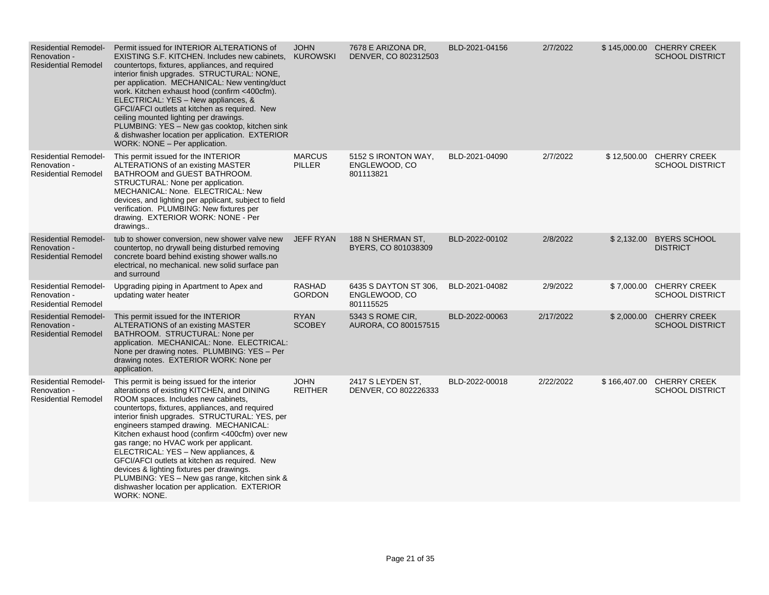| <b>Residential Remodel-</b><br>Renovation -<br><b>Residential Remodel</b> | Permit issued for INTERIOR ALTERATIONS of<br>EXISTING S.F. KITCHEN. Includes new cabinets. KUROWSKI<br>countertops, fixtures, appliances, and required<br>interior finish upgrades. STRUCTURAL: NONE,<br>per application. MECHANICAL: New venting/duct<br>work. Kitchen exhaust hood (confirm <400cfm).<br>ELECTRICAL: YES - New appliances, &<br>GFCI/AFCI outlets at kitchen as required. New<br>ceiling mounted lighting per drawings.<br>PLUMBING: YES - New gas cooktop, kitchen sink<br>& dishwasher location per application. EXTERIOR<br>WORK: NONE - Per application.                                                       | <b>JOHN</b>                    | 7678 E ARIZONA DR.<br>DENVER, CO 802312503          | BLD-2021-04156 | 2/7/2022  |              | \$145,000.00 CHERRY CREEK<br><b>SCHOOL DISTRICT</b> |
|---------------------------------------------------------------------------|--------------------------------------------------------------------------------------------------------------------------------------------------------------------------------------------------------------------------------------------------------------------------------------------------------------------------------------------------------------------------------------------------------------------------------------------------------------------------------------------------------------------------------------------------------------------------------------------------------------------------------------|--------------------------------|-----------------------------------------------------|----------------|-----------|--------------|-----------------------------------------------------|
| <b>Residential Remodel-</b><br>Renovation -<br><b>Residential Remodel</b> | This permit issued for the INTERIOR<br>ALTERATIONS of an existing MASTER<br>BATHROOM and GUEST BATHROOM.<br>STRUCTURAL: None per application.<br>MECHANICAL: None. ELECTRICAL: New<br>devices, and lighting per applicant, subject to field<br>verification. PLUMBING: New fixtures per<br>drawing. EXTERIOR WORK: NONE - Per<br>drawings                                                                                                                                                                                                                                                                                            | <b>MARCUS</b><br><b>PILLER</b> | 5152 S IRONTON WAY,<br>ENGLEWOOD, CO<br>801113821   | BLD-2021-04090 | 2/7/2022  | \$ 12,500.00 | <b>CHERRY CREEK</b><br><b>SCHOOL DISTRICT</b>       |
| <b>Residential Remodel-</b><br>Renovation -<br><b>Residential Remodel</b> | tub to shower conversion, new shower valve new<br>countertop, no drywall being disturbed removing<br>concrete board behind existing shower walls.no<br>electrical, no mechanical. new solid surface pan<br>and surround                                                                                                                                                                                                                                                                                                                                                                                                              | <b>JEFF RYAN</b>               | 188 N SHERMAN ST,<br>BYERS, CO 801038309            | BLD-2022-00102 | 2/8/2022  |              | \$2,132.00 BYERS SCHOOL<br><b>DISTRICT</b>          |
| <b>Residential Remodel-</b><br>Renovation -<br><b>Residential Remodel</b> | Upgrading piping in Apartment to Apex and<br>updating water heater                                                                                                                                                                                                                                                                                                                                                                                                                                                                                                                                                                   | <b>RASHAD</b><br><b>GORDON</b> | 6435 S DAYTON ST 306,<br>ENGLEWOOD, CO<br>801115525 | BLD-2021-04082 | 2/9/2022  |              | \$7,000.00 CHERRY CREEK<br><b>SCHOOL DISTRICT</b>   |
| <b>Residential Remodel-</b><br>Renovation -<br><b>Residential Remodel</b> | This permit issued for the INTERIOR<br>ALTERATIONS of an existing MASTER<br>BATHROOM. STRUCTURAL: None per<br>application. MECHANICAL: None. ELECTRICAL:<br>None per drawing notes. PLUMBING: YES - Per<br>drawing notes. EXTERIOR WORK: None per<br>application.                                                                                                                                                                                                                                                                                                                                                                    | <b>RYAN</b><br><b>SCOBEY</b>   | 5343 S ROME CIR,<br>AURORA, CO 800157515            | BLD-2022-00063 | 2/17/2022 | \$2,000.00   | <b>CHERRY CREEK</b><br><b>SCHOOL DISTRICT</b>       |
| <b>Residential Remodel-</b><br>Renovation -<br><b>Residential Remodel</b> | This permit is being issued for the interior<br>alterations of existing KITCHEN, and DINING<br>ROOM spaces. Includes new cabinets,<br>countertops, fixtures, appliances, and required<br>interior finish upgrades. STRUCTURAL: YES, per<br>engineers stamped drawing. MECHANICAL:<br>Kitchen exhaust hood (confirm <400cfm) over new<br>gas range; no HVAC work per applicant.<br>ELECTRICAL: YES - New appliances, &<br>GFCI/AFCI outlets at kitchen as required. New<br>devices & lighting fixtures per drawings.<br>PLUMBING: YES - New gas range, kitchen sink &<br>dishwasher location per application. EXTERIOR<br>WORK: NONE. | <b>JOHN</b><br><b>REITHER</b>  | 2417 S LEYDEN ST.<br>DENVER, CO 802226333           | BLD-2022-00018 | 2/22/2022 |              | \$166,407.00 CHERRY CREEK<br><b>SCHOOL DISTRICT</b> |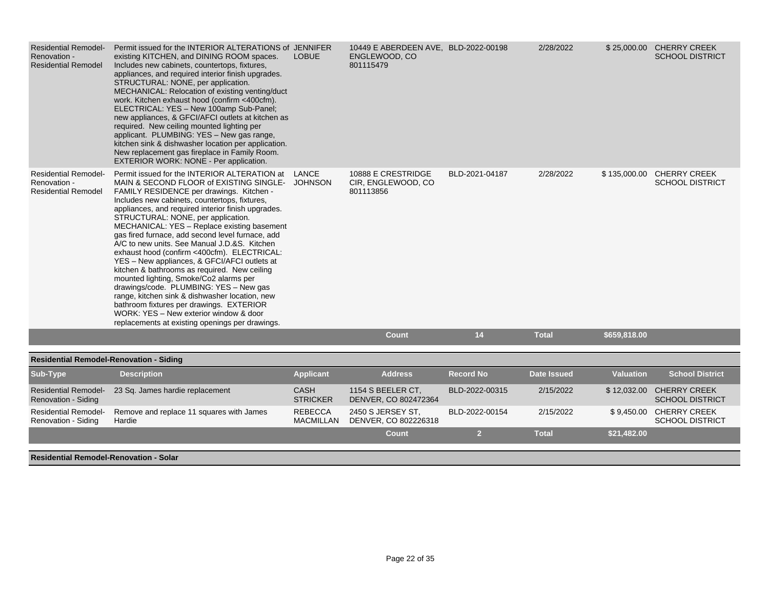| <b>Residential Remodel-</b><br>Renovation -<br><b>Residential Remodel</b> | Permit issued for the INTERIOR ALTERATIONS of JENNIFER<br>existing KITCHEN, and DINING ROOM spaces.<br>Includes new cabinets, countertops, fixtures,<br>appliances, and required interior finish upgrades.<br>STRUCTURAL: NONE, per application.<br>MECHANICAL: Relocation of existing venting/duct<br>work. Kitchen exhaust hood (confirm <400cfm).<br>ELECTRICAL: YES - New 100amp Sub-Panel;<br>new appliances, & GFCI/AFCI outlets at kitchen as<br>required. New ceiling mounted lighting per<br>applicant. PLUMBING: YES - New gas range,<br>kitchen sink & dishwasher location per application.<br>New replacement gas fireplace in Family Room.<br>EXTERIOR WORK: NONE - Per application.                                                                                                                                                                         | <b>LOBUE</b>                       | 10449 E ABERDEEN AVE, BLD-2022-00198<br>ENGLEWOOD, CO<br>801115479 |                  | 2/28/2022          |                  | \$25,000.00 CHERRY CREEK<br><b>SCHOOL DISTRICT</b>  |
|---------------------------------------------------------------------------|---------------------------------------------------------------------------------------------------------------------------------------------------------------------------------------------------------------------------------------------------------------------------------------------------------------------------------------------------------------------------------------------------------------------------------------------------------------------------------------------------------------------------------------------------------------------------------------------------------------------------------------------------------------------------------------------------------------------------------------------------------------------------------------------------------------------------------------------------------------------------|------------------------------------|--------------------------------------------------------------------|------------------|--------------------|------------------|-----------------------------------------------------|
| <b>Residential Remodel-</b><br>Renovation -<br><b>Residential Remodel</b> | Permit issued for the INTERIOR ALTERATION at<br>MAIN & SECOND FLOOR of EXISTING SINGLE- JOHNSON<br>FAMILY RESIDENCE per drawings. Kitchen -<br>Includes new cabinets, countertops, fixtures,<br>appliances, and required interior finish upgrades.<br>STRUCTURAL: NONE, per application.<br>MECHANICAL: YES - Replace existing basement<br>gas fired furnace, add second level furnace, add<br>A/C to new units. See Manual J.D.&S. Kitchen<br>exhaust hood (confirm <400cfm). ELECTRICAL:<br>YES - New appliances, & GFCI/AFCI outlets at<br>kitchen & bathrooms as required. New ceiling<br>mounted lighting, Smoke/Co2 alarms per<br>drawings/code. PLUMBING: YES - New gas<br>range, kitchen sink & dishwasher location, new<br>bathroom fixtures per drawings. EXTERIOR<br>WORK: YES - New exterior window & door<br>replacements at existing openings per drawings. | LANCE                              | 10888 E CRESTRIDGE<br>CIR, ENGLEWOOD, CO<br>801113856              | BLD-2021-04187   | 2/28/2022          |                  | \$135,000.00 CHERRY CREEK<br><b>SCHOOL DISTRICT</b> |
|                                                                           |                                                                                                                                                                                                                                                                                                                                                                                                                                                                                                                                                                                                                                                                                                                                                                                                                                                                           |                                    | <b>Count</b>                                                       | 14               | <b>Total</b>       | \$659,818.00     |                                                     |
| <b>Residential Remodel-Renovation - Siding</b>                            |                                                                                                                                                                                                                                                                                                                                                                                                                                                                                                                                                                                                                                                                                                                                                                                                                                                                           |                                    |                                                                    |                  |                    |                  |                                                     |
| Sub-Type                                                                  | <b>Description</b>                                                                                                                                                                                                                                                                                                                                                                                                                                                                                                                                                                                                                                                                                                                                                                                                                                                        | <b>Applicant</b>                   | <b>Address</b>                                                     | <b>Record No</b> | <b>Date Issued</b> | <b>Valuation</b> | <b>School District</b>                              |
| <b>Residential Remodel-</b><br>Renovation - Siding                        | 23 Sq. James hardie replacement                                                                                                                                                                                                                                                                                                                                                                                                                                                                                                                                                                                                                                                                                                                                                                                                                                           | <b>CASH</b><br><b>STRICKER</b>     | 1154 S BEELER CT.<br>DENVER, CO 802472364                          | BLD-2022-00315   | 2/15/2022          |                  | \$12,032.00 CHERRY CREEK<br><b>SCHOOL DISTRICT</b>  |
| <b>Residential Remodel-</b><br>Renovation - Siding                        | Remove and replace 11 squares with James<br>Hardie                                                                                                                                                                                                                                                                                                                                                                                                                                                                                                                                                                                                                                                                                                                                                                                                                        | <b>REBECCA</b><br><b>MACMILLAN</b> | 2450 S JERSEY ST.<br>DENVER, CO 802226318                          | BLD-2022-00154   | 2/15/2022          |                  | \$9,450.00 CHERRY CREEK<br><b>SCHOOL DISTRICT</b>   |
|                                                                           |                                                                                                                                                                                                                                                                                                                                                                                                                                                                                                                                                                                                                                                                                                                                                                                                                                                                           |                                    | <b>Count</b>                                                       | $\overline{2}$   | <b>Total</b>       | \$21,482.00      |                                                     |

**Residential Remodel-Renovation - Solar**

. .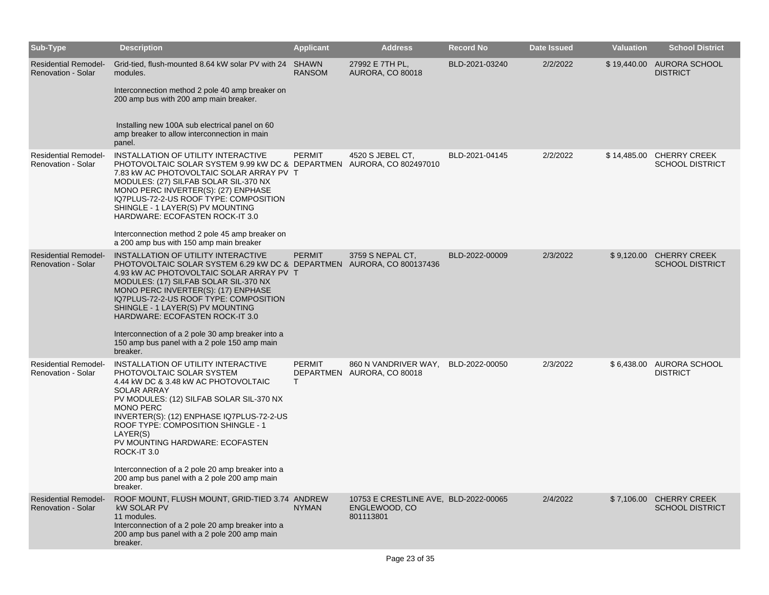| Sub-Type                                                 | <b>Description</b>                                                                                                                                                                                                                                                                                                                                                                                                                                                                | <b>Applicant</b>   | <b>Address</b>                                                      | <b>Record No</b> | Date Issued | <b>Valuation</b> | <b>School District</b>                            |
|----------------------------------------------------------|-----------------------------------------------------------------------------------------------------------------------------------------------------------------------------------------------------------------------------------------------------------------------------------------------------------------------------------------------------------------------------------------------------------------------------------------------------------------------------------|--------------------|---------------------------------------------------------------------|------------------|-------------|------------------|---------------------------------------------------|
| <b>Residential Remodel-</b><br><b>Renovation - Solar</b> | Grid-tied, flush-mounted 8.64 kW solar PV with 24 SHAWN<br>modules.<br>Interconnection method 2 pole 40 amp breaker on<br>200 amp bus with 200 amp main breaker.<br>Installing new 100A sub electrical panel on 60<br>amp breaker to allow interconnection in main<br>panel.                                                                                                                                                                                                      | <b>RANSOM</b>      | 27992 E 7TH PL,<br><b>AURORA, CO 80018</b>                          | BLD-2021-03240   | 2/2/2022    |                  | \$19,440.00 AURORA SCHOOL<br><b>DISTRICT</b>      |
| <b>Residential Remodel-</b><br>Renovation - Solar        | INSTALLATION OF UTILITY INTERACTIVE<br>PHOTOVOLTAIC SOLAR SYSTEM 9.99 kW DC & DEPARTMEN AURORA, CO 802497010<br>7.83 kW AC PHOTOVOLTAIC SOLAR ARRAY PV T<br>MODULES: (27) SILFAB SOLAR SIL-370 NX<br>MONO PERC INVERTER(S): (27) ENPHASE<br>IQ7PLUS-72-2-US ROOF TYPE: COMPOSITION<br>SHINGLE - 1 LAYER(S) PV MOUNTING<br>HARDWARE: ECOFASTEN ROCK-IT 3.0<br>Interconnection method 2 pole 45 amp breaker on<br>a 200 amp bus with 150 amp main breaker                           | <b>PERMIT</b>      | 4520 S JEBEL CT,                                                    | BLD-2021-04145   | 2/2/2022    | \$14,485.00      | <b>CHERRY CREEK</b><br><b>SCHOOL DISTRICT</b>     |
| <b>Residential Remodel-</b><br><b>Renovation - Solar</b> | INSTALLATION OF UTILITY INTERACTIVE<br>PHOTOVOLTAIC SOLAR SYSTEM 6.29 kW DC & DEPARTMEN AURORA, CO 800137436<br>4.93 kW AC PHOTOVOLTAIC SOLAR ARRAY PV T<br>MODULES: (17) SILFAB SOLAR SIL-370 NX<br>MONO PERC INVERTER(S): (17) ENPHASE<br>IQ7PLUS-72-2-US ROOF TYPE: COMPOSITION<br>SHINGLE - 1 LAYER(S) PV MOUNTING<br><b>HARDWARE: ECOFASTEN ROCK-IT 3.0</b><br>Interconnection of a 2 pole 30 amp breaker into a<br>150 amp bus panel with a 2 pole 150 amp main<br>breaker. | <b>PERMIT</b>      | 3759 S NEPAL CT,                                                    | BLD-2022-00009   | 2/3/2022    | \$9,120.00       | <b>CHERRY CREEK</b><br><b>SCHOOL DISTRICT</b>     |
| <b>Residential Remodel-</b><br><b>Renovation - Solar</b> | INSTALLATION OF UTILITY INTERACTIVE<br>PHOTOVOLTAIC SOLAR SYSTEM<br>4.44 kW DC & 3.48 kW AC PHOTOVOLTAIC<br><b>SOLAR ARRAY</b><br>PV MODULES: (12) SILFAB SOLAR SIL-370 NX<br><b>MONO PERC</b><br>INVERTER(S): (12) ENPHASE IQ7PLUS-72-2-US<br>ROOF TYPE: COMPOSITION SHINGLE - 1<br>LAYER(S)<br>PV MOUNTING HARDWARE: ECOFASTEN<br>ROCK-IT 3.0<br>Interconnection of a 2 pole 20 amp breaker into a<br>200 amp bus panel with a 2 pole 200 amp main<br>breaker.                  | <b>PERMIT</b><br>T | 860 N VANDRIVER WAY,<br>DEPARTMEN AURORA, CO 80018                  | BLD-2022-00050   | 2/3/2022    | \$6,438.00       | AURORA SCHOOL<br><b>DISTRICT</b>                  |
| <b>Residential Remodel-</b><br><b>Renovation - Solar</b> | ROOF MOUNT, FLUSH MOUNT, GRID-TIED 3.74 ANDREW<br><b>kW SOLAR PV</b><br>11 modules.<br>Interconnection of a 2 pole 20 amp breaker into a<br>200 amp bus panel with a 2 pole 200 amp main<br>breaker.                                                                                                                                                                                                                                                                              | <b>NYMAN</b>       | 10753 E CRESTLINE AVE, BLD-2022-00065<br>ENGLEWOOD, CO<br>801113801 |                  | 2/4/2022    |                  | \$7,106.00 CHERRY CREEK<br><b>SCHOOL DISTRICT</b> |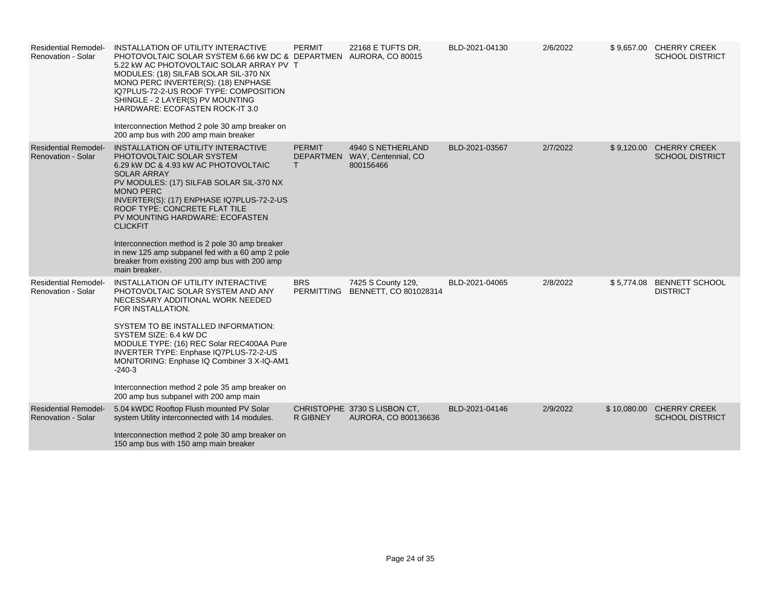| <b>Residential Remodel-</b><br><b>Renovation - Solar</b> | INSTALLATION OF UTILITY INTERACTIVE<br>PHOTOVOLTAIC SOLAR SYSTEM 6.66 kW DC & DEPARTMEN AURORA, CO 80015<br>5.22 KW AC PHOTOVOLTAIC SOLAR ARRAY PV T<br>MODULES: (18) SILFAB SOLAR SIL-370 NX<br>MONO PERC INVERTER(S): (18) ENPHASE<br>IQ7PLUS-72-2-US ROOF TYPE: COMPOSITION<br>SHINGLE - 2 LAYER(S) PV MOUNTING<br>HARDWARE: ECOFASTEN ROCK-IT 3.0<br>Interconnection Method 2 pole 30 amp breaker on<br>200 amp bus with 200 amp main breaker                                                            | <b>PERMIT</b>      | 22168 E TUFTS DR,                                               | BLD-2021-04130 | 2/6/2022 |             | \$9,657.00 CHERRY CREEK<br><b>SCHOOL DISTRICT</b> |
|----------------------------------------------------------|--------------------------------------------------------------------------------------------------------------------------------------------------------------------------------------------------------------------------------------------------------------------------------------------------------------------------------------------------------------------------------------------------------------------------------------------------------------------------------------------------------------|--------------------|-----------------------------------------------------------------|----------------|----------|-------------|---------------------------------------------------|
| <b>Residential Remodel-</b><br>Renovation - Solar        | INSTALLATION OF UTILITY INTERACTIVE<br>PHOTOVOLTAIC SOLAR SYSTEM<br>6.29 kW DC & 4.93 kW AC PHOTOVOLTAIC<br><b>SOLAR ARRAY</b><br>PV MODULES: (17) SILFAB SOLAR SIL-370 NX<br><b>MONO PERC</b><br>INVERTER(S): (17) ENPHASE IQ7PLUS-72-2-US<br>ROOF TYPE: CONCRETE FLAT TILE<br>PV MOUNTING HARDWARE: ECOFASTEN<br><b>CLICKFIT</b><br>Interconnection method is 2 pole 30 amp breaker<br>in new 125 amp subpanel fed with a 60 amp 2 pole<br>breaker from existing 200 amp bus with 200 amp<br>main breaker. | <b>PERMIT</b><br>Т | 4940 S NETHERLAND<br>DEPARTMEN WAY, Centennial, CO<br>800156466 | BLD-2021-03567 | 2/7/2022 |             | \$9,120.00 CHERRY CREEK<br><b>SCHOOL DISTRICT</b> |
| <b>Residential Remodel-</b><br><b>Renovation - Solar</b> | INSTALLATION OF UTILITY INTERACTIVE<br>PHOTOVOLTAIC SOLAR SYSTEM AND ANY<br>NECESSARY ADDITIONAL WORK NEEDED<br>FOR INSTALLATION.<br>SYSTEM TO BE INSTALLED INFORMATION:<br>SYSTEM SIZE: 6.4 kW DC<br>MODULE TYPE: (16) REC Solar REC400AA Pure<br>INVERTER TYPE: Enphase IQ7PLUS-72-2-US<br>MONITORING: Enphase IQ Combiner 3 X-IQ-AM1<br>$-240-3$<br>Interconnection method 2 pole 35 amp breaker on<br>200 amp bus subpanel with 200 amp main                                                             | <b>BRS</b>         | 7425 S County 129,<br>PERMITTING BENNETT, CO 801028314          | BLD-2021-04065 | 2/8/2022 | \$5,774.08  | <b>BENNETT SCHOOL</b><br><b>DISTRICT</b>          |
| <b>Residential Remodel-</b><br><b>Renovation - Solar</b> | 5.04 kWDC Rooftop Flush mounted PV Solar<br>system Utility interconnected with 14 modules.<br>Interconnection method 2 pole 30 amp breaker on<br>150 amp bus with 150 amp main breaker                                                                                                                                                                                                                                                                                                                       | <b>R GIBNEY</b>    | CHRISTOPHE 3730 S LISBON CT,<br>AURORA, CO 800136636            | BLD-2021-04146 | 2/9/2022 | \$10,080.00 | <b>CHERRY CREEK</b><br><b>SCHOOL DISTRICT</b>     |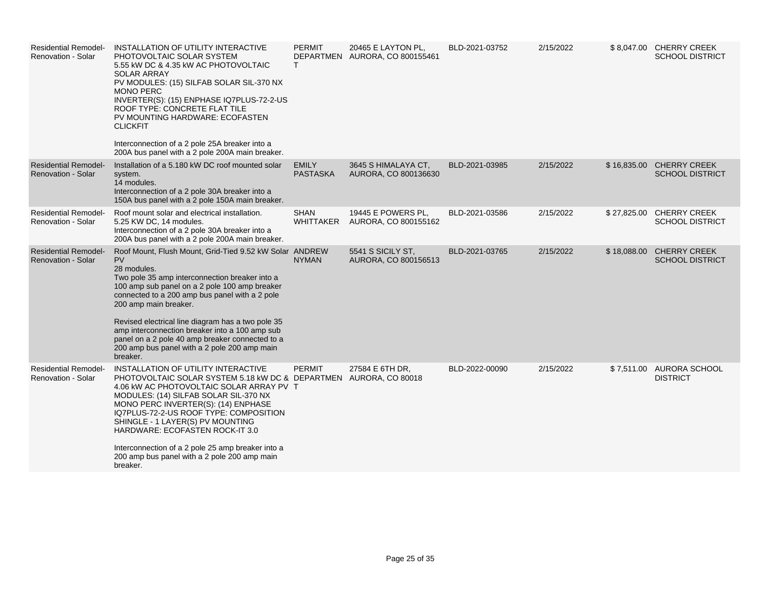| <b>Residential Remodel-</b><br><b>Renovation - Solar</b> | INSTALLATION OF UTILITY INTERACTIVE<br>PHOTOVOLTAIC SOLAR SYSTEM<br>5.55 kW DC & 4.35 kW AC PHOTOVOLTAIC<br><b>SOLAR ARRAY</b><br>PV MODULES: (15) SILFAB SOLAR SIL-370 NX<br><b>MONO PERC</b><br>INVERTER(S): (15) ENPHASE IQ7PLUS-72-2-US<br>ROOF TYPE: CONCRETE FLAT TILE<br>PV MOUNTING HARDWARE: ECOFASTEN<br><b>CLICKFIT</b><br>Interconnection of a 2 pole 25A breaker into a<br>200A bus panel with a 2 pole 200A main breaker.                                            | <b>PERMIT</b><br>T.             | 20465 E LAYTON PL,<br>DEPARTMEN AURORA, CO 800155461 | BLD-2021-03752 | 2/15/2022 |             | \$8,047.00 CHERRY CREEK<br><b>SCHOOL DISTRICT</b>  |
|----------------------------------------------------------|------------------------------------------------------------------------------------------------------------------------------------------------------------------------------------------------------------------------------------------------------------------------------------------------------------------------------------------------------------------------------------------------------------------------------------------------------------------------------------|---------------------------------|------------------------------------------------------|----------------|-----------|-------------|----------------------------------------------------|
| <b>Residential Remodel-</b><br><b>Renovation - Solar</b> | Installation of a 5.180 kW DC roof mounted solar<br>system.<br>14 modules.<br>Interconnection of a 2 pole 30A breaker into a<br>150A bus panel with a 2 pole 150A main breaker.                                                                                                                                                                                                                                                                                                    | <b>EMILY</b><br><b>PASTASKA</b> | 3645 S HIMALAYA CT,<br>AURORA, CO 800136630          | BLD-2021-03985 | 2/15/2022 |             | \$16,835.00 CHERRY CREEK<br><b>SCHOOL DISTRICT</b> |
| <b>Residential Remodel-</b><br>Renovation - Solar        | Roof mount solar and electrical installation.<br>5.25 KW DC, 14 modules.<br>Interconnection of a 2 pole 30A breaker into a<br>200A bus panel with a 2 pole 200A main breaker.                                                                                                                                                                                                                                                                                                      | <b>SHAN</b><br>WHITTAKER        | 19445 E POWERS PL.<br>AURORA, CO 800155162           | BLD-2021-03586 | 2/15/2022 | \$27,825.00 | <b>CHERRY CREEK</b><br><b>SCHOOL DISTRICT</b>      |
| <b>Residential Remodel-</b><br><b>Renovation - Solar</b> | Roof Mount, Flush Mount, Grid-Tied 9.52 kW Solar ANDREW<br><b>PV</b><br>28 modules.<br>Two pole 35 amp interconnection breaker into a<br>100 amp sub panel on a 2 pole 100 amp breaker<br>connected to a 200 amp bus panel with a 2 pole<br>200 amp main breaker.<br>Revised electrical line diagram has a two pole 35<br>amp interconnection breaker into a 100 amp sub<br>panel on a 2 pole 40 amp breaker connected to a<br>200 amp bus panel with a 2 pole 200 amp main        | <b>NYMAN</b>                    | 5541 S SICILY ST,<br>AURORA, CO 800156513            | BLD-2021-03765 | 2/15/2022 | \$18,088.00 | <b>CHERRY CREEK</b><br><b>SCHOOL DISTRICT</b>      |
| <b>Residential Remodel-</b><br><b>Renovation - Solar</b> | breaker.<br>INSTALLATION OF UTILITY INTERACTIVE<br>PHOTOVOLTAIC SOLAR SYSTEM 5.18 kW DC & DEPARTMEN AURORA, CO 80018<br>4.06 kW AC PHOTOVOLTAIC SOLAR ARRAY PV T<br>MODULES: (14) SILFAB SOLAR SIL-370 NX<br>MONO PERC INVERTER(S): (14) ENPHASE<br>IQ7PLUS-72-2-US ROOF TYPE: COMPOSITION<br>SHINGLE - 1 LAYER(S) PV MOUNTING<br>HARDWARE: ECOFASTEN ROCK-IT 3.0<br>Interconnection of a 2 pole 25 amp breaker into a<br>200 amp bus panel with a 2 pole 200 amp main<br>breaker. | <b>PERMIT</b>                   | 27584 E 6TH DR,                                      | BLD-2022-00090 | 2/15/2022 |             | \$7,511.00 AURORA SCHOOL<br><b>DISTRICT</b>        |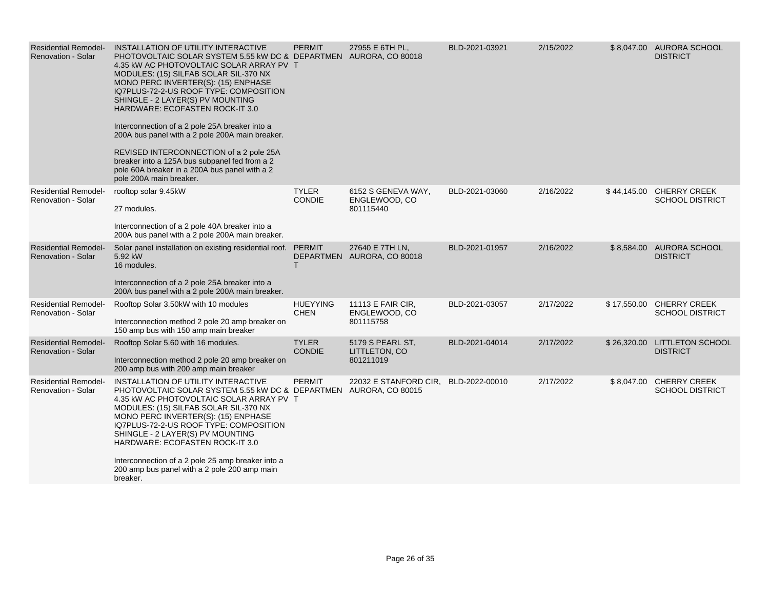| <b>Residential Remodel-</b><br><b>Renovation - Solar</b> | INSTALLATION OF UTILITY INTERACTIVE<br>PHOTOVOLTAIC SOLAR SYSTEM 5.55 kW DC & DEPARTMEN AURORA, CO 80018<br>4.35 kW AC PHOTOVOLTAIC SOLAR ARRAY PV T<br>MODULES: (15) SILFAB SOLAR SIL-370 NX<br>MONO PERC INVERTER(S): (15) ENPHASE<br>IQ7PLUS-72-2-US ROOF TYPE: COMPOSITION<br>SHINGLE - 2 LAYER(S) PV MOUNTING<br>HARDWARE: ECOFASTEN ROCK-IT 3.0<br>Interconnection of a 2 pole 25A breaker into a<br>200A bus panel with a 2 pole 200A main breaker.<br>REVISED INTERCONNECTION of a 2 pole 25A<br>breaker into a 125A bus subpanel fed from a 2<br>pole 60A breaker in a 200A bus panel with a 2<br>pole 200A main breaker. | <b>PERMIT</b>                  | 27955 E 6TH PL,                                  | BLD-2021-03921 | 2/15/2022 | \$8,047.00 AURORA SCHOOL<br><b>DISTRICT</b>        |
|----------------------------------------------------------|------------------------------------------------------------------------------------------------------------------------------------------------------------------------------------------------------------------------------------------------------------------------------------------------------------------------------------------------------------------------------------------------------------------------------------------------------------------------------------------------------------------------------------------------------------------------------------------------------------------------------------|--------------------------------|--------------------------------------------------|----------------|-----------|----------------------------------------------------|
| <b>Residential Remodel-</b><br><b>Renovation - Solar</b> | rooftop solar 9.45kW<br>27 modules.<br>Interconnection of a 2 pole 40A breaker into a<br>200A bus panel with a 2 pole 200A main breaker.                                                                                                                                                                                                                                                                                                                                                                                                                                                                                           | <b>TYLER</b><br><b>CONDIE</b>  | 6152 S GENEVA WAY,<br>ENGLEWOOD, CO<br>801115440 | BLD-2021-03060 | 2/16/2022 | \$44,145.00 CHERRY CREEK<br><b>SCHOOL DISTRICT</b> |
| <b>Residential Remodel-</b><br><b>Renovation - Solar</b> | Solar panel installation on existing residential roof. PERMIT<br>5.92 kW<br>16 modules.<br>Interconnection of a 2 pole 25A breaker into a<br>200A bus panel with a 2 pole 200A main breaker.                                                                                                                                                                                                                                                                                                                                                                                                                                       | T.                             | 27640 E 7TH LN,<br>DEPARTMEN AURORA, CO 80018    | BLD-2021-01957 | 2/16/2022 | \$8,584.00 AURORA SCHOOL<br><b>DISTRICT</b>        |
| <b>Residential Remodel-</b><br>Renovation - Solar        | Rooftop Solar 3.50kW with 10 modules<br>Interconnection method 2 pole 20 amp breaker on<br>150 amp bus with 150 amp main breaker                                                                                                                                                                                                                                                                                                                                                                                                                                                                                                   | <b>HUEYYING</b><br><b>CHEN</b> | 11113 E FAIR CIR,<br>ENGLEWOOD, CO<br>801115758  | BLD-2021-03057 | 2/17/2022 | \$17,550.00 CHERRY CREEK<br><b>SCHOOL DISTRICT</b> |
| <b>Residential Remodel-</b><br><b>Renovation - Solar</b> | Rooftop Solar 5.60 with 16 modules.<br>Interconnection method 2 pole 20 amp breaker on<br>200 amp bus with 200 amp main breaker                                                                                                                                                                                                                                                                                                                                                                                                                                                                                                    | <b>TYLER</b><br><b>CONDIE</b>  | 5179 S PEARL ST.<br>LITTLETON, CO<br>801211019   | BLD-2021-04014 | 2/17/2022 | \$26,320.00 LITTLETON SCHOOL<br><b>DISTRICT</b>    |
| <b>Residential Remodel-</b><br><b>Renovation - Solar</b> | INSTALLATION OF UTILITY INTERACTIVE<br>PHOTOVOLTAIC SOLAR SYSTEM 5.55 KW DC & DEPARTMEN AURORA, CO 80015<br>4.35 kW AC PHOTOVOLTAIC SOLAR ARRAY PV T<br>MODULES: (15) SILFAB SOLAR SIL-370 NX<br>MONO PERC INVERTER(S): (15) ENPHASE<br>IQ7PLUS-72-2-US ROOF TYPE: COMPOSITION<br>SHINGLE - 2 LAYER(S) PV MOUNTING<br><b>HARDWARE: ECOFASTEN ROCK-IT 3.0</b><br>Interconnection of a 2 pole 25 amp breaker into a<br>200 amp bus panel with a 2 pole 200 amp main<br>breaker.                                                                                                                                                      | <b>PERMIT</b>                  | 22032 E STANFORD CIR,                            | BLD-2022-00010 | 2/17/2022 | \$8,047.00 CHERRY CREEK<br><b>SCHOOL DISTRICT</b>  |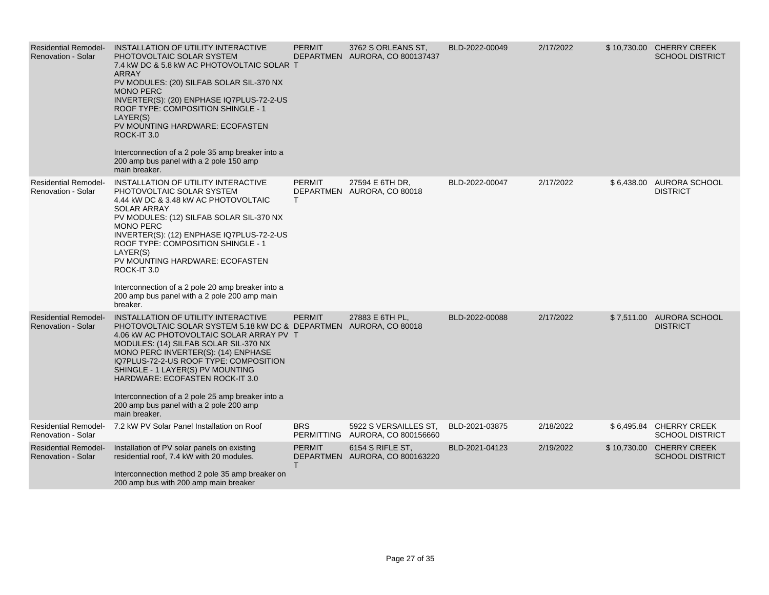| <b>Residential Remodel-</b><br><b>Renovation - Solar</b> | INSTALLATION OF UTILITY INTERACTIVE<br>PHOTOVOLTAIC SOLAR SYSTEM<br>7.4 kW DC & 5.8 kW AC PHOTOVOLTAIC SOLAR T<br><b>ARRAY</b><br>PV MODULES: (20) SILFAB SOLAR SIL-370 NX<br><b>MONO PERC</b><br>INVERTER(S): (20) ENPHASE IQ7PLUS-72-2-US<br>ROOF TYPE: COMPOSITION SHINGLE - 1<br>LAYER(S)<br>PV MOUNTING HARDWARE: ECOFASTEN<br>ROCK-IT 3.0<br>Interconnection of a 2 pole 35 amp breaker into a<br>200 amp bus panel with a 2 pole 150 amp<br>main breaker.              | <b>PERMIT</b>       | 3762 S ORLEANS ST.<br>DEPARTMEN AURORA, CO 800137437     | BLD-2022-00049 | 2/17/2022 | \$10,730.00 CHERRY CREEK<br><b>SCHOOL DISTRICT</b> |
|----------------------------------------------------------|-------------------------------------------------------------------------------------------------------------------------------------------------------------------------------------------------------------------------------------------------------------------------------------------------------------------------------------------------------------------------------------------------------------------------------------------------------------------------------|---------------------|----------------------------------------------------------|----------------|-----------|----------------------------------------------------|
| <b>Residential Remodel-</b><br><b>Renovation - Solar</b> | INSTALLATION OF UTILITY INTERACTIVE<br>PHOTOVOLTAIC SOLAR SYSTEM<br>4.44 KW DC & 3.48 KW AC PHOTOVOLTAIC<br><b>SOLAR ARRAY</b><br>PV MODULES: (12) SILFAB SOLAR SIL-370 NX<br><b>MONO PERC</b><br>INVERTER(S): (12) ENPHASE IQ7PLUS-72-2-US<br>ROOF TYPE: COMPOSITION SHINGLE - 1<br>LAYER(S)<br>PV MOUNTING HARDWARE: ECOFASTEN<br>ROCK-IT 3.0<br>Interconnection of a 2 pole 20 amp breaker into a<br>200 amp bus panel with a 2 pole 200 amp main<br>breaker.              | <b>PERMIT</b><br>T. | 27594 E 6TH DR,<br>DEPARTMEN AURORA, CO 80018            | BLD-2022-00047 | 2/17/2022 | \$6,438.00 AURORA SCHOOL<br><b>DISTRICT</b>        |
| <b>Residential Remodel-</b><br><b>Renovation - Solar</b> | INSTALLATION OF UTILITY INTERACTIVE<br>PHOTOVOLTAIC SOLAR SYSTEM 5.18 kW DC & DEPARTMEN AURORA, CO 80018<br>4.06 kW AC PHOTOVOLTAIC SOLAR ARRAY PV T<br>MODULES: (14) SILFAB SOLAR SIL-370 NX<br>MONO PERC INVERTER(S): (14) ENPHASE<br>IQ7PLUS-72-2-US ROOF TYPE: COMPOSITION<br>SHINGLE - 1 LAYER(S) PV MOUNTING<br><b>HARDWARE: ECOFASTEN ROCK-IT 3.0</b><br>Interconnection of a 2 pole 25 amp breaker into a<br>200 amp bus panel with a 2 pole 200 amp<br>main breaker. | <b>PERMIT</b>       | 27883 E 6TH PL.                                          | BLD-2022-00088 | 2/17/2022 | \$7,511.00 AURORA SCHOOL<br><b>DISTRICT</b>        |
| <b>Residential Remodel-</b><br><b>Renovation - Solar</b> | 7.2 kW PV Solar Panel Installation on Roof                                                                                                                                                                                                                                                                                                                                                                                                                                    | <b>BRS</b>          | 5922 S VERSAILLES ST.<br>PERMITTING AURORA, CO 800156660 | BLD-2021-03875 | 2/18/2022 | \$6,495.84 CHERRY CREEK<br><b>SCHOOL DISTRICT</b>  |
| <b>Residential Remodel-</b><br><b>Renovation - Solar</b> | Installation of PV solar panels on existing<br>residential roof, 7.4 kW with 20 modules.<br>Interconnection method 2 pole 35 amp breaker on<br>200 amp bus with 200 amp main breaker                                                                                                                                                                                                                                                                                          | <b>PERMIT</b><br>T. | 6154 S RIFLE ST.<br>DEPARTMEN AURORA, CO 800163220       | BLD-2021-04123 | 2/19/2022 | \$10,730.00 CHERRY CREEK<br><b>SCHOOL DISTRICT</b> |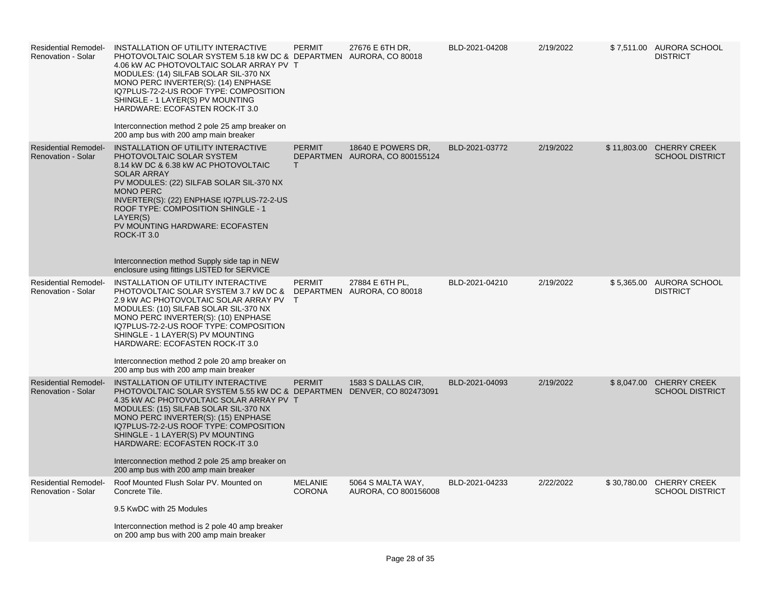| <b>Residential Remodel-</b><br>Renovation - Solar        | INSTALLATION OF UTILITY INTERACTIVE<br>PHOTOVOLTAIC SOLAR SYSTEM 5.18 kW DC & DEPARTMEN AURORA, CO 80018<br>4.06 kW AC PHOTOVOLTAIC SOLAR ARRAY PV T<br>MODULES: (14) SILFAB SOLAR SIL-370 NX<br>MONO PERC INVERTER(S): (14) ENPHASE<br>IQ7PLUS-72-2-US ROOF TYPE: COMPOSITION<br>SHINGLE - 1 LAYER(S) PV MOUNTING<br><b>HARDWARE: ECOFASTEN ROCK-IT 3.0</b><br>Interconnection method 2 pole 25 amp breaker on<br>200 amp bus with 200 amp main breaker | <b>PERMIT</b>                   | 27676 E 6TH DR,                                      | BLD-2021-04208 | 2/19/2022 |             | \$7,511.00 AURORA SCHOOL<br><b>DISTRICT</b>        |
|----------------------------------------------------------|----------------------------------------------------------------------------------------------------------------------------------------------------------------------------------------------------------------------------------------------------------------------------------------------------------------------------------------------------------------------------------------------------------------------------------------------------------|---------------------------------|------------------------------------------------------|----------------|-----------|-------------|----------------------------------------------------|
| <b>Residential Remodel-</b><br><b>Renovation - Solar</b> | INSTALLATION OF UTILITY INTERACTIVE<br>PHOTOVOLTAIC SOLAR SYSTEM<br>8.14 kW DC & 6.38 kW AC PHOTOVOLTAIC<br><b>SOLAR ARRAY</b><br>PV MODULES: (22) SILFAB SOLAR SIL-370 NX<br><b>MONO PERC</b><br>INVERTER(S): (22) ENPHASE IQ7PLUS-72-2-US<br>ROOF TYPE: COMPOSITION SHINGLE - 1<br>LAYER(S)<br>PV MOUNTING HARDWARE: ECOFASTEN<br>ROCK-IT 3.0<br>Interconnection method Supply side tap in NEW<br>enclosure using fittings LISTED for SERVICE          | <b>PERMIT</b><br>$\mathsf{T}$   | 18640 E POWERS DR.<br>DEPARTMEN AURORA, CO 800155124 | BLD-2021-03772 | 2/19/2022 |             | \$11,803.00 CHERRY CREEK<br><b>SCHOOL DISTRICT</b> |
| <b>Residential Remodel-</b><br>Renovation - Solar        | INSTALLATION OF UTILITY INTERACTIVE<br>PHOTOVOLTAIC SOLAR SYSTEM 3.7 kW DC & DEPARTMEN AURORA, CO 80018<br>2.9 kW AC PHOTOVOLTAIC SOLAR ARRAY PV<br>MODULES: (10) SILFAB SOLAR SIL-370 NX<br>MONO PERC INVERTER(S): (10) ENPHASE<br>IQ7PLUS-72-2-US ROOF TYPE: COMPOSITION<br>SHINGLE - 1 LAYER(S) PV MOUNTING<br>HARDWARE: ECOFASTEN ROCK-IT 3.0<br>Interconnection method 2 pole 20 amp breaker on<br>200 amp bus with 200 amp main breaker            | <b>PERMIT</b><br>$\mathsf{T}$   | 27884 E 6TH PL,                                      | BLD-2021-04210 | 2/19/2022 |             | \$5,365.00 AURORA SCHOOL<br><b>DISTRICT</b>        |
| <b>Residential Remodel-</b><br><b>Renovation - Solar</b> | INSTALLATION OF UTILITY INTERACTIVE<br>PHOTOVOLTAIC SOLAR SYSTEM 5.55 kW DC & DEPARTMEN DENVER, CO 802473091<br>4.35 kW AC PHOTOVOLTAIC SOLAR ARRAY PV T<br>MODULES: (15) SILFAB SOLAR SIL-370 NX<br>MONO PERC INVERTER(S): (15) ENPHASE<br>IQ7PLUS-72-2-US ROOF TYPE: COMPOSITION<br>SHINGLE - 1 LAYER(S) PV MOUNTING<br>HARDWARE: ECOFASTEN ROCK-IT 3.0<br>Interconnection method 2 pole 25 amp breaker on<br>200 amp bus with 200 amp main breaker    | <b>PERMIT</b>                   | 1583 S DALLAS CIR.                                   | BLD-2021-04093 | 2/19/2022 | \$8,047.00  | <b>CHERRY CREEK</b><br><b>SCHOOL DISTRICT</b>      |
| <b>Residential Remodel-</b><br>Renovation - Solar        | Roof Mounted Flush Solar PV. Mounted on<br>Concrete Tile.<br>9.5 KwDC with 25 Modules<br>Interconnection method is 2 pole 40 amp breaker<br>on 200 amp bus with 200 amp main breaker                                                                                                                                                                                                                                                                     | <b>MELANIE</b><br><b>CORONA</b> | 5064 S MALTA WAY,<br>AURORA, CO 800156008            | BLD-2021-04233 | 2/22/2022 | \$30,780.00 | <b>CHERRY CREEK</b><br><b>SCHOOL DISTRICT</b>      |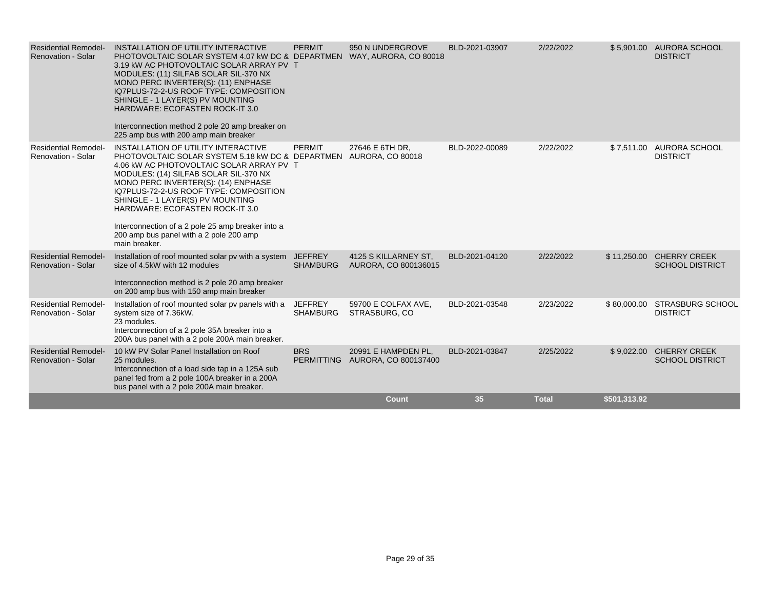| <b>Residential Remodel-</b><br><b>Renovation - Solar</b> | INSTALLATION OF UTILITY INTERACTIVE<br>PHOTOVOLTAIC SOLAR SYSTEM 4.07 kW DC & DEPARTMEN WAY, AURORA, CO 80018<br>3.19 KW AC PHOTOVOLTAIC SOLAR ARRAY PV T<br>MODULES: (11) SILFAB SOLAR SIL-370 NX<br>MONO PERC INVERTER(S): (11) ENPHASE<br>IQ7PLUS-72-2-US ROOF TYPE: COMPOSITION<br>SHINGLE - 1 LAYER(S) PV MOUNTING<br><b>HARDWARE: ECOFASTEN ROCK-IT 3.0</b><br>Interconnection method 2 pole 20 amp breaker on<br>225 amp bus with 200 amp main breaker          | <b>PERMIT</b>                     | 950 N UNDERGROVE                             | BLD-2021-03907 | 2/22/2022    |              | \$5.901.00 AURORA SCHOOL<br><b>DISTRICT</b>   |
|----------------------------------------------------------|------------------------------------------------------------------------------------------------------------------------------------------------------------------------------------------------------------------------------------------------------------------------------------------------------------------------------------------------------------------------------------------------------------------------------------------------------------------------|-----------------------------------|----------------------------------------------|----------------|--------------|--------------|-----------------------------------------------|
| <b>Residential Remodel-</b><br><b>Renovation - Solar</b> | INSTALLATION OF UTILITY INTERACTIVE<br>PHOTOVOLTAIC SOLAR SYSTEM 5.18 kW DC & DEPARTMEN AURORA, CO 80018<br>4.06 kW AC PHOTOVOLTAIC SOLAR ARRAY PV T<br>MODULES: (14) SILFAB SOLAR SIL-370 NX<br>MONO PERC INVERTER(S): (14) ENPHASE<br>IQ7PLUS-72-2-US ROOF TYPE: COMPOSITION<br>SHINGLE - 1 LAYER(S) PV MOUNTING<br>HARDWARE: ECOFASTEN ROCK-IT 3.0<br>Interconnection of a 2 pole 25 amp breaker into a<br>200 amp bus panel with a 2 pole 200 amp<br>main breaker. | <b>PERMIT</b>                     | 27646 E 6TH DR.                              | BLD-2022-00089 | 2/22/2022    |              | \$7,511.00 AURORA SCHOOL<br><b>DISTRICT</b>   |
| <b>Residential Remodel-</b><br><b>Renovation - Solar</b> | Installation of roof mounted solar pv with a system JEFFREY<br>size of 4.5kW with 12 modules<br>Interconnection method is 2 pole 20 amp breaker<br>on 200 amp bus with 150 amp main breaker                                                                                                                                                                                                                                                                            | <b>SHAMBURG</b>                   | 4125 S KILLARNEY ST,<br>AURORA, CO 800136015 | BLD-2021-04120 | 2/22/2022    | \$11,250.00  | <b>CHERRY CREEK</b><br><b>SCHOOL DISTRICT</b> |
| <b>Residential Remodel-</b><br><b>Renovation - Solar</b> | Installation of roof mounted solar pv panels with a<br>system size of 7.36kW.<br>23 modules.<br>Interconnection of a 2 pole 35A breaker into a<br>200A bus panel with a 2 pole 200A main breaker.                                                                                                                                                                                                                                                                      | <b>JEFFREY</b><br><b>SHAMBURG</b> | 59700 E COLFAX AVE,<br>STRASBURG, CO         | BLD-2021-03548 | 2/23/2022    | \$80,000.00  | <b>STRASBURG SCHOOL</b><br><b>DISTRICT</b>    |
| <b>Residential Remodel-</b><br><b>Renovation - Solar</b> | 10 kW PV Solar Panel Installation on Roof<br>25 modules.<br>Interconnection of a load side tap in a 125A sub<br>panel fed from a 2 pole 100A breaker in a 200A<br>bus panel with a 2 pole 200A main breaker.                                                                                                                                                                                                                                                           | <b>BRS</b><br><b>PERMITTING</b>   | 20991 E HAMPDEN PL.<br>AURORA, CO 800137400  | BLD-2021-03847 | 2/25/2022    | \$9,022.00   | <b>CHERRY CREEK</b><br><b>SCHOOL DISTRICT</b> |
|                                                          |                                                                                                                                                                                                                                                                                                                                                                                                                                                                        |                                   | <b>Count</b>                                 | 35             | <b>Total</b> | \$501,313.92 |                                               |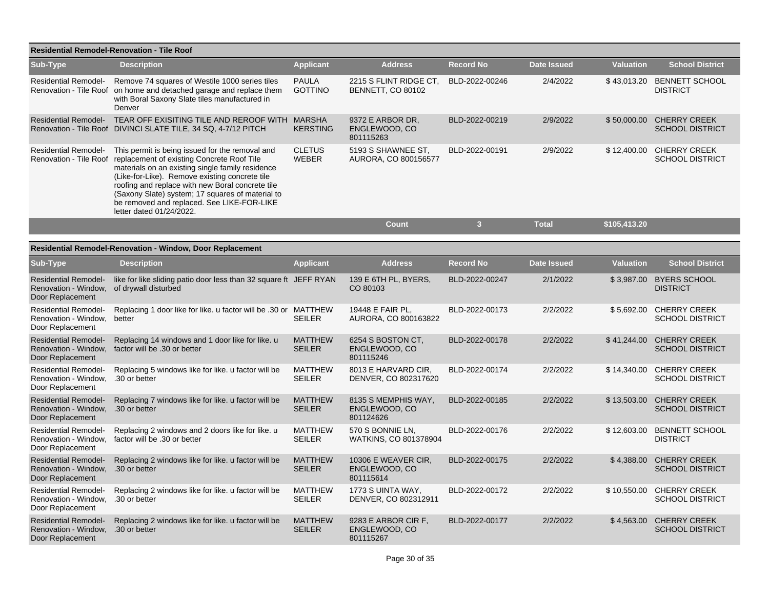| Residential Remodel-Renovation - Tile Roof                                            |                                                                                                                                                                                                                                                                                                                                                                                                              |                                 |                                                    |                  |                    |                  |                                               |  |  |  |
|---------------------------------------------------------------------------------------|--------------------------------------------------------------------------------------------------------------------------------------------------------------------------------------------------------------------------------------------------------------------------------------------------------------------------------------------------------------------------------------------------------------|---------------------------------|----------------------------------------------------|------------------|--------------------|------------------|-----------------------------------------------|--|--|--|
| Sub-Type                                                                              | <b>Description</b>                                                                                                                                                                                                                                                                                                                                                                                           | <b>Applicant</b>                | <b>Address</b>                                     | <b>Record No</b> | <b>Date Issued</b> | <b>Valuation</b> | <b>School District</b>                        |  |  |  |
| <b>Residential Remodel-</b>                                                           | Remove 74 squares of Westile 1000 series tiles<br>Renovation - Tile Roof on home and detached garage and replace them<br>with Boral Saxony Slate tiles manufactured in<br>Denver                                                                                                                                                                                                                             | <b>PAULA</b><br><b>GOTTINO</b>  | 2215 S FLINT RIDGE CT,<br><b>BENNETT, CO 80102</b> | BLD-2022-00246   | 2/4/2022           | \$43,013.20      | <b>BENNETT SCHOOL</b><br><b>DISTRICT</b>      |  |  |  |
|                                                                                       | Residential Remodel- TEAR OFF EXISITING TILE AND REROOF WITH MARSHA<br>Renovation - Tile Roof DIVINCI SLATE TILE, 34 SQ, 4-7/12 PITCH                                                                                                                                                                                                                                                                        | <b>KERSTING</b>                 | 9372 E ARBOR DR,<br>ENGLEWOOD, CO<br>801115263     | BLD-2022-00219   | 2/9/2022           | \$50,000.00      | <b>CHERRY CREEK</b><br><b>SCHOOL DISTRICT</b> |  |  |  |
| <b>Residential Remodel-</b>                                                           | This permit is being issued for the removal and<br>Renovation - Tile Roof replacement of existing Concrete Roof Tile<br>materials on an existing single family residence<br>(Like-for-Like). Remove existing concrete tile<br>roofing and replace with new Boral concrete tile<br>(Saxony Slate) system; 17 squares of material to<br>be removed and replaced. See LIKE-FOR-LIKE<br>letter dated 01/24/2022. | <b>CLETUS</b><br><b>WEBER</b>   | 5193 S SHAWNEE ST,<br>AURORA, CO 800156577         | BLD-2022-00191   | 2/9/2022           | \$12,400.00      | <b>CHERRY CREEK</b><br><b>SCHOOL DISTRICT</b> |  |  |  |
|                                                                                       |                                                                                                                                                                                                                                                                                                                                                                                                              |                                 | <b>Count</b>                                       | 3                | <b>Total</b>       | \$105,413.20     |                                               |  |  |  |
|                                                                                       |                                                                                                                                                                                                                                                                                                                                                                                                              |                                 |                                                    |                  |                    |                  |                                               |  |  |  |
|                                                                                       | <b>Residential Remodel-Renovation - Window, Door Replacement</b>                                                                                                                                                                                                                                                                                                                                             |                                 |                                                    |                  |                    |                  |                                               |  |  |  |
| <b>Sub-Type</b>                                                                       | <b>Description</b>                                                                                                                                                                                                                                                                                                                                                                                           | <b>Applicant</b>                | <b>Address</b>                                     | <b>Record No</b> | <b>Date Issued</b> | <b>Valuation</b> | <b>School District</b>                        |  |  |  |
| <b>Residential Remodel-</b><br>Renovation - Window,<br>Door Replacement               | like for like sliding patio door less than 32 square ft JEFF RYAN<br>of drywall disturbed                                                                                                                                                                                                                                                                                                                    |                                 | 139 E 6TH PL, BYERS,<br>CO 80103                   | BLD-2022-00247   | 2/1/2022           | \$3,987.00       | <b>BYERS SCHOOL</b><br><b>DISTRICT</b>        |  |  |  |
| <b>Residential Remodel-</b><br>Renovation - Window,<br>Door Replacement               | Replacing 1 door like for like, u factor will be .30 or MATTHEW<br>better                                                                                                                                                                                                                                                                                                                                    | <b>SEILER</b>                   | 19448 E FAIR PL.<br>AURORA, CO 800163822           | BLD-2022-00173   | 2/2/2022           | \$5,692.00       | <b>CHERRY CREEK</b><br><b>SCHOOL DISTRICT</b> |  |  |  |
| <b>Residential Remodel-</b><br>Renovation - Window,<br>Door Replacement               | Replacing 14 windows and 1 door like for like. u<br>factor will be .30 or better                                                                                                                                                                                                                                                                                                                             | <b>MATTHEW</b><br><b>SEILER</b> | 6254 S BOSTON CT.<br>ENGLEWOOD, CO<br>801115246    | BLD-2022-00178   | 2/2/2022           | \$41,244.00      | <b>CHERRY CREEK</b><br><b>SCHOOL DISTRICT</b> |  |  |  |
| <b>Residential Remodel-</b><br>Renovation - Window, .30 or better<br>Door Replacement | Replacing 5 windows like for like, u factor will be                                                                                                                                                                                                                                                                                                                                                          | <b>MATTHEW</b><br><b>SEILER</b> | 8013 E HARVARD CIR,<br>DENVER, CO 802317620        | BLD-2022-00174   | 2/2/2022           | \$14,340.00      | <b>CHERRY CREEK</b><br><b>SCHOOL DISTRICT</b> |  |  |  |
| <b>Residential Remodel-</b><br>Renovation - Window,<br>Door Replacement               | Replacing 7 windows like for like. u factor will be<br>.30 or better                                                                                                                                                                                                                                                                                                                                         | <b>MATTHEW</b><br><b>SEILER</b> | 8135 S MEMPHIS WAY,<br>ENGLEWOOD, CO<br>801124626  | BLD-2022-00185   | 2/2/2022           | \$13,503.00      | <b>CHERRY CREEK</b><br><b>SCHOOL DISTRICT</b> |  |  |  |
| <b>Residential Remodel-</b><br>Renovation - Window,<br>Door Replacement               | Replacing 2 windows and 2 doors like for like. u<br>factor will be .30 or better                                                                                                                                                                                                                                                                                                                             | <b>MATTHEW</b><br><b>SEILER</b> | 570 S BONNIE LN,<br>WATKINS, CO 801378904          | BLD-2022-00176   | 2/2/2022           | \$12,603.00      | <b>BENNETT SCHOOL</b><br><b>DISTRICT</b>      |  |  |  |
| <b>Residential Remodel-</b><br>Renovation - Window, .30 or better<br>Door Replacement | Replacing 2 windows like for like, u factor will be                                                                                                                                                                                                                                                                                                                                                          | <b>MATTHEW</b><br><b>SEILER</b> | 10306 E WEAVER CIR,<br>ENGLEWOOD, CO<br>801115614  | BLD-2022-00175   | 2/2/2022           | \$4,388.00       | <b>CHERRY CREEK</b><br><b>SCHOOL DISTRICT</b> |  |  |  |
| <b>Residential Remodel-</b><br>Renovation - Window, .30 or better<br>Door Replacement | Replacing 2 windows like for like. u factor will be                                                                                                                                                                                                                                                                                                                                                          | <b>MATTHEW</b><br><b>SEILER</b> | 1773 S UINTA WAY,<br>DENVER, CO 802312911          | BLD-2022-00172   | 2/2/2022           | \$10,550.00      | <b>CHERRY CREEK</b><br><b>SCHOOL DISTRICT</b> |  |  |  |
| <b>Residential Remodel-</b><br>Renovation - Window, .30 or better<br>Door Replacement | Replacing 2 windows like for like. u factor will be                                                                                                                                                                                                                                                                                                                                                          | <b>MATTHEW</b><br><b>SEILER</b> | 9283 E ARBOR CIR F,<br>ENGLEWOOD, CO<br>801115267  | BLD-2022-00177   | 2/2/2022           | \$4,563.00       | <b>CHERRY CREEK</b><br><b>SCHOOL DISTRICT</b> |  |  |  |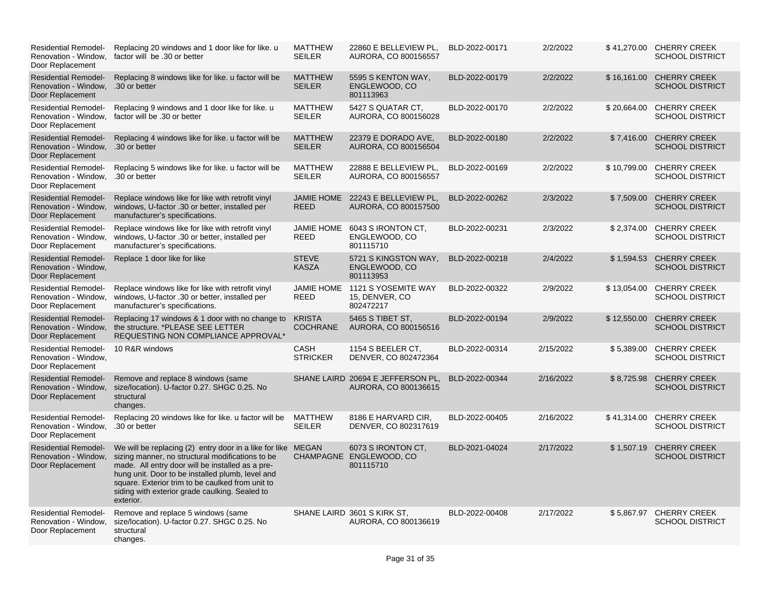| <b>Residential Remodel-</b><br>Renovation - Window.<br>Door Replacement               | Replacing 20 windows and 1 door like for like. u<br>factor will be .30 or better                                                                                                                                                                                                                                                            | <b>MATTHEW</b><br><b>SEILER</b>  | 22860 E BELLEVIEW PL.<br>AURORA, CO 800156557              | BLD-2022-00171 | 2/2/2022  |             | \$41,270.00 CHERRY CREEK<br><b>SCHOOL DISTRICT</b> |
|---------------------------------------------------------------------------------------|---------------------------------------------------------------------------------------------------------------------------------------------------------------------------------------------------------------------------------------------------------------------------------------------------------------------------------------------|----------------------------------|------------------------------------------------------------|----------------|-----------|-------------|----------------------------------------------------|
| <b>Residential Remodel-</b><br>Renovation - Window,<br>Door Replacement               | Replacing 8 windows like for like. u factor will be<br>.30 or better                                                                                                                                                                                                                                                                        | <b>MATTHEW</b><br><b>SEILER</b>  | 5595 S KENTON WAY,<br>ENGLEWOOD, CO<br>801113963           | BLD-2022-00179 | 2/2/2022  |             | \$16,161.00 CHERRY CREEK<br><b>SCHOOL DISTRICT</b> |
| <b>Residential Remodel-</b><br>Renovation - Window,<br>Door Replacement               | Replacing 9 windows and 1 door like for like. u<br>factor will be .30 or better                                                                                                                                                                                                                                                             | <b>MATTHEW</b><br><b>SEILER</b>  | 5427 S QUATAR CT.<br>AURORA, CO 800156028                  | BLD-2022-00170 | 2/2/2022  |             | \$20,664.00 CHERRY CREEK<br><b>SCHOOL DISTRICT</b> |
| <b>Residential Remodel-</b><br>Renovation - Window, .30 or better<br>Door Replacement | Replacing 4 windows like for like. u factor will be                                                                                                                                                                                                                                                                                         | <b>MATTHEW</b><br><b>SEILER</b>  | 22379 E DORADO AVE.<br>AURORA, CO 800156504                | BLD-2022-00180 | 2/2/2022  | \$7,416.00  | <b>CHERRY CREEK</b><br><b>SCHOOL DISTRICT</b>      |
| <b>Residential Remodel-</b><br>Renovation - Window, .30 or better<br>Door Replacement | Replacing 5 windows like for like, u factor will be                                                                                                                                                                                                                                                                                         | <b>MATTHEW</b><br><b>SEILER</b>  | 22888 E BELLEVIEW PL.<br>AURORA, CO 800156557              | BLD-2022-00169 | 2/2/2022  | \$10,799.00 | <b>CHERRY CREEK</b><br><b>SCHOOL DISTRICT</b>      |
| <b>Residential Remodel-</b><br>Renovation - Window.<br>Door Replacement               | Replace windows like for like with retrofit vinyl<br>windows, U-factor .30 or better, installed per<br>manufacturer's specifications.                                                                                                                                                                                                       | <b>JAMIE HOME</b><br><b>REED</b> | 22243 E BELLEVIEW PL,<br>AURORA, CO 800157500              | BLD-2022-00262 | 2/3/2022  | \$7,509.00  | <b>CHERRY CREEK</b><br><b>SCHOOL DISTRICT</b>      |
| <b>Residential Remodel-</b><br>Renovation - Window,<br>Door Replacement               | Replace windows like for like with retrofit vinyl<br>windows, U-factor .30 or better, installed per<br>manufacturer's specifications.                                                                                                                                                                                                       | <b>JAMIE HOME</b><br><b>REED</b> | 6043 S IRONTON CT,<br>ENGLEWOOD, CO<br>801115710           | BLD-2022-00231 | 2/3/2022  |             | \$2,374.00 CHERRY CREEK<br><b>SCHOOL DISTRICT</b>  |
| <b>Residential Remodel-</b><br>Renovation - Window,<br>Door Replacement               | Replace 1 door like for like                                                                                                                                                                                                                                                                                                                | <b>STEVE</b><br><b>KASZA</b>     | 5721 S KINGSTON WAY,<br>ENGLEWOOD, CO<br>801113953         | BLD-2022-00218 | 2/4/2022  | \$1,594.53  | <b>CHERRY CREEK</b><br><b>SCHOOL DISTRICT</b>      |
| <b>Residential Remodel-</b><br>Renovation - Window,<br>Door Replacement               | Replace windows like for like with retrofit vinyl<br>windows, U-factor .30 or better, installed per<br>manufacturer's specifications.                                                                                                                                                                                                       | <b>JAMIE HOME</b><br>REED        | 1121 S YOSEMITE WAY<br>15, DENVER, CO<br>802472217         | BLD-2022-00322 | 2/9/2022  | \$13,054.00 | <b>CHERRY CREEK</b><br><b>SCHOOL DISTRICT</b>      |
| <b>Residential Remodel-</b><br>Renovation - Window,<br>Door Replacement               | Replacing 17 windows & 1 door with no change to<br>the structure. *PLEASE SEE LETTER<br>REQUESTING NON COMPLIANCE APPROVAL*                                                                                                                                                                                                                 | <b>KRISTA</b><br><b>COCHRANE</b> | 5465 S TIBET ST.<br>AURORA, CO 800156516                   | BLD-2022-00194 | 2/9/2022  | \$12,550,00 | <b>CHERRY CREEK</b><br><b>SCHOOL DISTRICT</b>      |
| <b>Residential Remodel-</b><br>Renovation - Window.<br>Door Replacement               | 10 R&R windows                                                                                                                                                                                                                                                                                                                              | CASH<br><b>STRICKER</b>          | 1154 S BEELER CT.<br>DENVER, CO 802472364                  | BLD-2022-00314 | 2/15/2022 |             | \$5,389.00 CHERRY CREEK<br><b>SCHOOL DISTRICT</b>  |
| <b>Residential Remodel-</b><br>Renovation - Window,<br>Door Replacement               | Remove and replace 8 windows (same<br>size/location). U-factor 0.27. SHGC 0.25. No<br>structural<br>changes.                                                                                                                                                                                                                                |                                  | SHANE LAIRD 20694 E JEFFERSON PL.<br>AURORA, CO 800136615  | BLD-2022-00344 | 2/16/2022 | \$8,725.98  | <b>CHERRY CREEK</b><br><b>SCHOOL DISTRICT</b>      |
| <b>Residential Remodel-</b><br>Renovation - Window,<br>Door Replacement               | Replacing 20 windows like for like. u factor will be<br>.30 or better                                                                                                                                                                                                                                                                       | <b>MATTHEW</b><br><b>SEILER</b>  | 8186 E HARVARD CIR,<br>DENVER, CO 802317619                | BLD-2022-00405 | 2/16/2022 |             | \$41,314.00 CHERRY CREEK<br><b>SCHOOL DISTRICT</b> |
| <b>Residential Remodel-</b><br>Renovation - Window,<br>Door Replacement               | We will be replacing (2) entry door in a like for like MEGAN<br>sizing manner, no structural modifications to be<br>made. All entry door will be installed as a pre-<br>hung unit. Door to be installed plumb, level and<br>square. Exterior trim to be caulked from unit to<br>siding with exterior grade caulking. Sealed to<br>exterior. |                                  | 6073 S IRONTON CT.<br>CHAMPAGNE ENGLEWOOD, CO<br>801115710 | BLD-2021-04024 | 2/17/2022 |             | \$1,507.19 CHERRY CREEK<br><b>SCHOOL DISTRICT</b>  |
| <b>Residential Remodel-</b><br>Renovation - Window,<br>Door Replacement               | Remove and replace 5 windows (same<br>size/location). U-factor 0.27. SHGC 0.25. No<br>structural<br>changes.                                                                                                                                                                                                                                |                                  | SHANE LAIRD 3601 S KIRK ST,<br>AURORA, CO 800136619        | BLD-2022-00408 | 2/17/2022 |             | \$5,867.97 CHERRY CREEK<br><b>SCHOOL DISTRICT</b>  |
|                                                                                       |                                                                                                                                                                                                                                                                                                                                             |                                  |                                                            |                |           |             |                                                    |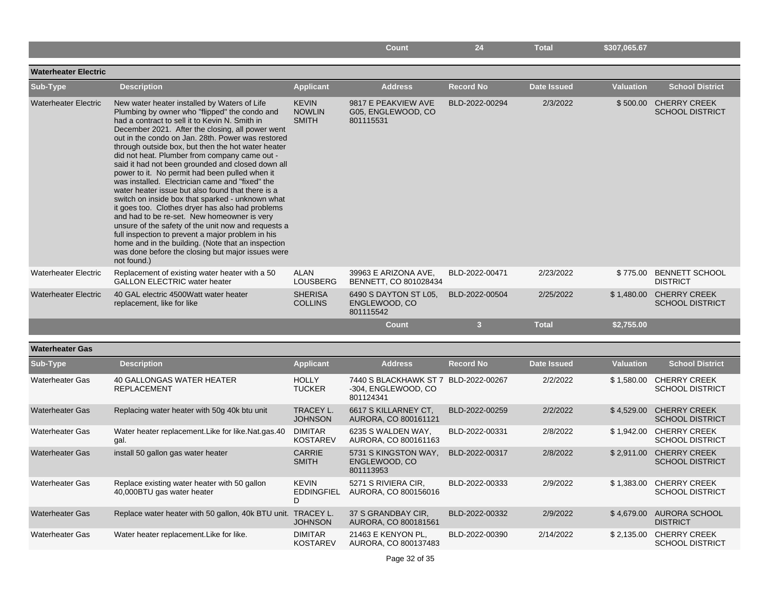|                             |                                                                                                                                                                                                                                                                                                                                                                                                                                                                                                                                                                                                                                                                                                                                                                                                                                                                                                                                                                             |                                               | <b>Count</b>                                                             | 24                      | <b>Total</b>       | \$307,065.67     |                                                   |
|-----------------------------|-----------------------------------------------------------------------------------------------------------------------------------------------------------------------------------------------------------------------------------------------------------------------------------------------------------------------------------------------------------------------------------------------------------------------------------------------------------------------------------------------------------------------------------------------------------------------------------------------------------------------------------------------------------------------------------------------------------------------------------------------------------------------------------------------------------------------------------------------------------------------------------------------------------------------------------------------------------------------------|-----------------------------------------------|--------------------------------------------------------------------------|-------------------------|--------------------|------------------|---------------------------------------------------|
|                             |                                                                                                                                                                                                                                                                                                                                                                                                                                                                                                                                                                                                                                                                                                                                                                                                                                                                                                                                                                             |                                               |                                                                          |                         |                    |                  |                                                   |
| <b>Waterheater Electric</b> |                                                                                                                                                                                                                                                                                                                                                                                                                                                                                                                                                                                                                                                                                                                                                                                                                                                                                                                                                                             |                                               |                                                                          |                         |                    |                  |                                                   |
| Sub-Type                    | <b>Description</b>                                                                                                                                                                                                                                                                                                                                                                                                                                                                                                                                                                                                                                                                                                                                                                                                                                                                                                                                                          | <b>Applicant</b>                              | <b>Address</b>                                                           | <b>Record No</b>        | <b>Date Issued</b> | <b>Valuation</b> | <b>School District</b>                            |
| <b>Waterheater Electric</b> | New water heater installed by Waters of Life<br>Plumbing by owner who "flipped" the condo and<br>had a contract to sell it to Kevin N. Smith in<br>December 2021. After the closing, all power went<br>out in the condo on Jan. 28th. Power was restored<br>through outside box, but then the hot water heater<br>did not heat. Plumber from company came out -<br>said it had not been grounded and closed down all<br>power to it. No permit had been pulled when it<br>was installed. Electrician came and "fixed" the<br>water heater issue but also found that there is a<br>switch on inside box that sparked - unknown what<br>it goes too. Clothes dryer has also had problems<br>and had to be re-set. New homeowner is very<br>unsure of the safety of the unit now and requests a<br>full inspection to prevent a major problem in his<br>home and in the building. (Note that an inspection<br>was done before the closing but major issues were<br>not found.) | <b>KEVIN</b><br><b>NOWLIN</b><br><b>SMITH</b> | 9817 E PEAKVIEW AVE<br>G05, ENGLEWOOD, CO<br>801115531                   | BLD-2022-00294          | 2/3/2022           |                  | \$500.00 CHERRY CREEK<br><b>SCHOOL DISTRICT</b>   |
| <b>Waterheater Electric</b> | Replacement of existing water heater with a 50<br><b>GALLON ELECTRIC water heater</b>                                                                                                                                                                                                                                                                                                                                                                                                                                                                                                                                                                                                                                                                                                                                                                                                                                                                                       | <b>ALAN</b><br><b>LOUSBERG</b>                | 39963 E ARIZONA AVE,<br>BENNETT, CO 801028434                            | BLD-2022-00471          | 2/23/2022          |                  | \$775.00 BENNETT SCHOOL<br><b>DISTRICT</b>        |
| <b>Waterheater Electric</b> | 40 GAL electric 4500 Watt water heater<br>replacement, like for like                                                                                                                                                                                                                                                                                                                                                                                                                                                                                                                                                                                                                                                                                                                                                                                                                                                                                                        | <b>SHERISA</b><br><b>COLLINS</b>              | 6490 S DAYTON ST L05,<br>ENGLEWOOD, CO<br>801115542                      | BLD-2022-00504          | 2/25/2022          |                  | \$1,480.00 CHERRY CREEK<br><b>SCHOOL DISTRICT</b> |
|                             |                                                                                                                                                                                                                                                                                                                                                                                                                                                                                                                                                                                                                                                                                                                                                                                                                                                                                                                                                                             |                                               | <b>Count</b>                                                             | $\overline{\mathbf{3}}$ | <b>Total</b>       | \$2,755.00       |                                                   |
| <b>Waterheater Gas</b>      |                                                                                                                                                                                                                                                                                                                                                                                                                                                                                                                                                                                                                                                                                                                                                                                                                                                                                                                                                                             |                                               |                                                                          |                         |                    |                  |                                                   |
| Sub-Type                    | <b>Description</b>                                                                                                                                                                                                                                                                                                                                                                                                                                                                                                                                                                                                                                                                                                                                                                                                                                                                                                                                                          | <b>Applicant</b>                              | <b>Address</b>                                                           | <b>Record No</b>        | <b>Date Issued</b> | <b>Valuation</b> | <b>School District</b>                            |
| <b>Waterheater Gas</b>      | 40 GALLONGAS WATER HEATER<br><b>REPLACEMENT</b>                                                                                                                                                                                                                                                                                                                                                                                                                                                                                                                                                                                                                                                                                                                                                                                                                                                                                                                             | <b>HOLLY</b><br><b>TUCKER</b>                 | 7440 S BLACKHAWK ST 7 BLD-2022-00267<br>-304, ENGLEWOOD, CO<br>801124341 |                         | 2/2/2022           |                  | \$1,580.00 CHERRY CREEK<br><b>SCHOOL DISTRICT</b> |
| <b>Waterheater Gas</b>      | Replacing water heater with 50g 40k btu unit                                                                                                                                                                                                                                                                                                                                                                                                                                                                                                                                                                                                                                                                                                                                                                                                                                                                                                                                | TRACEY L.<br><b>JOHNSON</b>                   | 6617 S KILLARNEY CT,<br>AURORA, CO 800161121                             | BLD-2022-00259          | 2/2/2022           | \$4,529.00       | <b>CHERRY CREEK</b><br><b>SCHOOL DISTRICT</b>     |
| <b>Waterheater Gas</b>      | Water heater replacement. Like for like. Nat.gas. 40<br>gal.                                                                                                                                                                                                                                                                                                                                                                                                                                                                                                                                                                                                                                                                                                                                                                                                                                                                                                                | <b>DIMITAR</b><br><b>KOSTAREV</b>             | 6235 S WALDEN WAY,<br>AURORA, CO 800161163                               | BLD-2022-00331          | 2/8/2022           | \$1,942.00       | <b>CHERRY CREEK</b><br><b>SCHOOL DISTRICT</b>     |
| <b>Waterheater Gas</b>      | install 50 gallon gas water heater                                                                                                                                                                                                                                                                                                                                                                                                                                                                                                                                                                                                                                                                                                                                                                                                                                                                                                                                          | <b>CARRIE</b><br><b>SMITH</b>                 | 5731 S KINGSTON WAY,<br>ENGLEWOOD, CO<br>801113953                       | BLD-2022-00317          | 2/8/2022           |                  | \$2,911.00 CHERRY CREEK<br><b>SCHOOL DISTRICT</b> |
| <b>Waterheater Gas</b>      | Replace existing water heater with 50 gallon<br>40,000BTU gas water heater                                                                                                                                                                                                                                                                                                                                                                                                                                                                                                                                                                                                                                                                                                                                                                                                                                                                                                  | <b>KEVIN</b><br><b>EDDINGFIEL</b><br>D        | 5271 S RIVIERA CIR,<br>AURORA, CO 800156016                              | BLD-2022-00333          | 2/9/2022           |                  | \$1,383.00 CHERRY CREEK<br><b>SCHOOL DISTRICT</b> |
| <b>Waterheater Gas</b>      | Replace water heater with 50 gallon, 40k BTU unit. TRACEY L.                                                                                                                                                                                                                                                                                                                                                                                                                                                                                                                                                                                                                                                                                                                                                                                                                                                                                                                | <b>JOHNSON</b>                                | 37 S GRANDBAY CIR,<br>AURORA, CO 800181561                               | BLD-2022-00332          | 2/9/2022           | \$4,679.00       | AURORA SCHOOL<br><b>DISTRICT</b>                  |
| <b>Waterheater Gas</b>      | Water heater replacement. Like for like.                                                                                                                                                                                                                                                                                                                                                                                                                                                                                                                                                                                                                                                                                                                                                                                                                                                                                                                                    | <b>DIMITAR</b><br><b>KOSTAREV</b>             | 21463 E KENYON PL,<br>AURORA, CO 800137483                               | BLD-2022-00390          | 2/14/2022          |                  | \$2,135.00 CHERRY CREEK<br><b>SCHOOL DISTRICT</b> |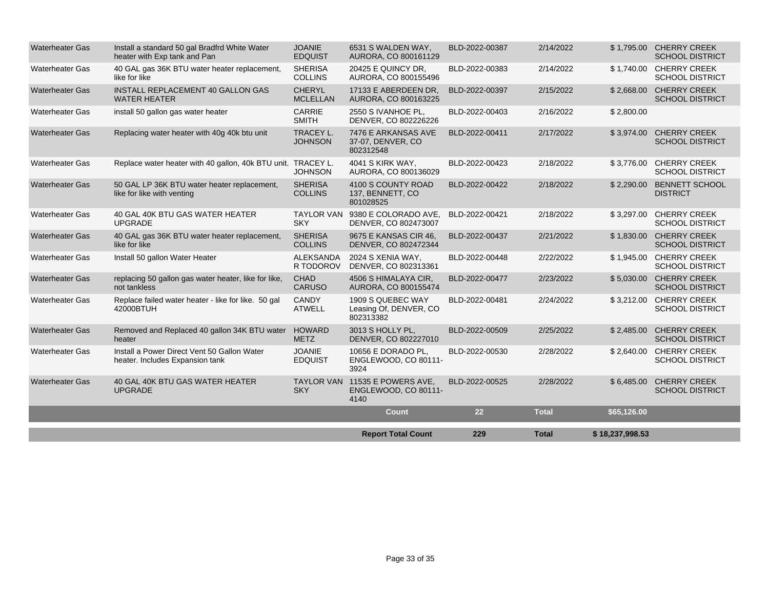|                        |                                                                                |                                    | <b>Report Total Count</b>                                      | 229            | <b>Total</b> | \$18,237,998.53 |                                                   |
|------------------------|--------------------------------------------------------------------------------|------------------------------------|----------------------------------------------------------------|----------------|--------------|-----------------|---------------------------------------------------|
|                        |                                                                                |                                    | <b>Count</b>                                                   | 22             | <b>Total</b> | \$65,126.00     |                                                   |
| <b>Waterheater Gas</b> | 40 GAL 40K BTU GAS WATER HEATER<br><b>UPGRADE</b>                              | <b>SKY</b>                         | TAYLOR VAN 11535 E POWERS AVE.<br>ENGLEWOOD, CO 80111-<br>4140 | BLD-2022-00525 | 2/28/2022    |                 | \$6,485.00 CHERRY CREEK<br><b>SCHOOL DISTRICT</b> |
| <b>Waterheater Gas</b> | Install a Power Direct Vent 50 Gallon Water<br>heater. Includes Expansion tank | <b>JOANIE</b><br><b>EDQUIST</b>    | 10656 E DORADO PL.<br>ENGLEWOOD, CO 80111-<br>3924             | BLD-2022-00530 | 2/28/2022    |                 | \$2,640.00 CHERRY CREEK<br><b>SCHOOL DISTRICT</b> |
| <b>Waterheater Gas</b> | Removed and Replaced 40 gallon 34K BTU water<br>heater                         | <b>HOWARD</b><br><b>METZ</b>       | 3013 S HOLLY PL,<br>DENVER, CO 802227010                       | BLD-2022-00509 | 2/25/2022    |                 | \$2,485.00 CHERRY CREEK<br><b>SCHOOL DISTRICT</b> |
| <b>Waterheater Gas</b> | Replace failed water heater - like for like. 50 gal<br>42000BTUH               | <b>CANDY</b><br><b>ATWELL</b>      | 1909 S QUEBEC WAY<br>Leasing Of, DENVER, CO<br>802313382       | BLD-2022-00481 | 2/24/2022    |                 | \$3,212.00 CHERRY CREEK<br><b>SCHOOL DISTRICT</b> |
| <b>Waterheater Gas</b> | replacing 50 gallon gas water heater, like for like,<br>not tankless           | <b>CHAD</b><br><b>CARUSO</b>       | 4506 S HIMALAYA CIR.<br>AURORA, CO 800155474                   | BLD-2022-00477 | 2/23/2022    |                 | \$5.030.00 CHERRY CREEK<br><b>SCHOOL DISTRICT</b> |
| <b>Waterheater Gas</b> | Install 50 gallon Water Heater                                                 | <b>ALEKSANDA</b><br>R TODOROV      | 2024 S XENIA WAY.<br>DENVER, CO 802313361                      | BLD-2022-00448 | 2/22/2022    |                 | \$1.945.00 CHERRY CREEK<br><b>SCHOOL DISTRICT</b> |
| <b>Waterheater Gas</b> | 40 GAL gas 36K BTU water heater replacement,<br>like for like                  | <b>SHERISA</b><br><b>COLLINS</b>   | 9675 E KANSAS CIR 46.<br>DENVER, CO 802472344                  | BLD-2022-00437 | 2/21/2022    |                 | \$1,830.00 CHERRY CREEK<br><b>SCHOOL DISTRICT</b> |
| Waterheater Gas        | 40 GAL 40K BTU GAS WATER HEATER<br><b>UPGRADE</b>                              | <b>TAYLOR VAN</b><br><b>SKY</b>    | 9380 E COLORADO AVE.<br>DENVER, CO 802473007                   | BLD-2022-00421 | 2/18/2022    | \$3,297.00      | <b>CHERRY CREEK</b><br><b>SCHOOL DISTRICT</b>     |
| <b>Waterheater Gas</b> | 50 GAL LP 36K BTU water heater replacement,<br>like for like with venting      | <b>SHERISA</b><br><b>COLLINS</b>   | 4100 S COUNTY ROAD<br>137, BENNETT, CO<br>801028525            | BLD-2022-00422 | 2/18/2022    |                 | \$2,290.00 BENNETT SCHOOL<br><b>DISTRICT</b>      |
| <b>Waterheater Gas</b> | Replace water heater with 40 gallon, 40k BTU unit. TRACEY L.                   | <b>JOHNSON</b>                     | <b>4041 S KIRK WAY.</b><br>AURORA, CO 800136029                | BLD-2022-00423 | 2/18/2022    |                 | \$3,776.00 CHERRY CREEK<br><b>SCHOOL DISTRICT</b> |
| <b>Waterheater Gas</b> | Replacing water heater with 40g 40k btu unit                                   | <b>TRACEY L.</b><br><b>JOHNSON</b> | 7476 E ARKANSAS AVE<br>37-07, DENVER, CO<br>802312548          | BLD-2022-00411 | 2/17/2022    |                 | \$3,974.00 CHERRY CREEK<br><b>SCHOOL DISTRICT</b> |
| <b>Waterheater Gas</b> | install 50 gallon gas water heater                                             | <b>CARRIE</b><br><b>SMITH</b>      | 2550 S IVANHOE PL.<br>DENVER, CO 802226226                     | BLD-2022-00403 | 2/16/2022    | \$2,800.00      |                                                   |
| <b>Waterheater Gas</b> | INSTALL REPLACEMENT 40 GALLON GAS<br><b>WATER HEATER</b>                       | <b>CHERYL</b><br><b>MCLELLAN</b>   | 17133 E ABERDEEN DR.<br>AURORA, CO 800163225                   | BLD-2022-00397 | 2/15/2022    |                 | \$2,668.00 CHERRY CREEK<br><b>SCHOOL DISTRICT</b> |
| <b>Waterheater Gas</b> | 40 GAL gas 36K BTU water heater replacement,<br>like for like                  | <b>SHERISA</b><br><b>COLLINS</b>   | 20425 E QUINCY DR.<br>AURORA, CO 800155496                     | BLD-2022-00383 | 2/14/2022    |                 | \$1.740.00 CHERRY CREEK<br><b>SCHOOL DISTRICT</b> |
| <b>Waterheater Gas</b> | Install a standard 50 gal Bradfrd White Water<br>heater with Exp tank and Pan  | <b>JOANIE</b><br><b>EDQUIST</b>    | 6531 S WALDEN WAY,<br>AURORA, CO 800161129                     | BLD-2022-00387 | 2/14/2022    |                 | \$1,795.00 CHERRY CREEK<br><b>SCHOOL DISTRICT</b> |
|                        |                                                                                |                                    |                                                                |                |              |                 |                                                   |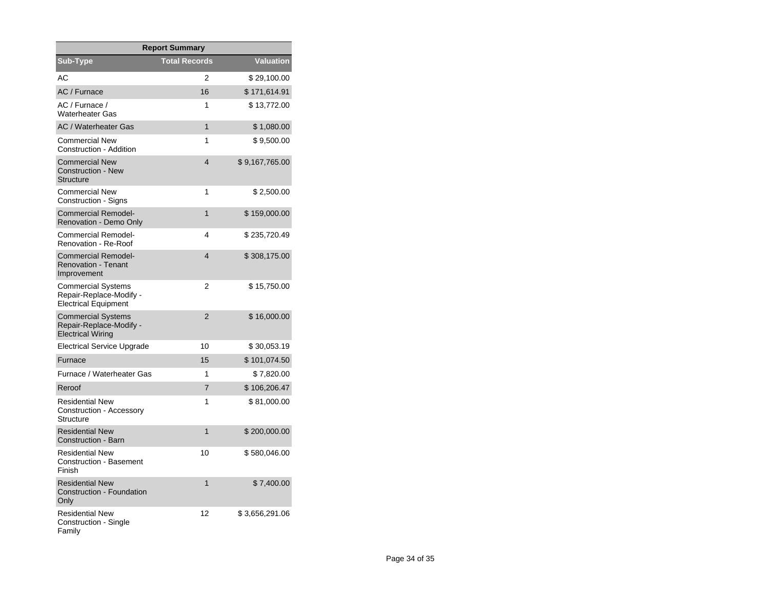| <b>Report Summary</b>                                                            |                      |                |  |  |  |
|----------------------------------------------------------------------------------|----------------------|----------------|--|--|--|
| Sub-Type                                                                         | <b>Total Records</b> | Valuation      |  |  |  |
| AC                                                                               | 2                    | \$29,100.00    |  |  |  |
| AC / Furnace                                                                     | 16                   | \$171,614.91   |  |  |  |
| AC / Furnace /<br><b>Waterheater Gas</b>                                         | 1                    | \$13,772.00    |  |  |  |
| <b>AC / Waterheater Gas</b>                                                      | 1                    | \$1,080.00     |  |  |  |
| <b>Commercial New</b><br>Construction - Addition                                 | 1                    | \$9,500.00     |  |  |  |
| <b>Commercial New</b><br><b>Construction - New</b><br><b>Structure</b>           | 4                    | \$9,167,765.00 |  |  |  |
| <b>Commercial New</b><br>Construction - Signs                                    | 1                    | \$2,500.00     |  |  |  |
| <b>Commercial Remodel-</b><br>Renovation - Demo Only                             | 1                    | \$159,000.00   |  |  |  |
| Commercial Remodel-<br>Renovation - Re-Roof                                      | 4                    | \$235,720.49   |  |  |  |
| <b>Commercial Remodel-</b><br><b>Renovation - Tenant</b><br>Improvement          | $\overline{4}$       | \$308,175.00   |  |  |  |
| Commercial Systems<br>Repair-Replace-Modify -<br><b>Electrical Equipment</b>     | 2                    | \$15,750.00    |  |  |  |
| <b>Commercial Systems</b><br>Repair-Replace-Modify -<br><b>Electrical Wiring</b> | $\overline{2}$       | \$16,000.00    |  |  |  |
| Electrical Service Upgrade                                                       | 10                   | \$30,053.19    |  |  |  |
| Furnace                                                                          | 15                   | \$101,074.50   |  |  |  |
| Furnace / Waterheater Gas                                                        | 1                    | \$7,820.00     |  |  |  |
| Reroof                                                                           | 7                    | \$106,206.47   |  |  |  |
| <b>Residential New</b><br>Construction - Accessory<br>Structure                  | 1                    | \$81,000.00    |  |  |  |
| <b>Residential New</b><br>Construction - Barn                                    | 1                    | \$200,000.00   |  |  |  |
| <b>Residential New</b><br><b>Construction - Basement</b><br>Finish               | 10                   | \$580,046.00   |  |  |  |
| <b>Residential New</b><br><b>Construction - Foundation</b><br>Only               | 1                    | \$7,400.00     |  |  |  |
| <b>Residential New</b><br>Construction - Single<br>Family                        | 12                   | \$3,656,291.06 |  |  |  |